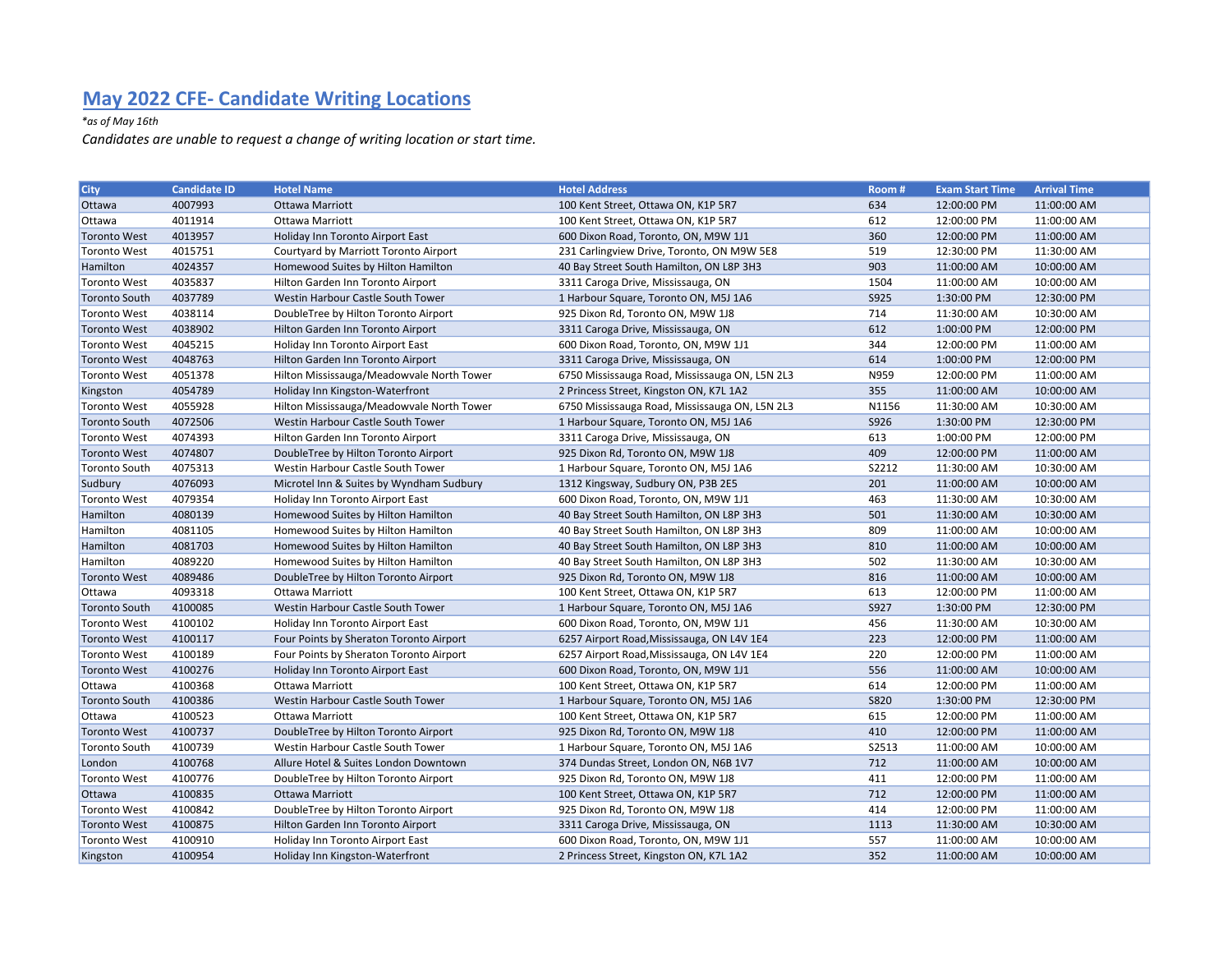## May 2022 CFE- Candidate Writing Locations

## \*as of May 16th

Candidates are unable to request a change of writing location or start time.

| <b>City</b>          | <b>Candidate ID</b> | <b>Hotel Name</b>                         | <b>Hotel Address</b>                           | Room#       | <b>Exam Start Time</b> | <b>Arrival Time</b> |
|----------------------|---------------------|-------------------------------------------|------------------------------------------------|-------------|------------------------|---------------------|
| Ottawa               | 4007993             | Ottawa Marriott                           | 100 Kent Street, Ottawa ON, K1P 5R7            | 634         | 12:00:00 PM            | 11:00:00 AM         |
| Ottawa               | 4011914             | Ottawa Marriott                           | 100 Kent Street, Ottawa ON, K1P 5R7            | 612         | 12:00:00 PM            | 11:00:00 AM         |
| <b>Toronto West</b>  | 4013957             | Holiday Inn Toronto Airport East          | 600 Dixon Road, Toronto, ON, M9W 1J1           | 360         | 12:00:00 PM            | 11:00:00 AM         |
| <b>Toronto West</b>  | 4015751             | Courtyard by Marriott Toronto Airport     | 231 Carlingview Drive, Toronto, ON M9W 5E8     | 519         | 12:30:00 PM            | 11:30:00 AM         |
| Hamilton             | 4024357             | Homewood Suites by Hilton Hamilton        | 40 Bay Street South Hamilton, ON L8P 3H3       | 903         | 11:00:00 AM            | 10:00:00 AM         |
| <b>Toronto West</b>  | 4035837             | Hilton Garden Inn Toronto Airport         | 3311 Caroga Drive, Mississauga, ON             | 1504        | 11:00:00 AM            | 10:00:00 AM         |
| <b>Toronto South</b> | 4037789             | Westin Harbour Castle South Tower         | 1 Harbour Square, Toronto ON, M5J 1A6          | S925        | 1:30:00 PM             | 12:30:00 PM         |
| <b>Toronto West</b>  | 4038114             | DoubleTree by Hilton Toronto Airport      | 925 Dixon Rd, Toronto ON, M9W 1J8              | 714         | 11:30:00 AM            | 10:30:00 AM         |
| <b>Toronto West</b>  | 4038902             | Hilton Garden Inn Toronto Airport         | 3311 Caroga Drive, Mississauga, ON             | 612         | 1:00:00 PM             | 12:00:00 PM         |
| <b>Toronto West</b>  | 4045215             | Holiday Inn Toronto Airport East          | 600 Dixon Road, Toronto, ON, M9W 1J1           | 344         | 12:00:00 PM            | 11:00:00 AM         |
| <b>Toronto West</b>  | 4048763             | Hilton Garden Inn Toronto Airport         | 3311 Caroga Drive, Mississauga, ON             | 614         | 1:00:00 PM             | 12:00:00 PM         |
| <b>Toronto West</b>  | 4051378             | Hilton Mississauga/Meadowvale North Tower | 6750 Mississauga Road, Mississauga ON, L5N 2L3 | N959        | 12:00:00 PM            | 11:00:00 AM         |
| Kingston             | 4054789             | Holiday Inn Kingston-Waterfront           | 2 Princess Street, Kingston ON, K7L 1A2        | 355         | 11:00:00 AM            | 10:00:00 AM         |
| <b>Toronto West</b>  | 4055928             | Hilton Mississauga/Meadowvale North Tower | 6750 Mississauga Road, Mississauga ON, L5N 2L3 | N1156       | 11:30:00 AM            | 10:30:00 AM         |
| <b>Toronto South</b> | 4072506             | Westin Harbour Castle South Tower         | 1 Harbour Square, Toronto ON, M5J 1A6          | S926        | 1:30:00 PM             | 12:30:00 PM         |
| <b>Toronto West</b>  | 4074393             | Hilton Garden Inn Toronto Airport         | 3311 Caroga Drive, Mississauga, ON             | 613         | 1:00:00 PM             | 12:00:00 PM         |
| <b>Toronto West</b>  | 4074807             | DoubleTree by Hilton Toronto Airport      | 925 Dixon Rd, Toronto ON, M9W 1J8              | 409         | 12:00:00 PM            | 11:00:00 AM         |
| <b>Toronto South</b> | 4075313             | Westin Harbour Castle South Tower         | 1 Harbour Square, Toronto ON, M5J 1A6          | S2212       | 11:30:00 AM            | 10:30:00 AM         |
| Sudbury              | 4076093             | Microtel Inn & Suites by Wyndham Sudbury  | 1312 Kingsway, Sudbury ON, P3B 2E5             | 201         | 11:00:00 AM            | 10:00:00 AM         |
| <b>Toronto West</b>  | 4079354             | Holiday Inn Toronto Airport East          | 600 Dixon Road, Toronto, ON, M9W 1J1           | 463         | 11:30:00 AM            | 10:30:00 AM         |
| Hamilton             | 4080139             | Homewood Suites by Hilton Hamilton        | 40 Bay Street South Hamilton, ON L8P 3H3       | 501         | 11:30:00 AM            | 10:30:00 AM         |
| Hamilton             | 4081105             | Homewood Suites by Hilton Hamilton        | 40 Bay Street South Hamilton, ON L8P 3H3       | 809         | 11:00:00 AM            | 10:00:00 AM         |
| Hamilton             | 4081703             | Homewood Suites by Hilton Hamilton        | 40 Bay Street South Hamilton, ON L8P 3H3       | 810         | 11:00:00 AM            | 10:00:00 AM         |
| Hamilton             | 4089220             | Homewood Suites by Hilton Hamilton        | 40 Bay Street South Hamilton, ON L8P 3H3       | 502         | 11:30:00 AM            | 10:30:00 AM         |
| <b>Toronto West</b>  | 4089486             | DoubleTree by Hilton Toronto Airport      | 925 Dixon Rd, Toronto ON, M9W 1J8              | 816         | 11:00:00 AM            | 10:00:00 AM         |
| Ottawa               | 4093318             | Ottawa Marriott                           | 100 Kent Street, Ottawa ON, K1P 5R7            | 613         | 12:00:00 PM            | 11:00:00 AM         |
| <b>Toronto South</b> | 4100085             | Westin Harbour Castle South Tower         | 1 Harbour Square, Toronto ON, M5J 1A6          | S927        | 1:30:00 PM             | 12:30:00 PM         |
| <b>Toronto West</b>  | 4100102             | Holiday Inn Toronto Airport East          | 600 Dixon Road, Toronto, ON, M9W 1J1           | 456         | 11:30:00 AM            | 10:30:00 AM         |
| <b>Toronto West</b>  | 4100117             | Four Points by Sheraton Toronto Airport   | 6257 Airport Road, Mississauga, ON L4V 1E4     | 223         | 12:00:00 PM            | 11:00:00 AM         |
| <b>Toronto West</b>  | 4100189             | Four Points by Sheraton Toronto Airport   | 6257 Airport Road, Mississauga, ON L4V 1E4     | 220         | 12:00:00 PM            | 11:00:00 AM         |
| <b>Toronto West</b>  | 4100276             | Holiday Inn Toronto Airport East          | 600 Dixon Road, Toronto, ON, M9W 1J1           | 556         | 11:00:00 AM            | 10:00:00 AM         |
| Ottawa               | 4100368             | Ottawa Marriott                           | 100 Kent Street, Ottawa ON, K1P 5R7            | 614         | 12:00:00 PM            | 11:00:00 AM         |
| <b>Toronto South</b> | 4100386             | Westin Harbour Castle South Tower         | 1 Harbour Square, Toronto ON, M5J 1A6          | <b>S820</b> | 1:30:00 PM             | 12:30:00 PM         |
| Ottawa               | 4100523             | <b>Ottawa Marriott</b>                    | 100 Kent Street, Ottawa ON, K1P 5R7            | 615         | 12:00:00 PM            | 11:00:00 AM         |
| <b>Toronto West</b>  | 4100737             | DoubleTree by Hilton Toronto Airport      | 925 Dixon Rd, Toronto ON, M9W 1J8              | 410         | 12:00:00 PM            | 11:00:00 AM         |
| <b>Toronto South</b> | 4100739             | Westin Harbour Castle South Tower         | 1 Harbour Square, Toronto ON, M5J 1A6          | S2513       | 11:00:00 AM            | 10:00:00 AM         |
| London               | 4100768             | Allure Hotel & Suites London Downtown     | 374 Dundas Street, London ON, N6B 1V7          | 712         | 11:00:00 AM            | 10:00:00 AM         |
| <b>Toronto West</b>  | 4100776             | DoubleTree by Hilton Toronto Airport      | 925 Dixon Rd, Toronto ON, M9W 1J8              | 411         | 12:00:00 PM            | 11:00:00 AM         |
| Ottawa               | 4100835             | <b>Ottawa Marriott</b>                    | 100 Kent Street, Ottawa ON, K1P 5R7            | 712         | 12:00:00 PM            | 11:00:00 AM         |
| <b>Toronto West</b>  | 4100842             | DoubleTree by Hilton Toronto Airport      | 925 Dixon Rd, Toronto ON, M9W 1J8              | 414         | 12:00:00 PM            | 11:00:00 AM         |
| <b>Toronto West</b>  | 4100875             | Hilton Garden Inn Toronto Airport         | 3311 Caroga Drive, Mississauga, ON             | 1113        | 11:30:00 AM            | 10:30:00 AM         |
| <b>Toronto West</b>  | 4100910             | Holiday Inn Toronto Airport East          | 600 Dixon Road, Toronto, ON, M9W 1J1           | 557         | 11:00:00 AM            | 10:00:00 AM         |
| Kingston             | 4100954             | Holiday Inn Kingston-Waterfront           | 2 Princess Street, Kingston ON, K7L 1A2        | 352         | 11:00:00 AM            | 10:00:00 AM         |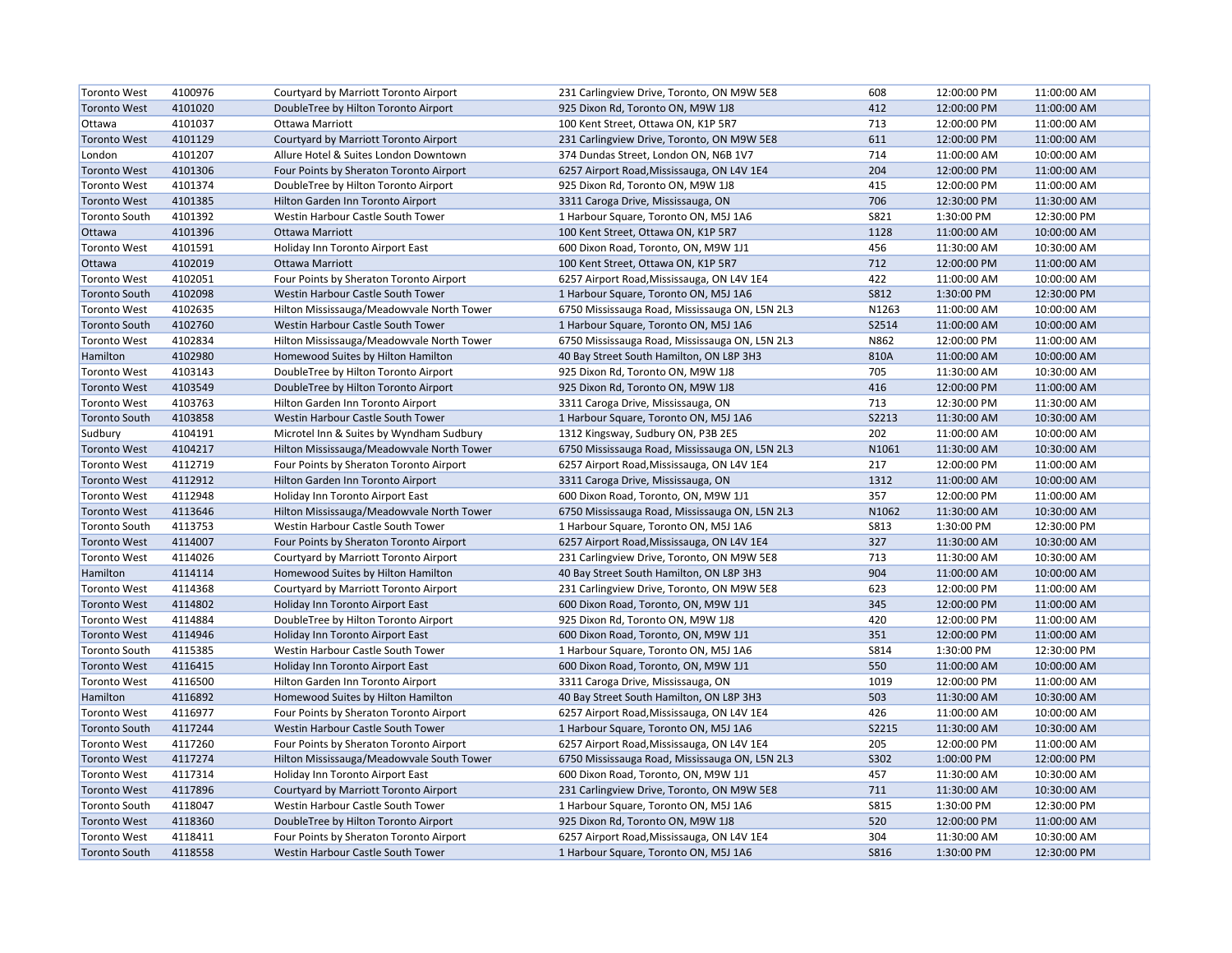| <b>Toronto West</b>  | 4100976 | Courtyard by Marriott Toronto Airport     | 231 Carlingview Drive, Toronto, ON M9W 5E8     | 608          | 12:00:00 PM | 11:00:00 AM |
|----------------------|---------|-------------------------------------------|------------------------------------------------|--------------|-------------|-------------|
| <b>Toronto West</b>  | 4101020 | DoubleTree by Hilton Toronto Airport      | 925 Dixon Rd, Toronto ON, M9W 1J8              | 412          | 12:00:00 PM | 11:00:00 AM |
| Ottawa               | 4101037 | Ottawa Marriott                           | 100 Kent Street, Ottawa ON, K1P 5R7            | 713          | 12:00:00 PM | 11:00:00 AM |
| <b>Toronto West</b>  | 4101129 | Courtyard by Marriott Toronto Airport     | 231 Carlingview Drive, Toronto, ON M9W 5E8     | 611          | 12:00:00 PM | 11:00:00 AM |
| London               | 4101207 | Allure Hotel & Suites London Downtown     | 374 Dundas Street, London ON, N6B 1V7          | 714          | 11:00:00 AM | 10:00:00 AM |
| <b>Toronto West</b>  | 4101306 | Four Points by Sheraton Toronto Airport   | 6257 Airport Road, Mississauga, ON L4V 1E4     | 204          | 12:00:00 PM | 11:00:00 AM |
| <b>Toronto West</b>  | 4101374 | DoubleTree by Hilton Toronto Airport      | 925 Dixon Rd, Toronto ON, M9W 1J8              | 415          | 12:00:00 PM | 11:00:00 AM |
| <b>Toronto West</b>  | 4101385 | Hilton Garden Inn Toronto Airport         | 3311 Caroga Drive, Mississauga, ON             | 706          | 12:30:00 PM | 11:30:00 AM |
| <b>Toronto South</b> | 4101392 | Westin Harbour Castle South Tower         | 1 Harbour Square, Toronto ON, M5J 1A6          | S821         | 1:30:00 PM  | 12:30:00 PM |
| Ottawa               | 4101396 | <b>Ottawa Marriott</b>                    | 100 Kent Street, Ottawa ON, K1P 5R7            | 1128         | 11:00:00 AM | 10:00:00 AM |
| <b>Toronto West</b>  | 4101591 | Holiday Inn Toronto Airport East          | 600 Dixon Road, Toronto, ON, M9W 1J1           | 456          | 11:30:00 AM | 10:30:00 AM |
| Ottawa               | 4102019 | <b>Ottawa Marriott</b>                    | 100 Kent Street, Ottawa ON, K1P 5R7            | 712          | 12:00:00 PM | 11:00:00 AM |
| <b>Toronto West</b>  | 4102051 | Four Points by Sheraton Toronto Airport   | 6257 Airport Road, Mississauga, ON L4V 1E4     | 422          | 11:00:00 AM | 10:00:00 AM |
| <b>Toronto South</b> | 4102098 | Westin Harbour Castle South Tower         | 1 Harbour Square, Toronto ON, M5J 1A6          | <b>S812</b>  | 1:30:00 PM  | 12:30:00 PM |
| <b>Toronto West</b>  | 4102635 | Hilton Mississauga/Meadowvale North Tower | 6750 Mississauga Road, Mississauga ON, L5N 2L3 | N1263        | 11:00:00 AM | 10:00:00 AM |
| <b>Toronto South</b> | 4102760 | Westin Harbour Castle South Tower         | 1 Harbour Square, Toronto ON, M5J 1A6          | S2514        | 11:00:00 AM | 10:00:00 AM |
| <b>Toronto West</b>  | 4102834 | Hilton Mississauga/Meadowvale North Tower | 6750 Mississauga Road, Mississauga ON, L5N 2L3 | N862         | 12:00:00 PM | 11:00:00 AM |
| Hamilton             | 4102980 | Homewood Suites by Hilton Hamilton        | 40 Bay Street South Hamilton, ON L8P 3H3       | 810A         | 11:00:00 AM | 10:00:00 AM |
| <b>Toronto West</b>  | 4103143 | DoubleTree by Hilton Toronto Airport      | 925 Dixon Rd, Toronto ON, M9W 1J8              | 705          | 11:30:00 AM | 10:30:00 AM |
| <b>Toronto West</b>  | 4103549 | DoubleTree by Hilton Toronto Airport      | 925 Dixon Rd, Toronto ON, M9W 1J8              | 416          | 12:00:00 PM | 11:00:00 AM |
| <b>Toronto West</b>  | 4103763 | Hilton Garden Inn Toronto Airport         | 3311 Caroga Drive, Mississauga, ON             | 713          | 12:30:00 PM | 11:30:00 AM |
|                      | 4103858 |                                           |                                                | <b>S2213</b> |             |             |
| <b>Toronto South</b> | 4104191 | Westin Harbour Castle South Tower         | 1 Harbour Square, Toronto ON, M5J 1A6          | 202          | 11:30:00 AM | 10:30:00 AM |
| Sudbury              |         | Microtel Inn & Suites by Wyndham Sudbury  | 1312 Kingsway, Sudbury ON, P3B 2E5             |              | 11:00:00 AM | 10:00:00 AM |
| <b>Toronto West</b>  | 4104217 | Hilton Mississauga/Meadowvale North Tower | 6750 Mississauga Road, Mississauga ON, L5N 2L3 | N1061        | 11:30:00 AM | 10:30:00 AM |
| <b>Toronto West</b>  | 4112719 | Four Points by Sheraton Toronto Airport   | 6257 Airport Road, Mississauga, ON L4V 1E4     | 217          | 12:00:00 PM | 11:00:00 AM |
| <b>Toronto West</b>  | 4112912 | Hilton Garden Inn Toronto Airport         | 3311 Caroga Drive, Mississauga, ON             | 1312         | 11:00:00 AM | 10:00:00 AM |
| <b>Toronto West</b>  | 4112948 | Holiday Inn Toronto Airport East          | 600 Dixon Road, Toronto, ON, M9W 1J1           | 357          | 12:00:00 PM | 11:00:00 AM |
| <b>Toronto West</b>  | 4113646 | Hilton Mississauga/Meadowvale North Tower | 6750 Mississauga Road, Mississauga ON, L5N 2L3 | N1062        | 11:30:00 AM | 10:30:00 AM |
| <b>Toronto South</b> | 4113753 | Westin Harbour Castle South Tower         | 1 Harbour Square, Toronto ON, M5J 1A6          | <b>S813</b>  | 1:30:00 PM  | 12:30:00 PM |
| <b>Toronto West</b>  | 4114007 | Four Points by Sheraton Toronto Airport   | 6257 Airport Road, Mississauga, ON L4V 1E4     | 327          | 11:30:00 AM | 10:30:00 AM |
| <b>Toronto West</b>  | 4114026 | Courtyard by Marriott Toronto Airport     | 231 Carlingview Drive, Toronto, ON M9W 5E8     | 713          | 11:30:00 AM | 10:30:00 AM |
| Hamilton             | 4114114 | Homewood Suites by Hilton Hamilton        | 40 Bay Street South Hamilton, ON L8P 3H3       | 904          | 11:00:00 AM | 10:00:00 AM |
| <b>Toronto West</b>  | 4114368 | Courtyard by Marriott Toronto Airport     | 231 Carlingview Drive, Toronto, ON M9W 5E8     | 623          | 12:00:00 PM | 11:00:00 AM |
| <b>Toronto West</b>  | 4114802 | Holiday Inn Toronto Airport East          | 600 Dixon Road, Toronto, ON, M9W 1J1           | 345          | 12:00:00 PM | 11:00:00 AM |
| <b>Toronto West</b>  | 4114884 | DoubleTree by Hilton Toronto Airport      | 925 Dixon Rd, Toronto ON, M9W 1J8              | 420          | 12:00:00 PM | 11:00:00 AM |
| <b>Toronto West</b>  | 4114946 | Holiday Inn Toronto Airport East          | 600 Dixon Road, Toronto, ON, M9W 1J1           | 351          | 12:00:00 PM | 11:00:00 AM |
| <b>Toronto South</b> | 4115385 | Westin Harbour Castle South Tower         | 1 Harbour Square, Toronto ON, M5J 1A6          | S814         | 1:30:00 PM  | 12:30:00 PM |
| <b>Toronto West</b>  | 4116415 | Holiday Inn Toronto Airport East          | 600 Dixon Road, Toronto, ON, M9W 1J1           | 550          | 11:00:00 AM | 10:00:00 AM |
| <b>Toronto West</b>  | 4116500 | Hilton Garden Inn Toronto Airport         | 3311 Caroga Drive, Mississauga, ON             | 1019         | 12:00:00 PM | 11:00:00 AM |
| Hamilton             | 4116892 | Homewood Suites by Hilton Hamilton        | 40 Bay Street South Hamilton, ON L8P 3H3       | 503          | 11:30:00 AM | 10:30:00 AM |
| <b>Toronto West</b>  | 4116977 | Four Points by Sheraton Toronto Airport   | 6257 Airport Road, Mississauga, ON L4V 1E4     | 426          | 11:00:00 AM | 10:00:00 AM |
| <b>Toronto South</b> | 4117244 | Westin Harbour Castle South Tower         | 1 Harbour Square, Toronto ON, M5J 1A6          | S2215        | 11:30:00 AM | 10:30:00 AM |
| <b>Toronto West</b>  | 4117260 | Four Points by Sheraton Toronto Airport   | 6257 Airport Road, Mississauga, ON L4V 1E4     | 205          | 12:00:00 PM | 11:00:00 AM |
| <b>Toronto West</b>  | 4117274 | Hilton Mississauga/Meadowvale South Tower | 6750 Mississauga Road, Mississauga ON, L5N 2L3 | S302         | 1:00:00 PM  | 12:00:00 PM |
| <b>Toronto West</b>  | 4117314 | Holiday Inn Toronto Airport East          | 600 Dixon Road, Toronto, ON, M9W 1J1           | 457          | 11:30:00 AM | 10:30:00 AM |
| <b>Toronto West</b>  | 4117896 | Courtyard by Marriott Toronto Airport     | 231 Carlingview Drive, Toronto, ON M9W 5E8     | 711          | 11:30:00 AM | 10:30:00 AM |
| <b>Toronto South</b> | 4118047 | Westin Harbour Castle South Tower         | 1 Harbour Square, Toronto ON, M5J 1A6          | <b>S815</b>  | 1:30:00 PM  | 12:30:00 PM |
| <b>Toronto West</b>  | 4118360 | DoubleTree by Hilton Toronto Airport      | 925 Dixon Rd, Toronto ON, M9W 1J8              | 520          | 12:00:00 PM | 11:00:00 AM |
| <b>Toronto West</b>  | 4118411 | Four Points by Sheraton Toronto Airport   | 6257 Airport Road, Mississauga, ON L4V 1E4     | 304          | 11:30:00 AM | 10:30:00 AM |
| Toronto South        | 4118558 | Westin Harbour Castle South Tower         | 1 Harbour Square, Toronto ON, M5J 1A6          | <b>S816</b>  | 1:30:00 PM  | 12:30:00 PM |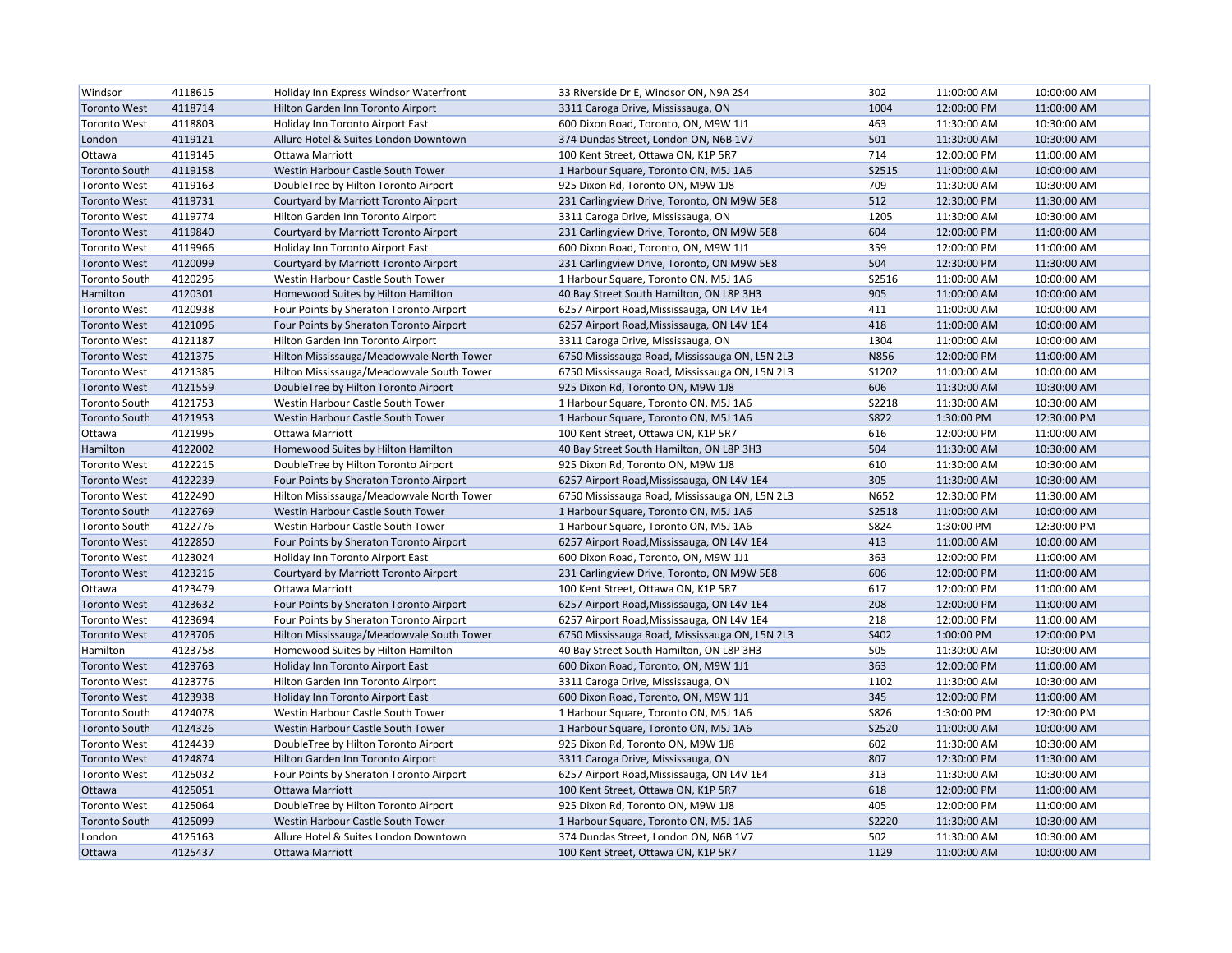| Windsor              | 4118615 | Holiday Inn Express Windsor Waterfront    | 33 Riverside Dr E, Windsor ON, N9A 2S4         | 302         | 11:00:00 AM | 10:00:00 AM |
|----------------------|---------|-------------------------------------------|------------------------------------------------|-------------|-------------|-------------|
| <b>Toronto West</b>  | 4118714 | Hilton Garden Inn Toronto Airport         | 3311 Caroga Drive, Mississauga, ON             | 1004        | 12:00:00 PM | 11:00:00 AM |
| <b>Toronto West</b>  | 4118803 | Holiday Inn Toronto Airport East          | 600 Dixon Road, Toronto, ON, M9W 1J1           | 463         | 11:30:00 AM | 10:30:00 AM |
| London               | 4119121 | Allure Hotel & Suites London Downtown     | 374 Dundas Street, London ON, N6B 1V7          | 501         | 11:30:00 AM | 10:30:00 AM |
| Ottawa               | 4119145 | <b>Ottawa Marriott</b>                    | 100 Kent Street, Ottawa ON, K1P 5R7            | 714         | 12:00:00 PM | 11:00:00 AM |
| <b>Toronto South</b> | 4119158 | Westin Harbour Castle South Tower         | 1 Harbour Square, Toronto ON, M5J 1A6          | S2515       | 11:00:00 AM | 10:00:00 AM |
| <b>Toronto West</b>  | 4119163 | DoubleTree by Hilton Toronto Airport      | 925 Dixon Rd, Toronto ON, M9W 1J8              | 709         | 11:30:00 AM | 10:30:00 AM |
| <b>Toronto West</b>  | 4119731 | Courtyard by Marriott Toronto Airport     | 231 Carlingview Drive, Toronto, ON M9W 5E8     | 512         | 12:30:00 PM | 11:30:00 AM |
| <b>Toronto West</b>  | 4119774 | Hilton Garden Inn Toronto Airport         | 3311 Caroga Drive, Mississauga, ON             | 1205        | 11:30:00 AM | 10:30:00 AM |
| <b>Toronto West</b>  | 4119840 | Courtyard by Marriott Toronto Airport     | 231 Carlingview Drive, Toronto, ON M9W 5E8     | 604         | 12:00:00 PM | 11:00:00 AM |
| <b>Toronto West</b>  | 4119966 | Holiday Inn Toronto Airport East          | 600 Dixon Road, Toronto, ON, M9W 1J1           | 359         | 12:00:00 PM | 11:00:00 AM |
| <b>Toronto West</b>  | 4120099 | Courtyard by Marriott Toronto Airport     | 231 Carlingview Drive, Toronto, ON M9W 5E8     | 504         | 12:30:00 PM | 11:30:00 AM |
| <b>Toronto South</b> | 4120295 | Westin Harbour Castle South Tower         | 1 Harbour Square, Toronto ON, M5J 1A6          | S2516       | 11:00:00 AM | 10:00:00 AM |
| Hamilton             | 4120301 | Homewood Suites by Hilton Hamilton        | 40 Bay Street South Hamilton, ON L8P 3H3       | 905         | 11:00:00 AM | 10:00:00 AM |
| <b>Toronto West</b>  | 4120938 | Four Points by Sheraton Toronto Airport   | 6257 Airport Road, Mississauga, ON L4V 1E4     | 411         | 11:00:00 AM | 10:00:00 AM |
| <b>Toronto West</b>  | 4121096 | Four Points by Sheraton Toronto Airport   | 6257 Airport Road, Mississauga, ON L4V 1E4     | 418         | 11:00:00 AM | 10:00:00 AM |
| <b>Toronto West</b>  | 4121187 | Hilton Garden Inn Toronto Airport         | 3311 Caroga Drive, Mississauga, ON             | 1304        | 11:00:00 AM | 10:00:00 AM |
| <b>Toronto West</b>  | 4121375 | Hilton Mississauga/Meadowvale North Tower | 6750 Mississauga Road, Mississauga ON, L5N 2L3 | N856        | 12:00:00 PM | 11:00:00 AM |
| <b>Toronto West</b>  | 4121385 | Hilton Mississauga/Meadowvale South Tower | 6750 Mississauga Road, Mississauga ON, L5N 2L3 | S1202       | 11:00:00 AM | 10:00:00 AM |
| <b>Toronto West</b>  | 4121559 | DoubleTree by Hilton Toronto Airport      | 925 Dixon Rd, Toronto ON, M9W 1J8              | 606         | 11:30:00 AM | 10:30:00 AM |
| <b>Toronto South</b> | 4121753 | Westin Harbour Castle South Tower         | 1 Harbour Square, Toronto ON, M5J 1A6          | S2218       | 11:30:00 AM | 10:30:00 AM |
| <b>Toronto South</b> | 4121953 | Westin Harbour Castle South Tower         | 1 Harbour Square, Toronto ON, M5J 1A6          | <b>S822</b> | 1:30:00 PM  | 12:30:00 PM |
| Ottawa               | 4121995 | <b>Ottawa Marriott</b>                    | 100 Kent Street, Ottawa ON, K1P 5R7            | 616         | 12:00:00 PM | 11:00:00 AM |
| Hamilton             | 4122002 | Homewood Suites by Hilton Hamilton        | 40 Bay Street South Hamilton, ON L8P 3H3       | 504         | 11:30:00 AM | 10:30:00 AM |
| <b>Toronto West</b>  | 4122215 | DoubleTree by Hilton Toronto Airport      | 925 Dixon Rd, Toronto ON, M9W 1J8              | 610         | 11:30:00 AM | 10:30:00 AM |
| <b>Toronto West</b>  | 4122239 | Four Points by Sheraton Toronto Airport   | 6257 Airport Road, Mississauga, ON L4V 1E4     | 305         | 11:30:00 AM | 10:30:00 AM |
| <b>Toronto West</b>  | 4122490 | Hilton Mississauga/Meadowvale North Tower | 6750 Mississauga Road, Mississauga ON, L5N 2L3 | N652        | 12:30:00 PM | 11:30:00 AM |
| <b>Toronto South</b> | 4122769 | Westin Harbour Castle South Tower         | 1 Harbour Square, Toronto ON, M5J 1A6          | S2518       | 11:00:00 AM | 10:00:00 AM |
| <b>Toronto South</b> | 4122776 | Westin Harbour Castle South Tower         | 1 Harbour Square, Toronto ON, M5J 1A6          | S824        | 1:30:00 PM  | 12:30:00 PM |
| <b>Toronto West</b>  | 4122850 | Four Points by Sheraton Toronto Airport   | 6257 Airport Road, Mississauga, ON L4V 1E4     | 413         | 11:00:00 AM | 10:00:00 AM |
| <b>Toronto West</b>  | 4123024 | Holiday Inn Toronto Airport East          | 600 Dixon Road, Toronto, ON, M9W 1J1           | 363         | 12:00:00 PM | 11:00:00 AM |
| <b>Toronto West</b>  | 4123216 | Courtyard by Marriott Toronto Airport     | 231 Carlingview Drive, Toronto, ON M9W 5E8     | 606         | 12:00:00 PM | 11:00:00 AM |
| Ottawa               | 4123479 | Ottawa Marriott                           | 100 Kent Street, Ottawa ON, K1P 5R7            | 617         | 12:00:00 PM | 11:00:00 AM |
| <b>Toronto West</b>  | 4123632 | Four Points by Sheraton Toronto Airport   | 6257 Airport Road, Mississauga, ON L4V 1E4     | 208         | 12:00:00 PM | 11:00:00 AM |
| <b>Toronto West</b>  | 4123694 | Four Points by Sheraton Toronto Airport   | 6257 Airport Road, Mississauga, ON L4V 1E4     | 218         | 12:00:00 PM | 11:00:00 AM |
| <b>Toronto West</b>  | 4123706 | Hilton Mississauga/Meadowvale South Tower | 6750 Mississauga Road, Mississauga ON, L5N 2L3 | S402        | 1:00:00 PM  | 12:00:00 PM |
| Hamilton             | 4123758 | Homewood Suites by Hilton Hamilton        | 40 Bay Street South Hamilton, ON L8P 3H3       | 505         | 11:30:00 AM | 10:30:00 AM |
| <b>Toronto West</b>  | 4123763 | Holiday Inn Toronto Airport East          | 600 Dixon Road, Toronto, ON, M9W 1J1           | 363         | 12:00:00 PM | 11:00:00 AM |
| <b>Toronto West</b>  | 4123776 | Hilton Garden Inn Toronto Airport         | 3311 Caroga Drive, Mississauga, ON             | 1102        | 11:30:00 AM | 10:30:00 AM |
| <b>Toronto West</b>  | 4123938 | Holiday Inn Toronto Airport East          | 600 Dixon Road, Toronto, ON, M9W 1J1           | 345         | 12:00:00 PM | 11:00:00 AM |
| <b>Toronto South</b> | 4124078 | Westin Harbour Castle South Tower         | 1 Harbour Square, Toronto ON, M5J 1A6          | S826        | 1:30:00 PM  | 12:30:00 PM |
| <b>Toronto South</b> | 4124326 | Westin Harbour Castle South Tower         | 1 Harbour Square, Toronto ON, M5J 1A6          | S2520       | 11:00:00 AM | 10:00:00 AM |
| <b>Toronto West</b>  | 4124439 | DoubleTree by Hilton Toronto Airport      | 925 Dixon Rd, Toronto ON, M9W 1J8              | 602         | 11:30:00 AM | 10:30:00 AM |
| <b>Toronto West</b>  | 4124874 | Hilton Garden Inn Toronto Airport         | 3311 Caroga Drive, Mississauga, ON             | 807         | 12:30:00 PM | 11:30:00 AM |
| <b>Toronto West</b>  | 4125032 | Four Points by Sheraton Toronto Airport   | 6257 Airport Road, Mississauga, ON L4V 1E4     | 313         | 11:30:00 AM | 10:30:00 AM |
| Ottawa               | 4125051 | <b>Ottawa Marriott</b>                    | 100 Kent Street, Ottawa ON, K1P 5R7            | 618         | 12:00:00 PM | 11:00:00 AM |
| <b>Toronto West</b>  | 4125064 | DoubleTree by Hilton Toronto Airport      | 925 Dixon Rd, Toronto ON, M9W 1J8              | 405         | 12:00:00 PM | 11:00:00 AM |
| <b>Toronto South</b> | 4125099 | Westin Harbour Castle South Tower         | 1 Harbour Square, Toronto ON, M5J 1A6          | S2220       | 11:30:00 AM | 10:30:00 AM |
| London               | 4125163 | Allure Hotel & Suites London Downtown     | 374 Dundas Street, London ON, N6B 1V7          | 502         | 11:30:00 AM | 10:30:00 AM |
| Ottawa               | 4125437 | Ottawa Marriott                           | 100 Kent Street, Ottawa ON, K1P 5R7            | 1129        | 11:00:00 AM | 10:00:00 AM |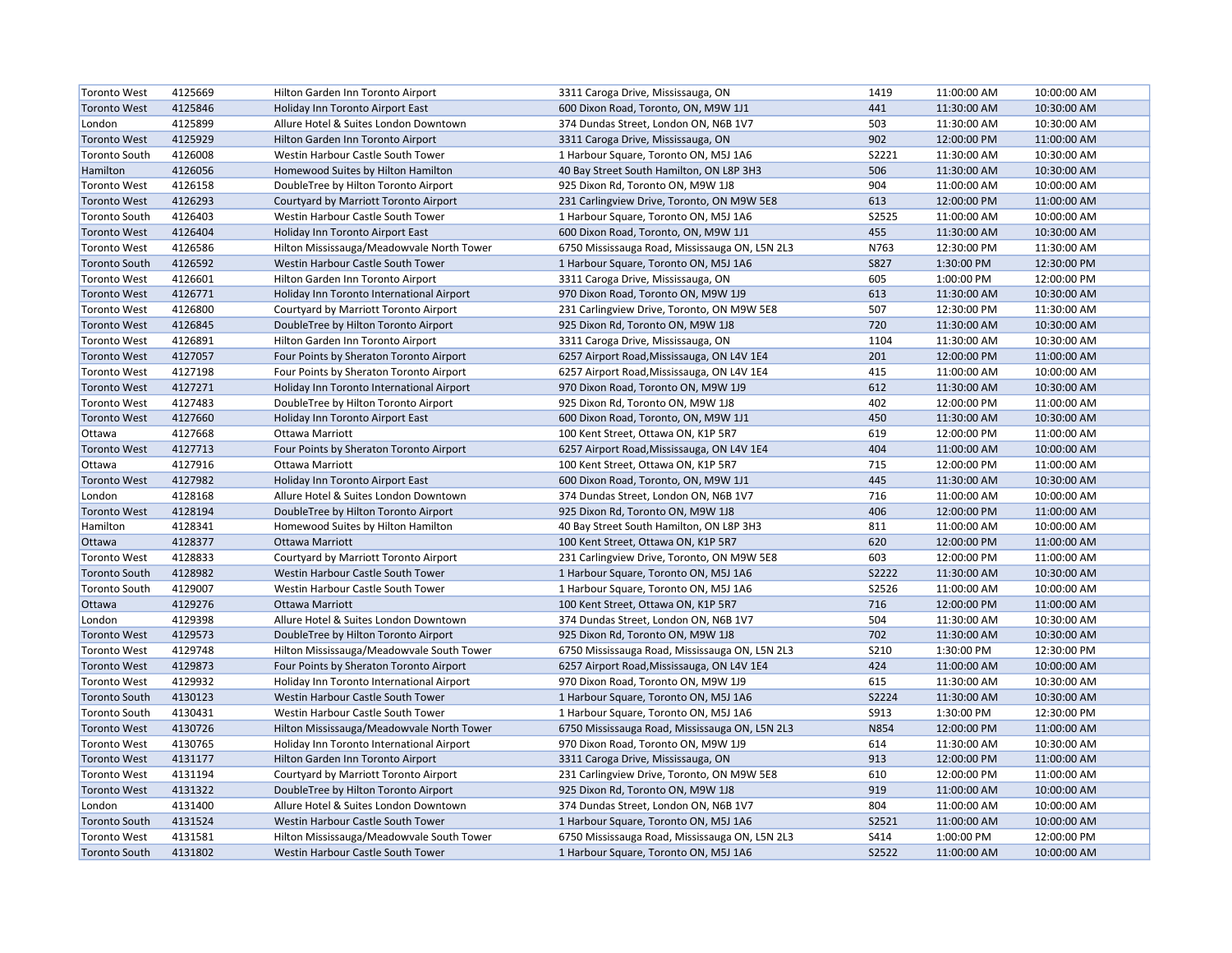| <b>Toronto West</b>  | 4125669 | Hilton Garden Inn Toronto Airport         | 3311 Caroga Drive, Mississauga, ON             | 1419        | 11:00:00 AM | 10:00:00 AM |
|----------------------|---------|-------------------------------------------|------------------------------------------------|-------------|-------------|-------------|
| <b>Toronto West</b>  | 4125846 | Holiday Inn Toronto Airport East          | 600 Dixon Road, Toronto, ON, M9W 1J1           | 441         | 11:30:00 AM | 10:30:00 AM |
| London               | 4125899 | Allure Hotel & Suites London Downtown     | 374 Dundas Street, London ON, N6B 1V7          | 503         | 11:30:00 AM | 10:30:00 AM |
| <b>Toronto West</b>  | 4125929 | Hilton Garden Inn Toronto Airport         | 3311 Caroga Drive, Mississauga, ON             | 902         | 12:00:00 PM | 11:00:00 AM |
| <b>Toronto South</b> | 4126008 | Westin Harbour Castle South Tower         | 1 Harbour Square, Toronto ON, M5J 1A6          | S2221       | 11:30:00 AM | 10:30:00 AM |
| Hamilton             | 4126056 | Homewood Suites by Hilton Hamilton        | 40 Bay Street South Hamilton, ON L8P 3H3       | 506         | 11:30:00 AM | 10:30:00 AM |
| <b>Toronto West</b>  | 4126158 | DoubleTree by Hilton Toronto Airport      | 925 Dixon Rd, Toronto ON, M9W 1J8              | 904         | 11:00:00 AM | 10:00:00 AM |
| <b>Toronto West</b>  | 4126293 | Courtyard by Marriott Toronto Airport     | 231 Carlingview Drive, Toronto, ON M9W 5E8     | 613         | 12:00:00 PM | 11:00:00 AM |
| <b>Toronto South</b> | 4126403 | Westin Harbour Castle South Tower         | 1 Harbour Square, Toronto ON, M5J 1A6          | S2525       | 11:00:00 AM | 10:00:00 AM |
| <b>Toronto West</b>  | 4126404 | Holiday Inn Toronto Airport East          | 600 Dixon Road, Toronto, ON, M9W 1J1           | 455         | 11:30:00 AM | 10:30:00 AM |
| <b>Toronto West</b>  | 4126586 | Hilton Mississauga/Meadowvale North Tower | 6750 Mississauga Road, Mississauga ON, L5N 2L3 | N763        | 12:30:00 PM | 11:30:00 AM |
| <b>Toronto South</b> | 4126592 | Westin Harbour Castle South Tower         | 1 Harbour Square, Toronto ON, M5J 1A6          | <b>S827</b> | 1:30:00 PM  | 12:30:00 PM |
| <b>Toronto West</b>  | 4126601 | Hilton Garden Inn Toronto Airport         | 3311 Caroga Drive, Mississauga, ON             | 605         | 1:00:00 PM  | 12:00:00 PM |
| <b>Toronto West</b>  | 4126771 | Holiday Inn Toronto International Airport | 970 Dixon Road, Toronto ON, M9W 1J9            | 613         | 11:30:00 AM | 10:30:00 AM |
| <b>Toronto West</b>  | 4126800 | Courtyard by Marriott Toronto Airport     | 231 Carlingview Drive, Toronto, ON M9W 5E8     | 507         | 12:30:00 PM | 11:30:00 AM |
| <b>Toronto West</b>  | 4126845 | DoubleTree by Hilton Toronto Airport      | 925 Dixon Rd, Toronto ON, M9W 1J8              | 720         | 11:30:00 AM | 10:30:00 AM |
| <b>Toronto West</b>  | 4126891 | Hilton Garden Inn Toronto Airport         | 3311 Caroga Drive, Mississauga, ON             | 1104        | 11:30:00 AM | 10:30:00 AM |
| <b>Toronto West</b>  | 4127057 | Four Points by Sheraton Toronto Airport   | 6257 Airport Road, Mississauga, ON L4V 1E4     | 201         | 12:00:00 PM | 11:00:00 AM |
| <b>Toronto West</b>  | 4127198 | Four Points by Sheraton Toronto Airport   | 6257 Airport Road, Mississauga, ON L4V 1E4     | 415         | 11:00:00 AM | 10:00:00 AM |
| <b>Toronto West</b>  | 4127271 | Holiday Inn Toronto International Airport | 970 Dixon Road, Toronto ON, M9W 1J9            | 612         | 11:30:00 AM | 10:30:00 AM |
| <b>Toronto West</b>  | 4127483 | DoubleTree by Hilton Toronto Airport      | 925 Dixon Rd, Toronto ON, M9W 1J8              | 402         | 12:00:00 PM | 11:00:00 AM |
| <b>Toronto West</b>  | 4127660 | Holiday Inn Toronto Airport East          | 600 Dixon Road, Toronto, ON, M9W 1J1           | 450         | 11:30:00 AM | 10:30:00 AM |
| Ottawa               | 4127668 | Ottawa Marriott                           | 100 Kent Street, Ottawa ON, K1P 5R7            | 619         | 12:00:00 PM | 11:00:00 AM |
| <b>Toronto West</b>  | 4127713 | Four Points by Sheraton Toronto Airport   | 6257 Airport Road, Mississauga, ON L4V 1E4     | 404         | 11:00:00 AM | 10:00:00 AM |
| Ottawa               | 4127916 | Ottawa Marriott                           | 100 Kent Street, Ottawa ON, K1P 5R7            | 715         | 12:00:00 PM | 11:00:00 AM |
| <b>Toronto West</b>  | 4127982 | Holiday Inn Toronto Airport East          | 600 Dixon Road, Toronto, ON, M9W 1J1           | 445         | 11:30:00 AM | 10:30:00 AM |
| London               | 4128168 | Allure Hotel & Suites London Downtown     | 374 Dundas Street, London ON, N6B 1V7          | 716         | 11:00:00 AM | 10:00:00 AM |
| <b>Toronto West</b>  | 4128194 | DoubleTree by Hilton Toronto Airport      | 925 Dixon Rd, Toronto ON, M9W 1J8              | 406         | 12:00:00 PM | 11:00:00 AM |
| Hamilton             | 4128341 | Homewood Suites by Hilton Hamilton        | 40 Bay Street South Hamilton, ON L8P 3H3       | 811         | 11:00:00 AM | 10:00:00 AM |
| Ottawa               | 4128377 | <b>Ottawa Marriott</b>                    | 100 Kent Street, Ottawa ON, K1P 5R7            | 620         | 12:00:00 PM | 11:00:00 AM |
| <b>Toronto West</b>  | 4128833 | Courtyard by Marriott Toronto Airport     | 231 Carlingview Drive, Toronto, ON M9W 5E8     | 603         | 12:00:00 PM | 11:00:00 AM |
| <b>Toronto South</b> | 4128982 | Westin Harbour Castle South Tower         | 1 Harbour Square, Toronto ON, M5J 1A6          | S2222       | 11:30:00 AM | 10:30:00 AM |
| <b>Toronto South</b> | 4129007 | Westin Harbour Castle South Tower         | 1 Harbour Square, Toronto ON, M5J 1A6          | S2526       | 11:00:00 AM | 10:00:00 AM |
| Ottawa               | 4129276 | <b>Ottawa Marriott</b>                    | 100 Kent Street, Ottawa ON, K1P 5R7            | 716         | 12:00:00 PM | 11:00:00 AM |
| London               | 4129398 | Allure Hotel & Suites London Downtown     | 374 Dundas Street, London ON, N6B 1V7          | 504         | 11:30:00 AM | 10:30:00 AM |
| <b>Toronto West</b>  | 4129573 | DoubleTree by Hilton Toronto Airport      | 925 Dixon Rd, Toronto ON, M9W 1J8              | 702         | 11:30:00 AM | 10:30:00 AM |
| <b>Toronto West</b>  | 4129748 | Hilton Mississauga/Meadowvale South Tower | 6750 Mississauga Road, Mississauga ON, L5N 2L3 | S210        | 1:30:00 PM  | 12:30:00 PM |
| <b>Toronto West</b>  | 4129873 | Four Points by Sheraton Toronto Airport   | 6257 Airport Road, Mississauga, ON L4V 1E4     | 424         | 11:00:00 AM | 10:00:00 AM |
| <b>Toronto West</b>  | 4129932 | Holiday Inn Toronto International Airport | 970 Dixon Road, Toronto ON, M9W 1J9            | 615         | 11:30:00 AM | 10:30:00 AM |
| <b>Toronto South</b> | 4130123 | Westin Harbour Castle South Tower         | 1 Harbour Square, Toronto ON, M5J 1A6          | S2224       | 11:30:00 AM | 10:30:00 AM |
| <b>Toronto South</b> | 4130431 | Westin Harbour Castle South Tower         | 1 Harbour Square, Toronto ON, M5J 1A6          | S913        | 1:30:00 PM  | 12:30:00 PM |
| <b>Toronto West</b>  | 4130726 | Hilton Mississauga/Meadowvale North Tower | 6750 Mississauga Road, Mississauga ON, L5N 2L3 | N854        | 12:00:00 PM | 11:00:00 AM |
| <b>Toronto West</b>  | 4130765 | Holiday Inn Toronto International Airport | 970 Dixon Road, Toronto ON, M9W 1J9            | 614         | 11:30:00 AM | 10:30:00 AM |
| <b>Toronto West</b>  | 4131177 | Hilton Garden Inn Toronto Airport         | 3311 Caroga Drive, Mississauga, ON             | 913         | 12:00:00 PM | 11:00:00 AM |
| <b>Toronto West</b>  | 4131194 | Courtyard by Marriott Toronto Airport     | 231 Carlingview Drive, Toronto, ON M9W 5E8     | 610         | 12:00:00 PM | 11:00:00 AM |
| <b>Toronto West</b>  | 4131322 | DoubleTree by Hilton Toronto Airport      | 925 Dixon Rd, Toronto ON, M9W 1J8              | 919         | 11:00:00 AM | 10:00:00 AM |
| London               | 4131400 | Allure Hotel & Suites London Downtown     | 374 Dundas Street, London ON, N6B 1V7          | 804         | 11:00:00 AM | 10:00:00 AM |
| <b>Toronto South</b> | 4131524 | Westin Harbour Castle South Tower         | 1 Harbour Square, Toronto ON, M5J 1A6          | S2521       | 11:00:00 AM | 10:00:00 AM |
| <b>Toronto West</b>  | 4131581 | Hilton Mississauga/Meadowvale South Tower | 6750 Mississauga Road, Mississauga ON, L5N 2L3 | S414        | 1:00:00 PM  | 12:00:00 PM |
| Toronto South        | 4131802 | Westin Harbour Castle South Tower         | 1 Harbour Square, Toronto ON, M5J 1A6          | S2522       | 11:00:00 AM | 10:00:00 AM |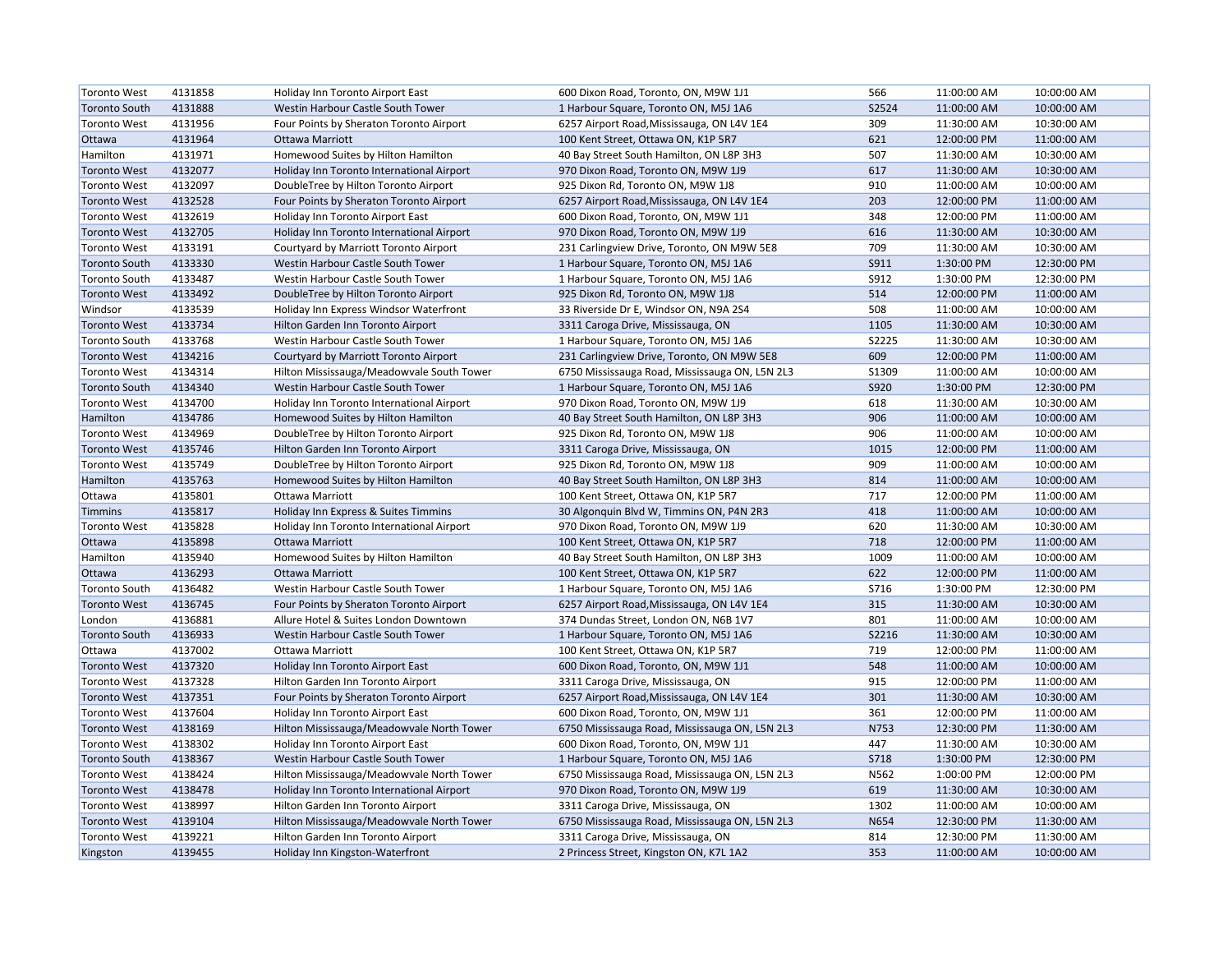| <b>Toronto West</b>  | 4131858 | Holiday Inn Toronto Airport East          | 600 Dixon Road, Toronto, ON, M9W 1J1           | 566         | 11:00:00 AM | 10:00:00 AM |
|----------------------|---------|-------------------------------------------|------------------------------------------------|-------------|-------------|-------------|
| <b>Toronto South</b> | 4131888 | Westin Harbour Castle South Tower         | 1 Harbour Square, Toronto ON, M5J 1A6          | S2524       | 11:00:00 AM | 10:00:00 AM |
| <b>Toronto West</b>  | 4131956 | Four Points by Sheraton Toronto Airport   | 6257 Airport Road, Mississauga, ON L4V 1E4     | 309         | 11:30:00 AM | 10:30:00 AM |
| Ottawa               | 4131964 | <b>Ottawa Marriott</b>                    | 100 Kent Street, Ottawa ON, K1P 5R7            | 621         | 12:00:00 PM | 11:00:00 AM |
| Hamilton             | 4131971 | Homewood Suites by Hilton Hamilton        | 40 Bay Street South Hamilton, ON L8P 3H3       | 507         | 11:30:00 AM | 10:30:00 AM |
| <b>Toronto West</b>  | 4132077 | Holiday Inn Toronto International Airport | 970 Dixon Road, Toronto ON, M9W 1J9            | 617         | 11:30:00 AM | 10:30:00 AM |
| <b>Toronto West</b>  | 4132097 | DoubleTree by Hilton Toronto Airport      | 925 Dixon Rd, Toronto ON, M9W 1J8              | 910         | 11:00:00 AM | 10:00:00 AM |
| <b>Toronto West</b>  | 4132528 | Four Points by Sheraton Toronto Airport   | 6257 Airport Road, Mississauga, ON L4V 1E4     | 203         | 12:00:00 PM | 11:00:00 AM |
| <b>Toronto West</b>  | 4132619 | Holiday Inn Toronto Airport East          | 600 Dixon Road, Toronto, ON, M9W 1J1           | 348         | 12:00:00 PM | 11:00:00 AM |
| <b>Toronto West</b>  | 4132705 | Holiday Inn Toronto International Airport | 970 Dixon Road, Toronto ON, M9W 1J9            | 616         | 11:30:00 AM | 10:30:00 AM |
| <b>Toronto West</b>  | 4133191 | Courtyard by Marriott Toronto Airport     | 231 Carlingview Drive, Toronto, ON M9W 5E8     | 709         | 11:30:00 AM | 10:30:00 AM |
| <b>Toronto South</b> | 4133330 | Westin Harbour Castle South Tower         | 1 Harbour Square, Toronto ON, M5J 1A6          | S911        | 1:30:00 PM  | 12:30:00 PM |
| <b>Toronto South</b> | 4133487 | Westin Harbour Castle South Tower         | 1 Harbour Square, Toronto ON, M5J 1A6          | S912        | 1:30:00 PM  | 12:30:00 PM |
| <b>Toronto West</b>  | 4133492 | DoubleTree by Hilton Toronto Airport      | 925 Dixon Rd, Toronto ON, M9W 1J8              | 514         | 12:00:00 PM | 11:00:00 AM |
| Windsor              | 4133539 | Holiday Inn Express Windsor Waterfront    | 33 Riverside Dr E, Windsor ON, N9A 2S4         | 508         | 11:00:00 AM | 10:00:00 AM |
| <b>Toronto West</b>  | 4133734 | Hilton Garden Inn Toronto Airport         | 3311 Caroga Drive, Mississauga, ON             | 1105        | 11:30:00 AM | 10:30:00 AM |
| <b>Toronto South</b> | 4133768 | Westin Harbour Castle South Tower         | 1 Harbour Square, Toronto ON, M5J 1A6          | S2225       | 11:30:00 AM | 10:30:00 AM |
| <b>Toronto West</b>  | 4134216 | Courtyard by Marriott Toronto Airport     | 231 Carlingview Drive, Toronto, ON M9W 5E8     | 609         | 12:00:00 PM | 11:00:00 AM |
| <b>Toronto West</b>  | 4134314 | Hilton Mississauga/Meadowvale South Tower | 6750 Mississauga Road, Mississauga ON, L5N 2L3 | S1309       | 11:00:00 AM | 10:00:00 AM |
| <b>Toronto South</b> | 4134340 | Westin Harbour Castle South Tower         | 1 Harbour Square, Toronto ON, M5J 1A6          | S920        | 1:30:00 PM  | 12:30:00 PM |
| <b>Toronto West</b>  | 4134700 | Holiday Inn Toronto International Airport | 970 Dixon Road, Toronto ON, M9W 1J9            | 618         | 11:30:00 AM | 10:30:00 AM |
| Hamilton             | 4134786 | Homewood Suites by Hilton Hamilton        | 40 Bay Street South Hamilton, ON L8P 3H3       | 906         | 11:00:00 AM | 10:00:00 AM |
| <b>Toronto West</b>  | 4134969 | DoubleTree by Hilton Toronto Airport      | 925 Dixon Rd, Toronto ON, M9W 1J8              | 906         | 11:00:00 AM | 10:00:00 AM |
| <b>Toronto West</b>  | 4135746 | Hilton Garden Inn Toronto Airport         | 3311 Caroga Drive, Mississauga, ON             | 1015        | 12:00:00 PM | 11:00:00 AM |
| <b>Toronto West</b>  | 4135749 | DoubleTree by Hilton Toronto Airport      | 925 Dixon Rd, Toronto ON, M9W 1J8              | 909         | 11:00:00 AM | 10:00:00 AM |
| Hamilton             | 4135763 | Homewood Suites by Hilton Hamilton        | 40 Bay Street South Hamilton, ON L8P 3H3       | 814         | 11:00:00 AM | 10:00:00 AM |
| Ottawa               | 4135801 | <b>Ottawa Marriott</b>                    | 100 Kent Street, Ottawa ON, K1P 5R7            | 717         | 12:00:00 PM | 11:00:00 AM |
| <b>Timmins</b>       | 4135817 | Holiday Inn Express & Suites Timmins      | 30 Algonquin Blvd W, Timmins ON, P4N 2R3       | 418         | 11:00:00 AM | 10:00:00 AM |
| <b>Toronto West</b>  | 4135828 | Holiday Inn Toronto International Airport | 970 Dixon Road, Toronto ON, M9W 1J9            | 620         | 11:30:00 AM | 10:30:00 AM |
| Ottawa               | 4135898 | <b>Ottawa Marriott</b>                    | 100 Kent Street, Ottawa ON, K1P 5R7            | 718         | 12:00:00 PM | 11:00:00 AM |
| Hamilton             | 4135940 | Homewood Suites by Hilton Hamilton        | 40 Bay Street South Hamilton, ON L8P 3H3       | 1009        | 11:00:00 AM | 10:00:00 AM |
| Ottawa               | 4136293 | <b>Ottawa Marriott</b>                    | 100 Kent Street, Ottawa ON, K1P 5R7            | 622         | 12:00:00 PM | 11:00:00 AM |
| <b>Toronto South</b> | 4136482 | Westin Harbour Castle South Tower         | 1 Harbour Square, Toronto ON, M5J 1A6          | S716        | 1:30:00 PM  | 12:30:00 PM |
| <b>Toronto West</b>  | 4136745 | Four Points by Sheraton Toronto Airport   | 6257 Airport Road, Mississauga, ON L4V 1E4     | 315         | 11:30:00 AM | 10:30:00 AM |
| London               | 4136881 | Allure Hotel & Suites London Downtown     | 374 Dundas Street, London ON, N6B 1V7          | 801         | 11:00:00 AM | 10:00:00 AM |
| <b>Toronto South</b> | 4136933 | Westin Harbour Castle South Tower         | 1 Harbour Square, Toronto ON, M5J 1A6          | S2216       | 11:30:00 AM | 10:30:00 AM |
| Ottawa               | 4137002 | <b>Ottawa Marriott</b>                    | 100 Kent Street, Ottawa ON, K1P 5R7            | 719         | 12:00:00 PM | 11:00:00 AM |
| <b>Toronto West</b>  | 4137320 | Holiday Inn Toronto Airport East          | 600 Dixon Road, Toronto, ON, M9W 1J1           | 548         | 11:00:00 AM | 10:00:00 AM |
| <b>Toronto West</b>  | 4137328 | Hilton Garden Inn Toronto Airport         | 3311 Caroga Drive, Mississauga, ON             | 915         | 12:00:00 PM | 11:00:00 AM |
| <b>Toronto West</b>  | 4137351 | Four Points by Sheraton Toronto Airport   | 6257 Airport Road, Mississauga, ON L4V 1E4     | 301         | 11:30:00 AM | 10:30:00 AM |
| <b>Toronto West</b>  | 4137604 | Holiday Inn Toronto Airport East          | 600 Dixon Road, Toronto, ON, M9W 1J1           | 361         | 12:00:00 PM | 11:00:00 AM |
| <b>Toronto West</b>  | 4138169 | Hilton Mississauga/Meadowvale North Tower | 6750 Mississauga Road, Mississauga ON, L5N 2L3 | N753        | 12:30:00 PM | 11:30:00 AM |
| <b>Toronto West</b>  | 4138302 | Holiday Inn Toronto Airport East          | 600 Dixon Road, Toronto, ON, M9W 1J1           | 447         | 11:30:00 AM | 10:30:00 AM |
| <b>Toronto South</b> | 4138367 | Westin Harbour Castle South Tower         | 1 Harbour Square, Toronto ON, M5J 1A6          | <b>S718</b> | 1:30:00 PM  | 12:30:00 PM |
| <b>Toronto West</b>  | 4138424 | Hilton Mississauga/Meadowvale North Tower | 6750 Mississauga Road, Mississauga ON, L5N 2L3 | N562        | 1:00:00 PM  | 12:00:00 PM |
| <b>Toronto West</b>  | 4138478 | Holiday Inn Toronto International Airport | 970 Dixon Road, Toronto ON, M9W 1J9            | 619         | 11:30:00 AM | 10:30:00 AM |
| <b>Toronto West</b>  | 4138997 | Hilton Garden Inn Toronto Airport         | 3311 Caroga Drive, Mississauga, ON             | 1302        | 11:00:00 AM | 10:00:00 AM |
| <b>Toronto West</b>  | 4139104 | Hilton Mississauga/Meadowvale North Tower | 6750 Mississauga Road, Mississauga ON, L5N 2L3 | N654        | 12:30:00 PM | 11:30:00 AM |
| <b>Toronto West</b>  | 4139221 | Hilton Garden Inn Toronto Airport         | 3311 Caroga Drive, Mississauga, ON             | 814         | 12:30:00 PM | 11:30:00 AM |
| Kingston             | 4139455 | Holiday Inn Kingston-Waterfront           | 2 Princess Street, Kingston ON, K7L 1A2        | 353         | 11:00:00 AM | 10:00:00 AM |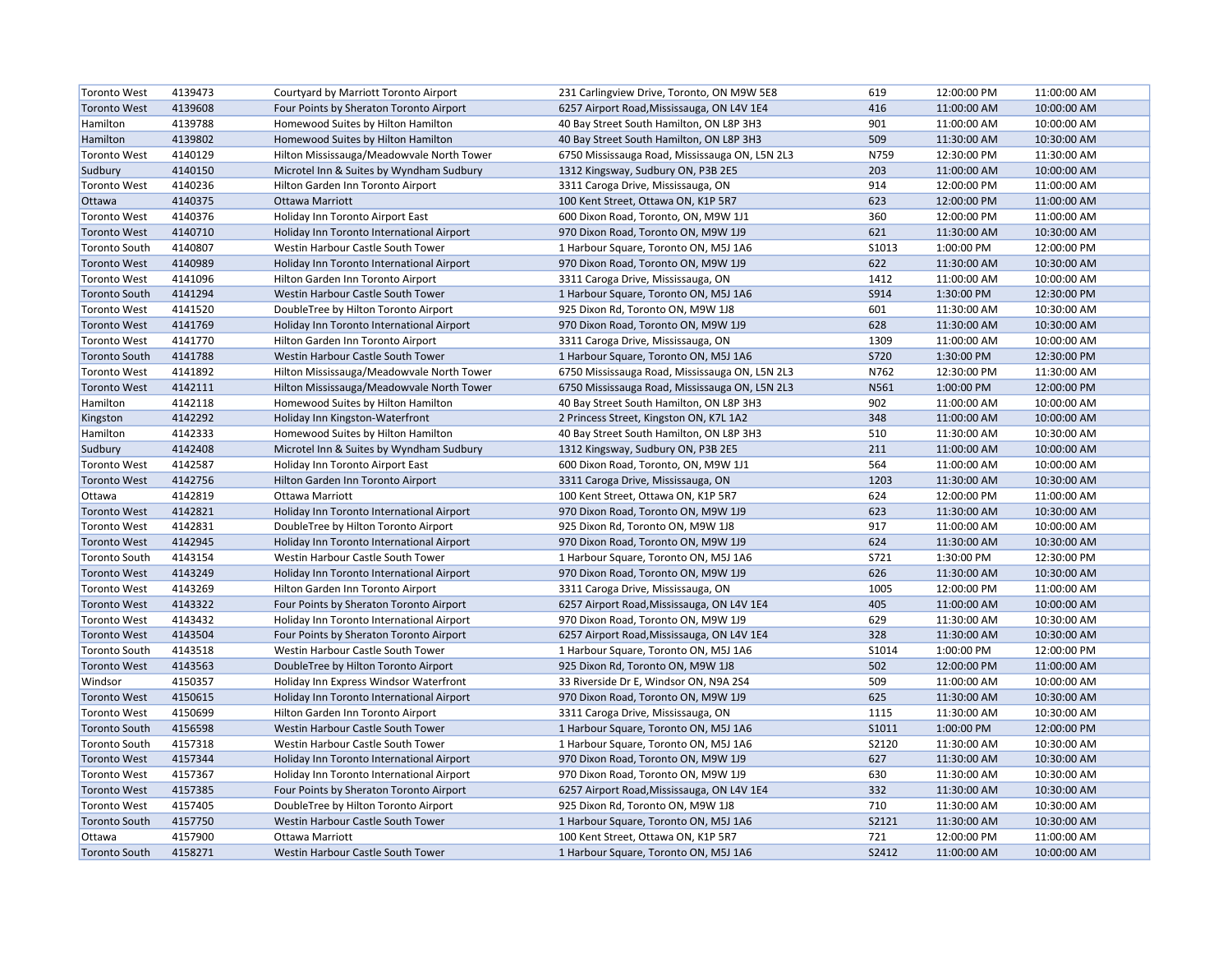| <b>Toronto West</b>  | 4139473 | Courtyard by Marriott Toronto Airport     | 231 Carlingview Drive, Toronto, ON M9W 5E8     | 619         | 12:00:00 PM | 11:00:00 AM |
|----------------------|---------|-------------------------------------------|------------------------------------------------|-------------|-------------|-------------|
| <b>Toronto West</b>  | 4139608 | Four Points by Sheraton Toronto Airport   | 6257 Airport Road, Mississauga, ON L4V 1E4     | 416         | 11:00:00 AM | 10:00:00 AM |
| Hamilton             | 4139788 | Homewood Suites by Hilton Hamilton        | 40 Bay Street South Hamilton, ON L8P 3H3       | 901         | 11:00:00 AM | 10:00:00 AM |
| Hamilton             | 4139802 | Homewood Suites by Hilton Hamilton        | 40 Bay Street South Hamilton, ON L8P 3H3       | 509         | 11:30:00 AM | 10:30:00 AM |
| <b>Toronto West</b>  | 4140129 | Hilton Mississauga/Meadowvale North Tower | 6750 Mississauga Road, Mississauga ON, L5N 2L3 | N759        | 12:30:00 PM | 11:30:00 AM |
| Sudbury              | 4140150 | Microtel Inn & Suites by Wyndham Sudbury  | 1312 Kingsway, Sudbury ON, P3B 2E5             | 203         | 11:00:00 AM | 10:00:00 AM |
| <b>Toronto West</b>  | 4140236 | Hilton Garden Inn Toronto Airport         | 3311 Caroga Drive, Mississauga, ON             | 914         | 12:00:00 PM | 11:00:00 AM |
| Ottawa               | 4140375 | <b>Ottawa Marriott</b>                    | 100 Kent Street, Ottawa ON, K1P 5R7            | 623         | 12:00:00 PM | 11:00:00 AM |
| <b>Toronto West</b>  | 4140376 | Holiday Inn Toronto Airport East          | 600 Dixon Road, Toronto, ON, M9W 1J1           | 360         | 12:00:00 PM | 11:00:00 AM |
| <b>Toronto West</b>  | 4140710 | Holiday Inn Toronto International Airport | 970 Dixon Road, Toronto ON, M9W 1J9            | 621         | 11:30:00 AM | 10:30:00 AM |
| <b>Toronto South</b> | 4140807 | Westin Harbour Castle South Tower         | 1 Harbour Square, Toronto ON, M5J 1A6          | S1013       | 1:00:00 PM  | 12:00:00 PM |
| <b>Toronto West</b>  | 4140989 | Holiday Inn Toronto International Airport | 970 Dixon Road, Toronto ON, M9W 1J9            | 622         | 11:30:00 AM | 10:30:00 AM |
| <b>Toronto West</b>  | 4141096 | Hilton Garden Inn Toronto Airport         | 3311 Caroga Drive, Mississauga, ON             | 1412        | 11:00:00 AM | 10:00:00 AM |
| <b>Toronto South</b> | 4141294 | Westin Harbour Castle South Tower         | 1 Harbour Square, Toronto ON, M5J 1A6          | S914        | 1:30:00 PM  | 12:30:00 PM |
| <b>Toronto West</b>  | 4141520 | DoubleTree by Hilton Toronto Airport      | 925 Dixon Rd, Toronto ON, M9W 1J8              | 601         | 11:30:00 AM | 10:30:00 AM |
| <b>Toronto West</b>  | 4141769 | Holiday Inn Toronto International Airport | 970 Dixon Road, Toronto ON, M9W 1J9            | 628         | 11:30:00 AM | 10:30:00 AM |
| <b>Toronto West</b>  | 4141770 | Hilton Garden Inn Toronto Airport         | 3311 Caroga Drive, Mississauga, ON             | 1309        | 11:00:00 AM | 10:00:00 AM |
| <b>Toronto South</b> | 4141788 | Westin Harbour Castle South Tower         | 1 Harbour Square, Toronto ON, M5J 1A6          | <b>S720</b> | 1:30:00 PM  | 12:30:00 PM |
| <b>Toronto West</b>  | 4141892 | Hilton Mississauga/Meadowvale North Tower | 6750 Mississauga Road, Mississauga ON, L5N 2L3 | N762        | 12:30:00 PM | 11:30:00 AM |
| <b>Toronto West</b>  | 4142111 | Hilton Mississauga/Meadowvale North Tower | 6750 Mississauga Road, Mississauga ON, L5N 2L3 | N561        | 1:00:00 PM  | 12:00:00 PM |
| Hamilton             | 4142118 | Homewood Suites by Hilton Hamilton        | 40 Bay Street South Hamilton, ON L8P 3H3       | 902         | 11:00:00 AM | 10:00:00 AM |
| Kingston             | 4142292 | Holiday Inn Kingston-Waterfront           | 2 Princess Street, Kingston ON, K7L 1A2        | 348         | 11:00:00 AM | 10:00:00 AM |
| Hamilton             | 4142333 | Homewood Suites by Hilton Hamilton        | 40 Bay Street South Hamilton, ON L8P 3H3       | 510         | 11:30:00 AM | 10:30:00 AM |
| Sudbury              | 4142408 | Microtel Inn & Suites by Wyndham Sudbury  | 1312 Kingsway, Sudbury ON, P3B 2E5             | 211         | 11:00:00 AM | 10:00:00 AM |
| <b>Toronto West</b>  | 4142587 | Holiday Inn Toronto Airport East          | 600 Dixon Road, Toronto, ON, M9W 1J1           | 564         | 11:00:00 AM | 10:00:00 AM |
| <b>Toronto West</b>  | 4142756 | Hilton Garden Inn Toronto Airport         | 3311 Caroga Drive, Mississauga, ON             | 1203        | 11:30:00 AM | 10:30:00 AM |
| Ottawa               | 4142819 | Ottawa Marriott                           | 100 Kent Street, Ottawa ON, K1P 5R7            | 624         | 12:00:00 PM | 11:00:00 AM |
| <b>Toronto West</b>  | 4142821 | Holiday Inn Toronto International Airport | 970 Dixon Road, Toronto ON, M9W 1J9            | 623         | 11:30:00 AM | 10:30:00 AM |
| <b>Toronto West</b>  | 4142831 | DoubleTree by Hilton Toronto Airport      | 925 Dixon Rd, Toronto ON, M9W 1J8              | 917         | 11:00:00 AM | 10:00:00 AM |
| <b>Toronto West</b>  | 4142945 | Holiday Inn Toronto International Airport | 970 Dixon Road, Toronto ON, M9W 1J9            | 624         | 11:30:00 AM | 10:30:00 AM |
| <b>Toronto South</b> | 4143154 | Westin Harbour Castle South Tower         | 1 Harbour Square, Toronto ON, M5J 1A6          | S721        | 1:30:00 PM  | 12:30:00 PM |
| <b>Toronto West</b>  | 4143249 | Holiday Inn Toronto International Airport | 970 Dixon Road, Toronto ON, M9W 1J9            | 626         | 11:30:00 AM | 10:30:00 AM |
| <b>Toronto West</b>  | 4143269 | Hilton Garden Inn Toronto Airport         | 3311 Caroga Drive, Mississauga, ON             | 1005        | 12:00:00 PM | 11:00:00 AM |
| <b>Toronto West</b>  | 4143322 | Four Points by Sheraton Toronto Airport   | 6257 Airport Road, Mississauga, ON L4V 1E4     | 405         | 11:00:00 AM | 10:00:00 AM |
| <b>Toronto West</b>  | 4143432 | Holiday Inn Toronto International Airport | 970 Dixon Road, Toronto ON, M9W 1J9            | 629         | 11:30:00 AM | 10:30:00 AM |
| <b>Toronto West</b>  | 4143504 | Four Points by Sheraton Toronto Airport   | 6257 Airport Road, Mississauga, ON L4V 1E4     | 328         | 11:30:00 AM | 10:30:00 AM |
| <b>Toronto South</b> | 4143518 | Westin Harbour Castle South Tower         | 1 Harbour Square, Toronto ON, M5J 1A6          | S1014       | 1:00:00 PM  | 12:00:00 PM |
| <b>Toronto West</b>  | 4143563 | DoubleTree by Hilton Toronto Airport      | 925 Dixon Rd, Toronto ON, M9W 1J8              | 502         | 12:00:00 PM | 11:00:00 AM |
| Windsor              | 4150357 | Holiday Inn Express Windsor Waterfront    | 33 Riverside Dr E, Windsor ON, N9A 2S4         | 509         | 11:00:00 AM | 10:00:00 AM |
| <b>Toronto West</b>  | 4150615 | Holiday Inn Toronto International Airport | 970 Dixon Road, Toronto ON, M9W 1J9            | 625         | 11:30:00 AM | 10:30:00 AM |
| <b>Toronto West</b>  | 4150699 | Hilton Garden Inn Toronto Airport         | 3311 Caroga Drive, Mississauga, ON             | 1115        | 11:30:00 AM | 10:30:00 AM |
| <b>Toronto South</b> | 4156598 | Westin Harbour Castle South Tower         | 1 Harbour Square, Toronto ON, M5J 1A6          | S1011       | 1:00:00 PM  | 12:00:00 PM |
| <b>Toronto South</b> | 4157318 | Westin Harbour Castle South Tower         | 1 Harbour Square, Toronto ON, M5J 1A6          | S2120       | 11:30:00 AM | 10:30:00 AM |
| <b>Toronto West</b>  | 4157344 | Holiday Inn Toronto International Airport | 970 Dixon Road, Toronto ON, M9W 1J9            | 627         | 11:30:00 AM | 10:30:00 AM |
| <b>Toronto West</b>  | 4157367 | Holiday Inn Toronto International Airport | 970 Dixon Road, Toronto ON, M9W 1J9            | 630         | 11:30:00 AM | 10:30:00 AM |
| <b>Toronto West</b>  | 4157385 | Four Points by Sheraton Toronto Airport   | 6257 Airport Road, Mississauga, ON L4V 1E4     | 332         | 11:30:00 AM | 10:30:00 AM |
| <b>Toronto West</b>  | 4157405 | DoubleTree by Hilton Toronto Airport      | 925 Dixon Rd, Toronto ON, M9W 1J8              | 710         | 11:30:00 AM | 10:30:00 AM |
| <b>Toronto South</b> | 4157750 | Westin Harbour Castle South Tower         | 1 Harbour Square, Toronto ON, M5J 1A6          | S2121       | 11:30:00 AM | 10:30:00 AM |
| Ottawa               | 4157900 | Ottawa Marriott                           | 100 Kent Street, Ottawa ON, K1P 5R7            | 721         | 12:00:00 PM | 11:00:00 AM |
| <b>Toronto South</b> | 4158271 | Westin Harbour Castle South Tower         | 1 Harbour Square, Toronto ON, M5J 1A6          | S2412       | 11:00:00 AM | 10:00:00 AM |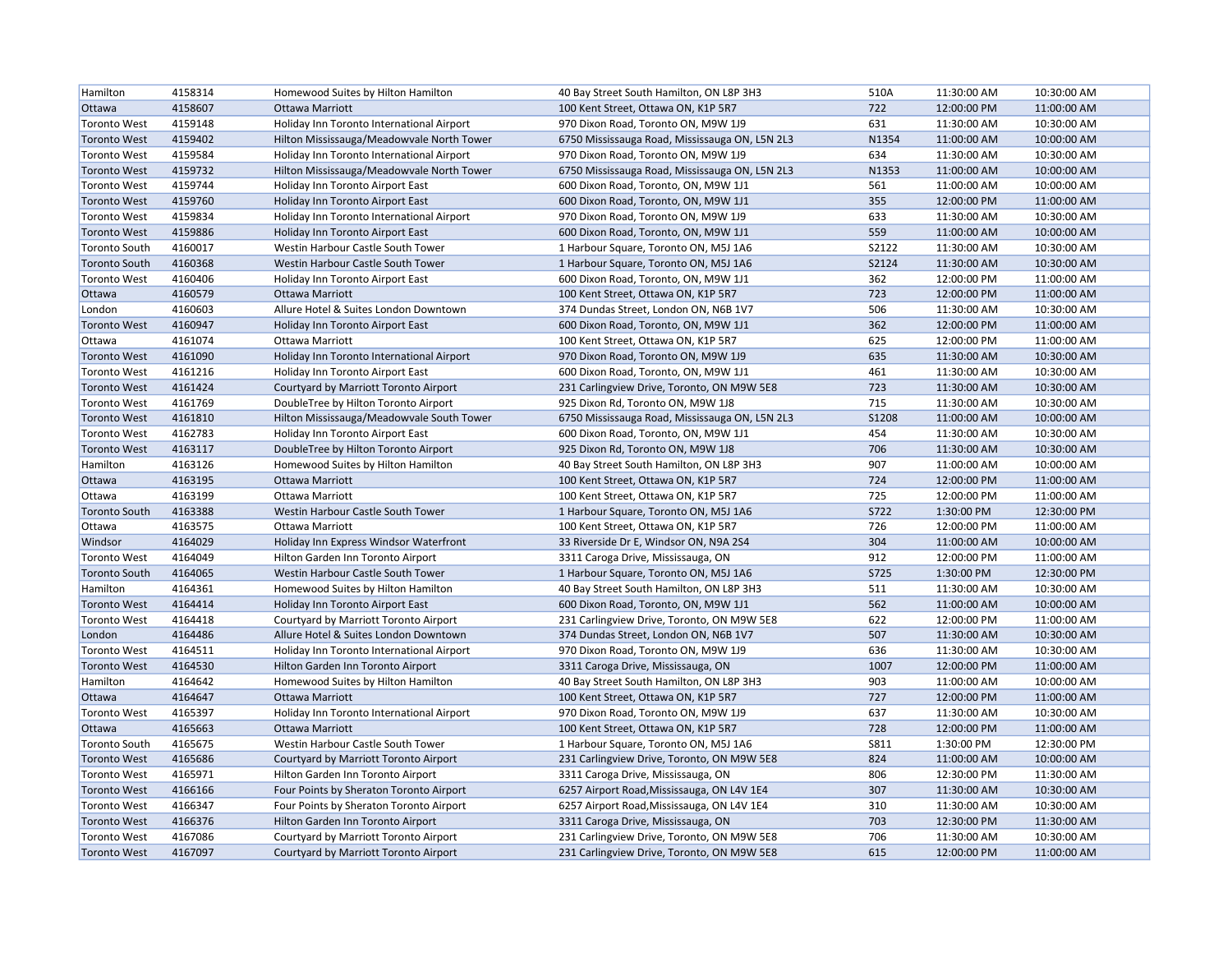| Hamilton             | 4158314 | Homewood Suites by Hilton Hamilton        | 40 Bay Street South Hamilton, ON L8P 3H3       | 510A         | 11:30:00 AM | 10:30:00 AM |
|----------------------|---------|-------------------------------------------|------------------------------------------------|--------------|-------------|-------------|
| Ottawa               | 4158607 | <b>Ottawa Marriott</b>                    | 100 Kent Street, Ottawa ON, K1P 5R7            | 722          | 12:00:00 PM | 11:00:00 AM |
| <b>Toronto West</b>  | 4159148 | Holiday Inn Toronto International Airport | 970 Dixon Road, Toronto ON, M9W 1J9            | 631          | 11:30:00 AM | 10:30:00 AM |
| <b>Toronto West</b>  | 4159402 | Hilton Mississauga/Meadowvale North Tower | 6750 Mississauga Road, Mississauga ON, L5N 2L3 | N1354        | 11:00:00 AM | 10:00:00 AM |
| <b>Toronto West</b>  | 4159584 | Holiday Inn Toronto International Airport | 970 Dixon Road, Toronto ON, M9W 1J9            | 634          | 11:30:00 AM | 10:30:00 AM |
| <b>Toronto West</b>  | 4159732 | Hilton Mississauga/Meadowvale North Tower | 6750 Mississauga Road, Mississauga ON, L5N 2L3 | N1353        | 11:00:00 AM | 10:00:00 AM |
| <b>Toronto West</b>  | 4159744 | Holiday Inn Toronto Airport East          | 600 Dixon Road, Toronto, ON, M9W 1J1           | 561          | 11:00:00 AM | 10:00:00 AM |
| <b>Toronto West</b>  | 4159760 | Holiday Inn Toronto Airport East          | 600 Dixon Road, Toronto, ON, M9W 1J1           | 355          | 12:00:00 PM | 11:00:00 AM |
| <b>Toronto West</b>  | 4159834 | Holiday Inn Toronto International Airport | 970 Dixon Road, Toronto ON, M9W 1J9            | 633          | 11:30:00 AM | 10:30:00 AM |
| <b>Toronto West</b>  | 4159886 | Holiday Inn Toronto Airport East          | 600 Dixon Road, Toronto, ON, M9W 1J1           | 559          | 11:00:00 AM | 10:00:00 AM |
| <b>Toronto South</b> | 4160017 | Westin Harbour Castle South Tower         | 1 Harbour Square, Toronto ON, M5J 1A6          | S2122        | 11:30:00 AM | 10:30:00 AM |
| <b>Toronto South</b> | 4160368 | Westin Harbour Castle South Tower         | 1 Harbour Square, Toronto ON, M5J 1A6          | S2124        | 11:30:00 AM | 10:30:00 AM |
| <b>Toronto West</b>  | 4160406 | Holiday Inn Toronto Airport East          | 600 Dixon Road, Toronto, ON, M9W 1J1           | 362          | 12:00:00 PM | 11:00:00 AM |
| Ottawa               | 4160579 | Ottawa Marriott                           | 100 Kent Street, Ottawa ON, K1P 5R7            | 723          | 12:00:00 PM | 11:00:00 AM |
| London               | 4160603 | Allure Hotel & Suites London Downtown     | 374 Dundas Street, London ON, N6B 1V7          | 506          | 11:30:00 AM | 10:30:00 AM |
| <b>Toronto West</b>  | 4160947 | Holiday Inn Toronto Airport East          | 600 Dixon Road, Toronto, ON, M9W 1J1           | 362          | 12:00:00 PM | 11:00:00 AM |
| Ottawa               | 4161074 | Ottawa Marriott                           | 100 Kent Street, Ottawa ON, K1P 5R7            | 625          | 12:00:00 PM | 11:00:00 AM |
| <b>Toronto West</b>  | 4161090 | Holiday Inn Toronto International Airport | 970 Dixon Road, Toronto ON, M9W 1J9            | 635          | 11:30:00 AM | 10:30:00 AM |
| <b>Toronto West</b>  | 4161216 | Holiday Inn Toronto Airport East          | 600 Dixon Road, Toronto, ON, M9W 1J1           | 461          | 11:30:00 AM | 10:30:00 AM |
| <b>Toronto West</b>  | 4161424 | Courtyard by Marriott Toronto Airport     | 231 Carlingview Drive, Toronto, ON M9W 5E8     | 723          | 11:30:00 AM | 10:30:00 AM |
| <b>Toronto West</b>  | 4161769 | DoubleTree by Hilton Toronto Airport      | 925 Dixon Rd, Toronto ON, M9W 1J8              | 715          | 11:30:00 AM | 10:30:00 AM |
| <b>Toronto West</b>  | 4161810 | Hilton Mississauga/Meadowvale South Tower | 6750 Mississauga Road, Mississauga ON, L5N 2L3 | <b>S1208</b> | 11:00:00 AM | 10:00:00 AM |
| <b>Toronto West</b>  | 4162783 | Holiday Inn Toronto Airport East          | 600 Dixon Road, Toronto, ON, M9W 1J1           | 454          | 11:30:00 AM | 10:30:00 AM |
| <b>Toronto West</b>  | 4163117 | DoubleTree by Hilton Toronto Airport      | 925 Dixon Rd, Toronto ON, M9W 1J8              | 706          | 11:30:00 AM | 10:30:00 AM |
| Hamilton             | 4163126 | Homewood Suites by Hilton Hamilton        | 40 Bay Street South Hamilton, ON L8P 3H3       | 907          | 11:00:00 AM | 10:00:00 AM |
| Ottawa               | 4163195 | Ottawa Marriott                           | 100 Kent Street, Ottawa ON, K1P 5R7            | 724          | 12:00:00 PM | 11:00:00 AM |
| Ottawa               | 4163199 | Ottawa Marriott                           | 100 Kent Street, Ottawa ON, K1P 5R7            | 725          | 12:00:00 PM | 11:00:00 AM |
| <b>Toronto South</b> | 4163388 | Westin Harbour Castle South Tower         | 1 Harbour Square, Toronto ON, M5J 1A6          | <b>S722</b>  | 1:30:00 PM  | 12:30:00 PM |
| Ottawa               | 4163575 | Ottawa Marriott                           | 100 Kent Street, Ottawa ON, K1P 5R7            | 726          | 12:00:00 PM | 11:00:00 AM |
| Windsor              | 4164029 | Holiday Inn Express Windsor Waterfront    | 33 Riverside Dr E, Windsor ON, N9A 2S4         | 304          | 11:00:00 AM | 10:00:00 AM |
| <b>Toronto West</b>  | 4164049 | Hilton Garden Inn Toronto Airport         | 3311 Caroga Drive, Mississauga, ON             | 912          | 12:00:00 PM | 11:00:00 AM |
| <b>Toronto South</b> | 4164065 | Westin Harbour Castle South Tower         | 1 Harbour Square, Toronto ON, M5J 1A6          | <b>S725</b>  | 1:30:00 PM  | 12:30:00 PM |
| Hamilton             | 4164361 | Homewood Suites by Hilton Hamilton        | 40 Bay Street South Hamilton, ON L8P 3H3       | 511          | 11:30:00 AM | 10:30:00 AM |
| <b>Toronto West</b>  | 4164414 | Holiday Inn Toronto Airport East          | 600 Dixon Road, Toronto, ON, M9W 1J1           | 562          | 11:00:00 AM | 10:00:00 AM |
| <b>Toronto West</b>  | 4164418 | Courtyard by Marriott Toronto Airport     | 231 Carlingview Drive, Toronto, ON M9W 5E8     | 622          | 12:00:00 PM | 11:00:00 AM |
| London               | 4164486 | Allure Hotel & Suites London Downtown     | 374 Dundas Street, London ON, N6B 1V7          | 507          | 11:30:00 AM | 10:30:00 AM |
| <b>Toronto West</b>  | 4164511 | Holiday Inn Toronto International Airport | 970 Dixon Road, Toronto ON, M9W 1J9            | 636          | 11:30:00 AM | 10:30:00 AM |
| <b>Toronto West</b>  | 4164530 | Hilton Garden Inn Toronto Airport         | 3311 Caroga Drive, Mississauga, ON             | 1007         | 12:00:00 PM | 11:00:00 AM |
| Hamilton             | 4164642 | Homewood Suites by Hilton Hamilton        | 40 Bay Street South Hamilton, ON L8P 3H3       | 903          | 11:00:00 AM | 10:00:00 AM |
| Ottawa               | 4164647 | <b>Ottawa Marriott</b>                    | 100 Kent Street, Ottawa ON, K1P 5R7            | 727          | 12:00:00 PM | 11:00:00 AM |
| <b>Toronto West</b>  | 4165397 | Holiday Inn Toronto International Airport | 970 Dixon Road, Toronto ON, M9W 1J9            | 637          | 11:30:00 AM | 10:30:00 AM |
| Ottawa               | 4165663 | <b>Ottawa Marriott</b>                    | 100 Kent Street, Ottawa ON, K1P 5R7            | 728          | 12:00:00 PM | 11:00:00 AM |
| <b>Toronto South</b> | 4165675 | Westin Harbour Castle South Tower         | 1 Harbour Square, Toronto ON, M5J 1A6          | <b>S811</b>  | 1:30:00 PM  | 12:30:00 PM |
| <b>Toronto West</b>  | 4165686 | Courtyard by Marriott Toronto Airport     | 231 Carlingview Drive, Toronto, ON M9W 5E8     | 824          | 11:00:00 AM | 10:00:00 AM |
| <b>Toronto West</b>  | 4165971 | Hilton Garden Inn Toronto Airport         | 3311 Caroga Drive, Mississauga, ON             | 806          | 12:30:00 PM | 11:30:00 AM |
| <b>Toronto West</b>  | 4166166 | Four Points by Sheraton Toronto Airport   | 6257 Airport Road, Mississauga, ON L4V 1E4     | 307          | 11:30:00 AM | 10:30:00 AM |
| <b>Toronto West</b>  | 4166347 | Four Points by Sheraton Toronto Airport   | 6257 Airport Road, Mississauga, ON L4V 1E4     | 310          | 11:30:00 AM | 10:30:00 AM |
| <b>Toronto West</b>  | 4166376 | Hilton Garden Inn Toronto Airport         | 3311 Caroga Drive, Mississauga, ON             | 703          | 12:30:00 PM | 11:30:00 AM |
| <b>Toronto West</b>  | 4167086 | Courtyard by Marriott Toronto Airport     | 231 Carlingview Drive, Toronto, ON M9W 5E8     | 706          | 11:30:00 AM | 10:30:00 AM |
| <b>Toronto West</b>  | 4167097 | Courtyard by Marriott Toronto Airport     | 231 Carlingview Drive, Toronto, ON M9W 5E8     | 615          | 12:00:00 PM | 11:00:00 AM |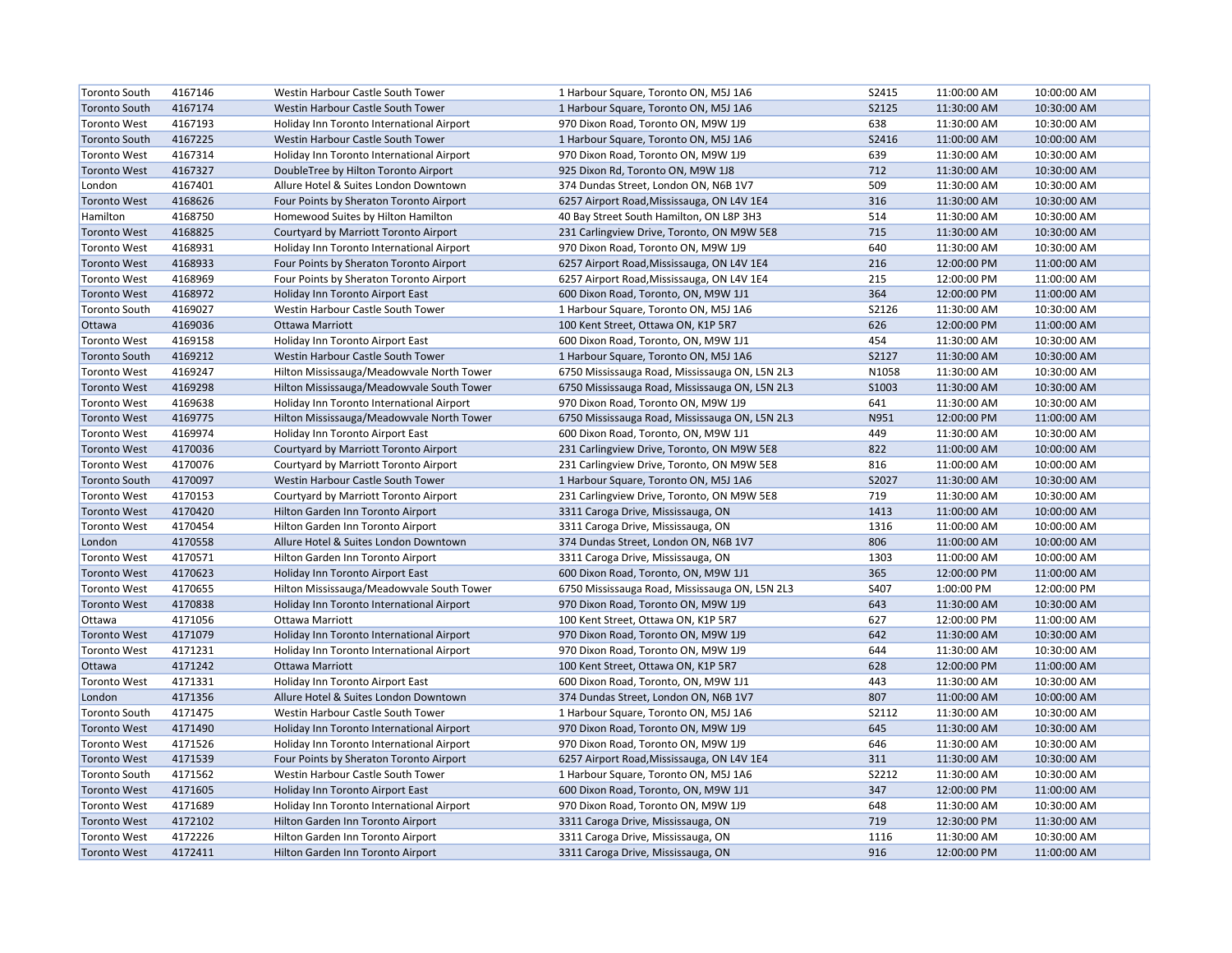| <b>Toronto South</b> | 4167146 | Westin Harbour Castle South Tower         | 1 Harbour Square, Toronto ON, M5J 1A6          | S2415 | 11:00:00 AM | 10:00:00 AM |
|----------------------|---------|-------------------------------------------|------------------------------------------------|-------|-------------|-------------|
| <b>Toronto South</b> | 4167174 | Westin Harbour Castle South Tower         | 1 Harbour Square, Toronto ON, M5J 1A6          | S2125 | 11:30:00 AM | 10:30:00 AM |
| <b>Toronto West</b>  | 4167193 | Holiday Inn Toronto International Airport | 970 Dixon Road, Toronto ON, M9W 1J9            | 638   | 11:30:00 AM | 10:30:00 AM |
| <b>Toronto South</b> | 4167225 | Westin Harbour Castle South Tower         | 1 Harbour Square, Toronto ON, M5J 1A6          | S2416 | 11:00:00 AM | 10:00:00 AM |
| <b>Toronto West</b>  | 4167314 | Holiday Inn Toronto International Airport | 970 Dixon Road, Toronto ON, M9W 1J9            | 639   | 11:30:00 AM | 10:30:00 AM |
| <b>Toronto West</b>  | 4167327 | DoubleTree by Hilton Toronto Airport      | 925 Dixon Rd, Toronto ON, M9W 1J8              | 712   | 11:30:00 AM | 10:30:00 AM |
| London               | 4167401 | Allure Hotel & Suites London Downtown     | 374 Dundas Street, London ON, N6B 1V7          | 509   | 11:30:00 AM | 10:30:00 AM |
| <b>Toronto West</b>  | 4168626 | Four Points by Sheraton Toronto Airport   | 6257 Airport Road, Mississauga, ON L4V 1E4     | 316   | 11:30:00 AM | 10:30:00 AM |
| Hamilton             | 4168750 | Homewood Suites by Hilton Hamilton        | 40 Bay Street South Hamilton, ON L8P 3H3       | 514   | 11:30:00 AM | 10:30:00 AM |
| <b>Toronto West</b>  | 4168825 | Courtyard by Marriott Toronto Airport     | 231 Carlingview Drive, Toronto, ON M9W 5E8     | 715   | 11:30:00 AM | 10:30:00 AM |
| <b>Toronto West</b>  | 4168931 | Holiday Inn Toronto International Airport | 970 Dixon Road, Toronto ON, M9W 1J9            | 640   | 11:30:00 AM | 10:30:00 AM |
| <b>Toronto West</b>  | 4168933 | Four Points by Sheraton Toronto Airport   | 6257 Airport Road, Mississauga, ON L4V 1E4     | 216   | 12:00:00 PM | 11:00:00 AM |
| <b>Toronto West</b>  | 4168969 | Four Points by Sheraton Toronto Airport   | 6257 Airport Road, Mississauga, ON L4V 1E4     | 215   | 12:00:00 PM | 11:00:00 AM |
| <b>Toronto West</b>  | 4168972 | Holiday Inn Toronto Airport East          | 600 Dixon Road, Toronto, ON, M9W 1J1           | 364   | 12:00:00 PM | 11:00:00 AM |
| <b>Toronto South</b> | 4169027 | Westin Harbour Castle South Tower         | 1 Harbour Square, Toronto ON, M5J 1A6          | S2126 | 11:30:00 AM | 10:30:00 AM |
| Ottawa               | 4169036 | <b>Ottawa Marriott</b>                    | 100 Kent Street, Ottawa ON, K1P 5R7            | 626   | 12:00:00 PM | 11:00:00 AM |
| <b>Toronto West</b>  | 4169158 | Holiday Inn Toronto Airport East          | 600 Dixon Road, Toronto, ON, M9W 1J1           | 454   | 11:30:00 AM | 10:30:00 AM |
| <b>Toronto South</b> | 4169212 | Westin Harbour Castle South Tower         | 1 Harbour Square, Toronto ON, M5J 1A6          | S2127 | 11:30:00 AM | 10:30:00 AM |
| <b>Toronto West</b>  | 4169247 | Hilton Mississauga/Meadowvale North Tower | 6750 Mississauga Road, Mississauga ON, L5N 2L3 | N1058 | 11:30:00 AM | 10:30:00 AM |
| <b>Toronto West</b>  | 4169298 | Hilton Mississauga/Meadowvale South Tower | 6750 Mississauga Road, Mississauga ON, L5N 2L3 | S1003 | 11:30:00 AM | 10:30:00 AM |
| <b>Toronto West</b>  | 4169638 | Holiday Inn Toronto International Airport | 970 Dixon Road, Toronto ON, M9W 1J9            | 641   | 11:30:00 AM | 10:30:00 AM |
| <b>Toronto West</b>  | 4169775 | Hilton Mississauga/Meadowvale North Tower | 6750 Mississauga Road, Mississauga ON, L5N 2L3 | N951  | 12:00:00 PM | 11:00:00 AM |
| <b>Toronto West</b>  | 4169974 | Holiday Inn Toronto Airport East          | 600 Dixon Road, Toronto, ON, M9W 1J1           | 449   | 11:30:00 AM | 10:30:00 AM |
| <b>Toronto West</b>  | 4170036 | Courtyard by Marriott Toronto Airport     | 231 Carlingview Drive, Toronto, ON M9W 5E8     | 822   | 11:00:00 AM | 10:00:00 AM |
| <b>Toronto West</b>  | 4170076 | Courtyard by Marriott Toronto Airport     | 231 Carlingview Drive, Toronto, ON M9W 5E8     | 816   | 11:00:00 AM | 10:00:00 AM |
| <b>Toronto South</b> | 4170097 | Westin Harbour Castle South Tower         | 1 Harbour Square, Toronto ON, M5J 1A6          | S2027 | 11:30:00 AM | 10:30:00 AM |
| <b>Toronto West</b>  | 4170153 | Courtyard by Marriott Toronto Airport     | 231 Carlingview Drive, Toronto, ON M9W 5E8     | 719   | 11:30:00 AM | 10:30:00 AM |
| <b>Toronto West</b>  | 4170420 | Hilton Garden Inn Toronto Airport         | 3311 Caroga Drive, Mississauga, ON             | 1413  | 11:00:00 AM | 10:00:00 AM |
| <b>Toronto West</b>  | 4170454 | Hilton Garden Inn Toronto Airport         | 3311 Caroga Drive, Mississauga, ON             | 1316  | 11:00:00 AM | 10:00:00 AM |
| London               | 4170558 | Allure Hotel & Suites London Downtown     | 374 Dundas Street, London ON, N6B 1V7          | 806   | 11:00:00 AM | 10:00:00 AM |
| <b>Toronto West</b>  | 4170571 | Hilton Garden Inn Toronto Airport         | 3311 Caroga Drive, Mississauga, ON             | 1303  | 11:00:00 AM | 10:00:00 AM |
| <b>Toronto West</b>  | 4170623 | Holiday Inn Toronto Airport East          | 600 Dixon Road, Toronto, ON, M9W 1J1           | 365   | 12:00:00 PM | 11:00:00 AM |
| <b>Toronto West</b>  | 4170655 | Hilton Mississauga/Meadowvale South Tower | 6750 Mississauga Road, Mississauga ON, L5N 2L3 | S407  | 1:00:00 PM  | 12:00:00 PM |
| <b>Toronto West</b>  | 4170838 | Holiday Inn Toronto International Airport | 970 Dixon Road, Toronto ON, M9W 1J9            | 643   | 11:30:00 AM | 10:30:00 AM |
| Ottawa               | 4171056 | Ottawa Marriott                           | 100 Kent Street, Ottawa ON, K1P 5R7            | 627   | 12:00:00 PM | 11:00:00 AM |
| <b>Toronto West</b>  | 4171079 | Holiday Inn Toronto International Airport | 970 Dixon Road, Toronto ON, M9W 1J9            | 642   | 11:30:00 AM | 10:30:00 AM |
| <b>Toronto West</b>  | 4171231 | Holiday Inn Toronto International Airport | 970 Dixon Road, Toronto ON, M9W 1J9            | 644   | 11:30:00 AM | 10:30:00 AM |
| Ottawa               | 4171242 | <b>Ottawa Marriott</b>                    | 100 Kent Street, Ottawa ON, K1P 5R7            | 628   | 12:00:00 PM | 11:00:00 AM |
| <b>Toronto West</b>  | 4171331 | Holiday Inn Toronto Airport East          | 600 Dixon Road, Toronto, ON, M9W 1J1           | 443   | 11:30:00 AM | 10:30:00 AM |
| London               | 4171356 | Allure Hotel & Suites London Downtown     | 374 Dundas Street, London ON, N6B 1V7          | 807   | 11:00:00 AM | 10:00:00 AM |
| <b>Toronto South</b> | 4171475 | Westin Harbour Castle South Tower         | 1 Harbour Square, Toronto ON, M5J 1A6          | S2112 | 11:30:00 AM | 10:30:00 AM |
| <b>Toronto West</b>  | 4171490 | Holiday Inn Toronto International Airport | 970 Dixon Road, Toronto ON, M9W 1J9            | 645   | 11:30:00 AM | 10:30:00 AM |
| <b>Toronto West</b>  | 4171526 | Holiday Inn Toronto International Airport | 970 Dixon Road, Toronto ON, M9W 1J9            | 646   | 11:30:00 AM | 10:30:00 AM |
| <b>Toronto West</b>  | 4171539 | Four Points by Sheraton Toronto Airport   | 6257 Airport Road, Mississauga, ON L4V 1E4     | 311   | 11:30:00 AM | 10:30:00 AM |
| <b>Toronto South</b> | 4171562 | Westin Harbour Castle South Tower         | 1 Harbour Square, Toronto ON, M5J 1A6          | S2212 | 11:30:00 AM | 10:30:00 AM |
| <b>Toronto West</b>  | 4171605 | Holiday Inn Toronto Airport East          | 600 Dixon Road, Toronto, ON, M9W 1J1           | 347   | 12:00:00 PM | 11:00:00 AM |
| <b>Toronto West</b>  | 4171689 | Holiday Inn Toronto International Airport | 970 Dixon Road, Toronto ON, M9W 1J9            | 648   | 11:30:00 AM | 10:30:00 AM |
| <b>Toronto West</b>  | 4172102 | Hilton Garden Inn Toronto Airport         | 3311 Caroga Drive, Mississauga, ON             | 719   | 12:30:00 PM | 11:30:00 AM |
| <b>Toronto West</b>  | 4172226 | Hilton Garden Inn Toronto Airport         | 3311 Caroga Drive, Mississauga, ON             | 1116  | 11:30:00 AM | 10:30:00 AM |
| <b>Toronto West</b>  | 4172411 | Hilton Garden Inn Toronto Airport         | 3311 Caroga Drive, Mississauga, ON             | 916   | 12:00:00 PM | 11:00:00 AM |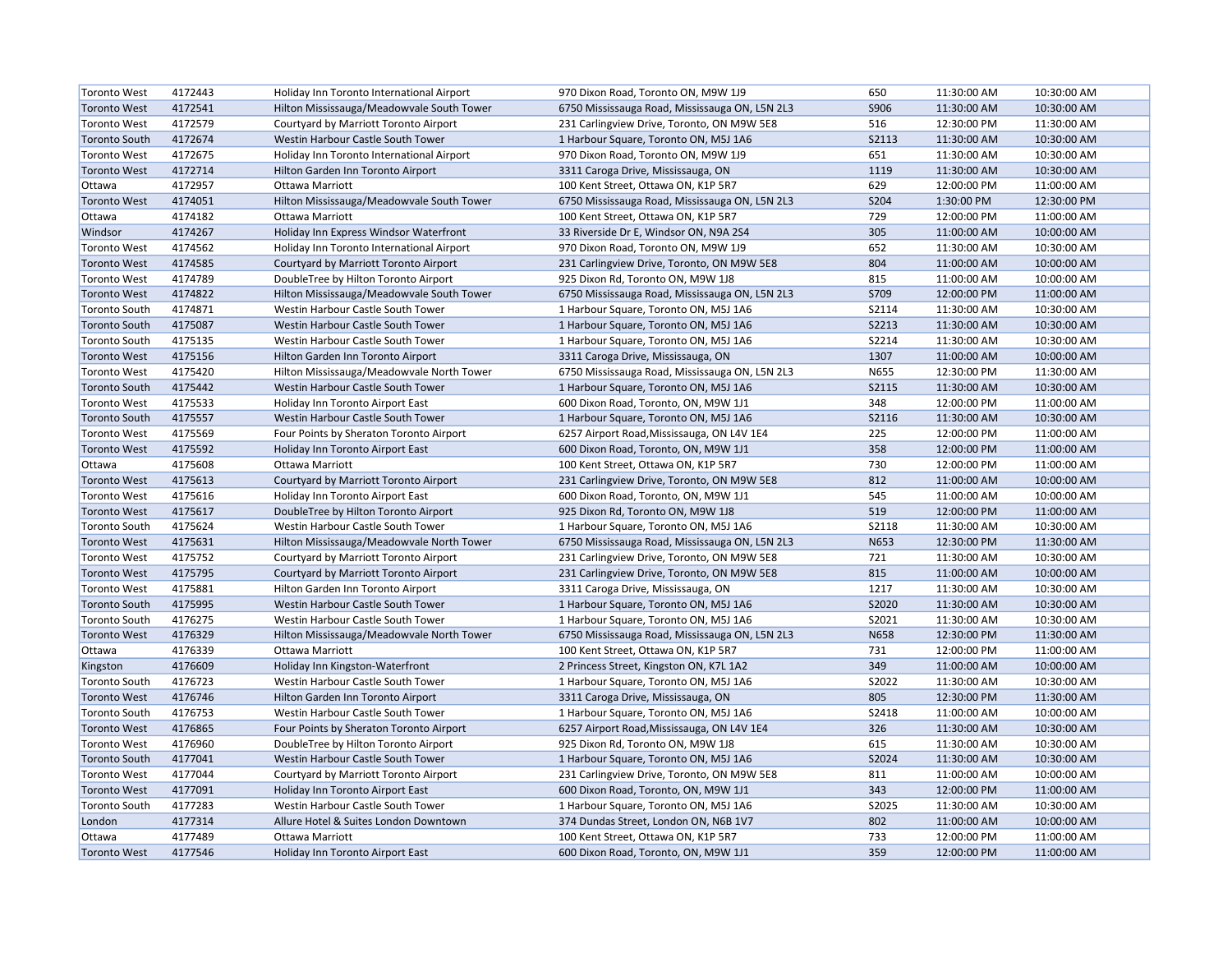| <b>Toronto West</b>  | 4172443 | Holiday Inn Toronto International Airport | 970 Dixon Road, Toronto ON, M9W 1J9            | 650          | 11:30:00 AM | 10:30:00 AM |
|----------------------|---------|-------------------------------------------|------------------------------------------------|--------------|-------------|-------------|
| <b>Toronto West</b>  | 4172541 | Hilton Mississauga/Meadowvale South Tower | 6750 Mississauga Road, Mississauga ON, L5N 2L3 | S906         | 11:30:00 AM | 10:30:00 AM |
| <b>Toronto West</b>  | 4172579 | Courtyard by Marriott Toronto Airport     | 231 Carlingview Drive, Toronto, ON M9W 5E8     | 516          | 12:30:00 PM | 11:30:00 AM |
| <b>Toronto South</b> | 4172674 | Westin Harbour Castle South Tower         | 1 Harbour Square, Toronto ON, M5J 1A6          | S2113        | 11:30:00 AM | 10:30:00 AM |
| <b>Toronto West</b>  | 4172675 | Holiday Inn Toronto International Airport | 970 Dixon Road, Toronto ON, M9W 1J9            | 651          | 11:30:00 AM | 10:30:00 AM |
| <b>Toronto West</b>  | 4172714 | Hilton Garden Inn Toronto Airport         | 3311 Caroga Drive, Mississauga, ON             | 1119         | 11:30:00 AM | 10:30:00 AM |
| Ottawa               | 4172957 | Ottawa Marriott                           | 100 Kent Street, Ottawa ON, K1P 5R7            | 629          | 12:00:00 PM | 11:00:00 AM |
| <b>Toronto West</b>  | 4174051 | Hilton Mississauga/Meadowvale South Tower | 6750 Mississauga Road, Mississauga ON, L5N 2L3 | S204         | 1:30:00 PM  | 12:30:00 PM |
| Ottawa               | 4174182 | Ottawa Marriott                           | 100 Kent Street, Ottawa ON, K1P 5R7            | 729          | 12:00:00 PM | 11:00:00 AM |
| Windsor              | 4174267 | Holiday Inn Express Windsor Waterfront    | 33 Riverside Dr E, Windsor ON, N9A 2S4         | 305          | 11:00:00 AM | 10:00:00 AM |
| <b>Toronto West</b>  | 4174562 | Holiday Inn Toronto International Airport | 970 Dixon Road, Toronto ON, M9W 1J9            | 652          | 11:30:00 AM | 10:30:00 AM |
| <b>Toronto West</b>  | 4174585 | Courtyard by Marriott Toronto Airport     | 231 Carlingview Drive, Toronto, ON M9W 5E8     | 804          | 11:00:00 AM | 10:00:00 AM |
| <b>Toronto West</b>  | 4174789 | DoubleTree by Hilton Toronto Airport      | 925 Dixon Rd, Toronto ON, M9W 1J8              | 815          | 11:00:00 AM | 10:00:00 AM |
| <b>Toronto West</b>  | 4174822 | Hilton Mississauga/Meadowvale South Tower | 6750 Mississauga Road, Mississauga ON, L5N 2L3 | S709         | 12:00:00 PM | 11:00:00 AM |
| <b>Toronto South</b> | 4174871 | Westin Harbour Castle South Tower         | 1 Harbour Square, Toronto ON, M5J 1A6          | S2114        | 11:30:00 AM | 10:30:00 AM |
| <b>Toronto South</b> | 4175087 | Westin Harbour Castle South Tower         | 1 Harbour Square, Toronto ON, M5J 1A6          | <b>S2213</b> | 11:30:00 AM | 10:30:00 AM |
| <b>Toronto South</b> | 4175135 | Westin Harbour Castle South Tower         | 1 Harbour Square, Toronto ON, M5J 1A6          | S2214        | 11:30:00 AM | 10:30:00 AM |
| <b>Toronto West</b>  | 4175156 | Hilton Garden Inn Toronto Airport         | 3311 Caroga Drive, Mississauga, ON             | 1307         | 11:00:00 AM | 10:00:00 AM |
| <b>Toronto West</b>  | 4175420 | Hilton Mississauga/Meadowvale North Tower | 6750 Mississauga Road, Mississauga ON, L5N 2L3 | N655         | 12:30:00 PM | 11:30:00 AM |
| <b>Toronto South</b> | 4175442 | Westin Harbour Castle South Tower         | 1 Harbour Square, Toronto ON, M5J 1A6          | <b>S2115</b> | 11:30:00 AM | 10:30:00 AM |
| <b>Toronto West</b>  | 4175533 | Holiday Inn Toronto Airport East          | 600 Dixon Road, Toronto, ON, M9W 1J1           | 348          | 12:00:00 PM | 11:00:00 AM |
| <b>Toronto South</b> | 4175557 | Westin Harbour Castle South Tower         | 1 Harbour Square, Toronto ON, M5J 1A6          | S2116        | 11:30:00 AM | 10:30:00 AM |
| <b>Toronto West</b>  | 4175569 | Four Points by Sheraton Toronto Airport   | 6257 Airport Road, Mississauga, ON L4V 1E4     | 225          | 12:00:00 PM | 11:00:00 AM |
| <b>Toronto West</b>  | 4175592 | Holiday Inn Toronto Airport East          | 600 Dixon Road, Toronto, ON, M9W 1J1           | 358          | 12:00:00 PM | 11:00:00 AM |
| Ottawa               | 4175608 | Ottawa Marriott                           | 100 Kent Street, Ottawa ON, K1P 5R7            | 730          | 12:00:00 PM | 11:00:00 AM |
| <b>Toronto West</b>  | 4175613 | Courtyard by Marriott Toronto Airport     | 231 Carlingview Drive, Toronto, ON M9W 5E8     | 812          | 11:00:00 AM | 10:00:00 AM |
| <b>Toronto West</b>  | 4175616 | Holiday Inn Toronto Airport East          | 600 Dixon Road, Toronto, ON, M9W 1J1           | 545          | 11:00:00 AM | 10:00:00 AM |
| <b>Toronto West</b>  | 4175617 | DoubleTree by Hilton Toronto Airport      | 925 Dixon Rd, Toronto ON, M9W 1J8              | 519          | 12:00:00 PM | 11:00:00 AM |
| <b>Toronto South</b> | 4175624 | Westin Harbour Castle South Tower         | 1 Harbour Square, Toronto ON, M5J 1A6          | <b>S2118</b> | 11:30:00 AM | 10:30:00 AM |
| <b>Toronto West</b>  | 4175631 | Hilton Mississauga/Meadowvale North Tower | 6750 Mississauga Road, Mississauga ON, L5N 2L3 | N653         | 12:30:00 PM | 11:30:00 AM |
| <b>Toronto West</b>  | 4175752 | Courtyard by Marriott Toronto Airport     | 231 Carlingview Drive, Toronto, ON M9W 5E8     | 721          | 11:30:00 AM | 10:30:00 AM |
| <b>Toronto West</b>  | 4175795 | Courtyard by Marriott Toronto Airport     | 231 Carlingview Drive, Toronto, ON M9W 5E8     | 815          | 11:00:00 AM | 10:00:00 AM |
| <b>Toronto West</b>  | 4175881 | Hilton Garden Inn Toronto Airport         | 3311 Caroga Drive, Mississauga, ON             | 1217         | 11:30:00 AM | 10:30:00 AM |
| <b>Toronto South</b> | 4175995 | Westin Harbour Castle South Tower         | 1 Harbour Square, Toronto ON, M5J 1A6          | S2020        | 11:30:00 AM | 10:30:00 AM |
| <b>Toronto South</b> | 4176275 | Westin Harbour Castle South Tower         | 1 Harbour Square, Toronto ON, M5J 1A6          | S2021        | 11:30:00 AM | 10:30:00 AM |
| <b>Toronto West</b>  | 4176329 | Hilton Mississauga/Meadowvale North Tower | 6750 Mississauga Road, Mississauga ON, L5N 2L3 | N658         | 12:30:00 PM | 11:30:00 AM |
| Ottawa               | 4176339 | Ottawa Marriott                           | 100 Kent Street, Ottawa ON, K1P 5R7            | 731          | 12:00:00 PM | 11:00:00 AM |
| Kingston             | 4176609 | Holiday Inn Kingston-Waterfront           | 2 Princess Street, Kingston ON, K7L 1A2        | 349          | 11:00:00 AM | 10:00:00 AM |
| <b>Toronto South</b> | 4176723 | Westin Harbour Castle South Tower         | 1 Harbour Square, Toronto ON, M5J 1A6          | S2022        | 11:30:00 AM | 10:30:00 AM |
| <b>Toronto West</b>  | 4176746 | Hilton Garden Inn Toronto Airport         | 3311 Caroga Drive, Mississauga, ON             | 805          | 12:30:00 PM | 11:30:00 AM |
| <b>Toronto South</b> | 4176753 | Westin Harbour Castle South Tower         | 1 Harbour Square, Toronto ON, M5J 1A6          | S2418        | 11:00:00 AM | 10:00:00 AM |
| <b>Toronto West</b>  | 4176865 | Four Points by Sheraton Toronto Airport   | 6257 Airport Road, Mississauga, ON L4V 1E4     | 326          | 11:30:00 AM | 10:30:00 AM |
| <b>Toronto West</b>  | 4176960 | DoubleTree by Hilton Toronto Airport      | 925 Dixon Rd, Toronto ON, M9W 1J8              | 615          | 11:30:00 AM | 10:30:00 AM |
| <b>Toronto South</b> | 4177041 | Westin Harbour Castle South Tower         | 1 Harbour Square, Toronto ON, M5J 1A6          | S2024        | 11:30:00 AM | 10:30:00 AM |
| <b>Toronto West</b>  | 4177044 | Courtyard by Marriott Toronto Airport     | 231 Carlingview Drive, Toronto, ON M9W 5E8     | 811          | 11:00:00 AM | 10:00:00 AM |
| <b>Toronto West</b>  | 4177091 | Holiday Inn Toronto Airport East          | 600 Dixon Road, Toronto, ON, M9W 1J1           | 343          | 12:00:00 PM | 11:00:00 AM |
| <b>Toronto South</b> | 4177283 | Westin Harbour Castle South Tower         | 1 Harbour Square, Toronto ON, M5J 1A6          | S2025        | 11:30:00 AM | 10:30:00 AM |
| London               | 4177314 | Allure Hotel & Suites London Downtown     | 374 Dundas Street, London ON, N6B 1V7          | 802          | 11:00:00 AM | 10:00:00 AM |
| Ottawa               | 4177489 | Ottawa Marriott                           | 100 Kent Street, Ottawa ON, K1P 5R7            | 733          | 12:00:00 PM | 11:00:00 AM |
| <b>Toronto West</b>  | 4177546 | Holiday Inn Toronto Airport East          | 600 Dixon Road, Toronto, ON, M9W 1J1           | 359          | 12:00:00 PM | 11:00:00 AM |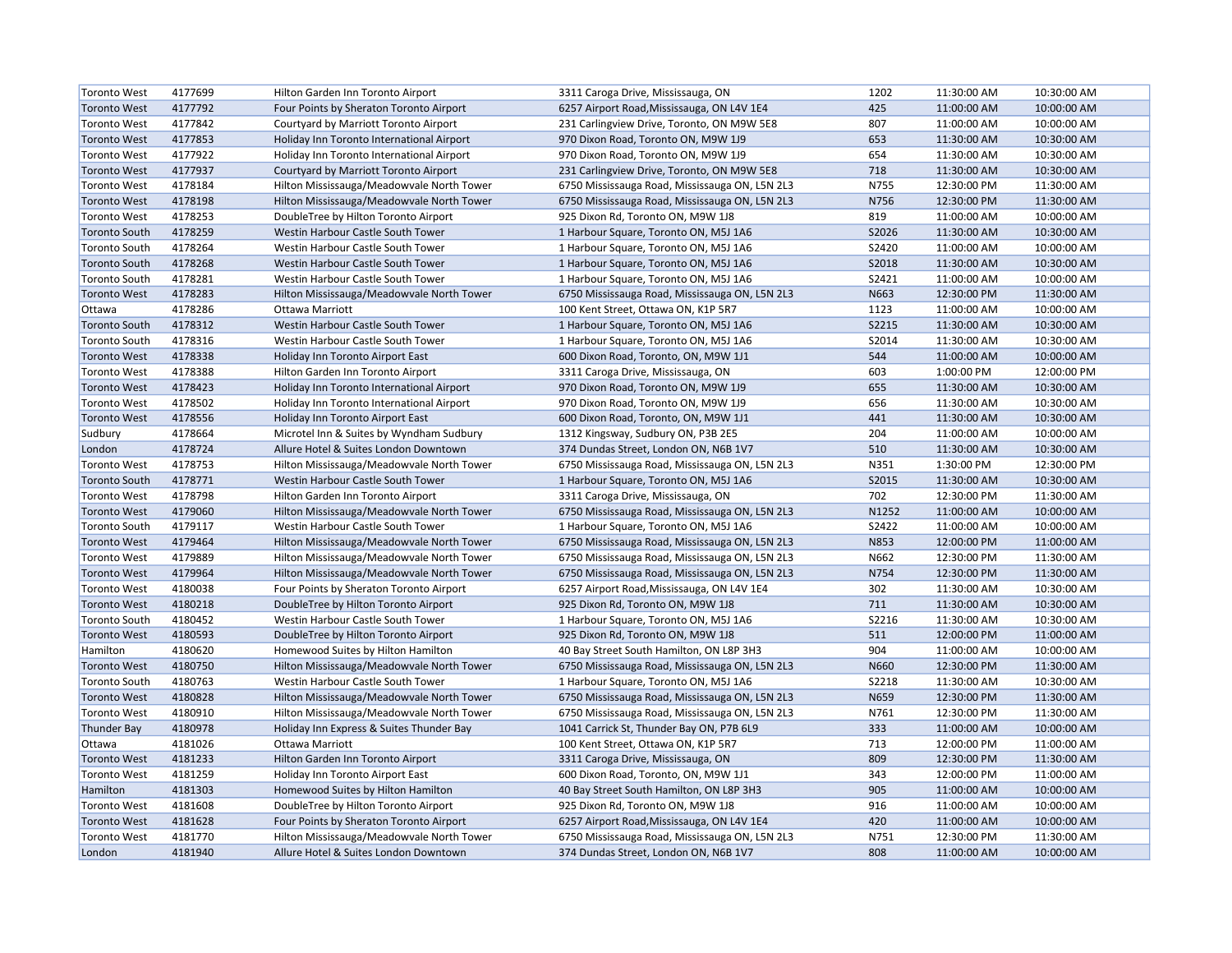| <b>Toronto West</b>  | 4177699 | Hilton Garden Inn Toronto Airport         | 3311 Caroga Drive, Mississauga, ON             | 1202         | 11:30:00 AM | 10:30:00 AM |
|----------------------|---------|-------------------------------------------|------------------------------------------------|--------------|-------------|-------------|
| <b>Toronto West</b>  | 4177792 | Four Points by Sheraton Toronto Airport   | 6257 Airport Road, Mississauga, ON L4V 1E4     | 425          | 11:00:00 AM | 10:00:00 AM |
| <b>Toronto West</b>  | 4177842 | Courtyard by Marriott Toronto Airport     | 231 Carlingview Drive, Toronto, ON M9W 5E8     | 807          | 11:00:00 AM | 10:00:00 AM |
| <b>Toronto West</b>  | 4177853 | Holiday Inn Toronto International Airport | 970 Dixon Road, Toronto ON, M9W 1J9            | 653          | 11:30:00 AM | 10:30:00 AM |
| <b>Toronto West</b>  | 4177922 | Holiday Inn Toronto International Airport | 970 Dixon Road, Toronto ON, M9W 1J9            | 654          | 11:30:00 AM | 10:30:00 AM |
| <b>Toronto West</b>  | 4177937 | Courtyard by Marriott Toronto Airport     | 231 Carlingview Drive, Toronto, ON M9W 5E8     | 718          | 11:30:00 AM | 10:30:00 AM |
| <b>Toronto West</b>  | 4178184 | Hilton Mississauga/Meadowvale North Tower | 6750 Mississauga Road, Mississauga ON, L5N 2L3 | N755         | 12:30:00 PM | 11:30:00 AM |
| <b>Toronto West</b>  | 4178198 | Hilton Mississauga/Meadowvale North Tower | 6750 Mississauga Road, Mississauga ON, L5N 2L3 | N756         | 12:30:00 PM | 11:30:00 AM |
| <b>Toronto West</b>  | 4178253 | DoubleTree by Hilton Toronto Airport      | 925 Dixon Rd, Toronto ON, M9W 1J8              | 819          | 11:00:00 AM | 10:00:00 AM |
| <b>Toronto South</b> | 4178259 | Westin Harbour Castle South Tower         | 1 Harbour Square, Toronto ON, M5J 1A6          | S2026        | 11:30:00 AM | 10:30:00 AM |
| <b>Toronto South</b> | 4178264 | Westin Harbour Castle South Tower         | 1 Harbour Square, Toronto ON, M5J 1A6          | S2420        | 11:00:00 AM | 10:00:00 AM |
| <b>Toronto South</b> | 4178268 | Westin Harbour Castle South Tower         | 1 Harbour Square, Toronto ON, M5J 1A6          | S2018        | 11:30:00 AM | 10:30:00 AM |
| <b>Toronto South</b> | 4178281 | Westin Harbour Castle South Tower         | 1 Harbour Square, Toronto ON, M5J 1A6          | S2421        | 11:00:00 AM | 10:00:00 AM |
| <b>Toronto West</b>  | 4178283 | Hilton Mississauga/Meadowvale North Tower | 6750 Mississauga Road, Mississauga ON, L5N 2L3 | N663         | 12:30:00 PM | 11:30:00 AM |
| Ottawa               | 4178286 | Ottawa Marriott                           | 100 Kent Street, Ottawa ON, K1P 5R7            | 1123         | 11:00:00 AM | 10:00:00 AM |
| <b>Toronto South</b> | 4178312 | Westin Harbour Castle South Tower         | 1 Harbour Square, Toronto ON, M5J 1A6          | S2215        | 11:30:00 AM | 10:30:00 AM |
| <b>Toronto South</b> | 4178316 | Westin Harbour Castle South Tower         | 1 Harbour Square, Toronto ON, M5J 1A6          | S2014        | 11:30:00 AM | 10:30:00 AM |
| <b>Toronto West</b>  | 4178338 | Holiday Inn Toronto Airport East          | 600 Dixon Road, Toronto, ON, M9W 1J1           | 544          | 11:00:00 AM | 10:00:00 AM |
| <b>Toronto West</b>  | 4178388 | Hilton Garden Inn Toronto Airport         | 3311 Caroga Drive, Mississauga, ON             | 603          | 1:00:00 PM  | 12:00:00 PM |
| <b>Toronto West</b>  | 4178423 | Holiday Inn Toronto International Airport | 970 Dixon Road, Toronto ON, M9W 1J9            | 655          | 11:30:00 AM | 10:30:00 AM |
| <b>Toronto West</b>  | 4178502 | Holiday Inn Toronto International Airport | 970 Dixon Road, Toronto ON, M9W 1J9            | 656          | 11:30:00 AM | 10:30:00 AM |
| <b>Toronto West</b>  | 4178556 | Holiday Inn Toronto Airport East          | 600 Dixon Road, Toronto, ON, M9W 1J1           | 441          | 11:30:00 AM | 10:30:00 AM |
| Sudbury              | 4178664 | Microtel Inn & Suites by Wyndham Sudbury  | 1312 Kingsway, Sudbury ON, P3B 2E5             | 204          | 11:00:00 AM | 10:00:00 AM |
| London               | 4178724 | Allure Hotel & Suites London Downtown     | 374 Dundas Street, London ON, N6B 1V7          | 510          | 11:30:00 AM | 10:30:00 AM |
| <b>Toronto West</b>  | 4178753 | Hilton Mississauga/Meadowvale North Tower | 6750 Mississauga Road, Mississauga ON, L5N 2L3 | N351         | 1:30:00 PM  | 12:30:00 PM |
| <b>Toronto South</b> | 4178771 | Westin Harbour Castle South Tower         | 1 Harbour Square, Toronto ON, M5J 1A6          | S2015        | 11:30:00 AM | 10:30:00 AM |
| <b>Toronto West</b>  | 4178798 | Hilton Garden Inn Toronto Airport         | 3311 Caroga Drive, Mississauga, ON             | 702          | 12:30:00 PM | 11:30:00 AM |
| <b>Toronto West</b>  | 4179060 | Hilton Mississauga/Meadowvale North Tower | 6750 Mississauga Road, Mississauga ON, L5N 2L3 | N1252        | 11:00:00 AM | 10:00:00 AM |
| <b>Toronto South</b> | 4179117 | Westin Harbour Castle South Tower         | 1 Harbour Square, Toronto ON, M5J 1A6          | S2422        | 11:00:00 AM | 10:00:00 AM |
| <b>Toronto West</b>  | 4179464 | Hilton Mississauga/Meadowvale North Tower | 6750 Mississauga Road, Mississauga ON, L5N 2L3 | N853         | 12:00:00 PM | 11:00:00 AM |
| <b>Toronto West</b>  | 4179889 | Hilton Mississauga/Meadowvale North Tower | 6750 Mississauga Road, Mississauga ON, L5N 2L3 | N662         | 12:30:00 PM | 11:30:00 AM |
| <b>Toronto West</b>  | 4179964 | Hilton Mississauga/Meadowvale North Tower | 6750 Mississauga Road, Mississauga ON, L5N 2L3 | N754         | 12:30:00 PM | 11:30:00 AM |
| <b>Toronto West</b>  | 4180038 | Four Points by Sheraton Toronto Airport   | 6257 Airport Road, Mississauga, ON L4V 1E4     | 302          | 11:30:00 AM | 10:30:00 AM |
| <b>Toronto West</b>  | 4180218 | DoubleTree by Hilton Toronto Airport      | 925 Dixon Rd, Toronto ON, M9W 1J8              | 711          | 11:30:00 AM | 10:30:00 AM |
| <b>Toronto South</b> | 4180452 | Westin Harbour Castle South Tower         | 1 Harbour Square, Toronto ON, M5J 1A6          | S2216        | 11:30:00 AM | 10:30:00 AM |
| <b>Toronto West</b>  | 4180593 | DoubleTree by Hilton Toronto Airport      | 925 Dixon Rd, Toronto ON, M9W 1J8              | 511          | 12:00:00 PM | 11:00:00 AM |
| Hamilton             | 4180620 | Homewood Suites by Hilton Hamilton        | 40 Bay Street South Hamilton, ON L8P 3H3       | 904          | 11:00:00 AM | 10:00:00 AM |
| <b>Toronto West</b>  | 4180750 | Hilton Mississauga/Meadowvale North Tower | 6750 Mississauga Road, Mississauga ON, L5N 2L3 | N660         | 12:30:00 PM | 11:30:00 AM |
| <b>Toronto South</b> | 4180763 | Westin Harbour Castle South Tower         | 1 Harbour Square, Toronto ON, M5J 1A6          | <b>S2218</b> | 11:30:00 AM | 10:30:00 AM |
| <b>Toronto West</b>  | 4180828 | Hilton Mississauga/Meadowvale North Tower | 6750 Mississauga Road, Mississauga ON, L5N 2L3 | N659         | 12:30:00 PM | 11:30:00 AM |
| <b>Toronto West</b>  | 4180910 | Hilton Mississauga/Meadowvale North Tower | 6750 Mississauga Road, Mississauga ON, L5N 2L3 | N761         | 12:30:00 PM | 11:30:00 AM |
| <b>Thunder Bay</b>   | 4180978 | Holiday Inn Express & Suites Thunder Bay  | 1041 Carrick St, Thunder Bay ON, P7B 6L9       | 333          | 11:00:00 AM | 10:00:00 AM |
| Ottawa               | 4181026 | Ottawa Marriott                           | 100 Kent Street, Ottawa ON, K1P 5R7            | 713          | 12:00:00 PM | 11:00:00 AM |
| <b>Toronto West</b>  | 4181233 | Hilton Garden Inn Toronto Airport         | 3311 Caroga Drive, Mississauga, ON             | 809          | 12:30:00 PM | 11:30:00 AM |
| <b>Toronto West</b>  | 4181259 | Holiday Inn Toronto Airport East          | 600 Dixon Road, Toronto, ON, M9W 1J1           | 343          | 12:00:00 PM | 11:00:00 AM |
| Hamilton             | 4181303 | Homewood Suites by Hilton Hamilton        | 40 Bay Street South Hamilton, ON L8P 3H3       | 905          | 11:00:00 AM | 10:00:00 AM |
| <b>Toronto West</b>  | 4181608 | DoubleTree by Hilton Toronto Airport      | 925 Dixon Rd, Toronto ON, M9W 1J8              | 916          | 11:00:00 AM | 10:00:00 AM |
| <b>Toronto West</b>  | 4181628 | Four Points by Sheraton Toronto Airport   | 6257 Airport Road, Mississauga, ON L4V 1E4     | 420          | 11:00:00 AM | 10:00:00 AM |
| <b>Toronto West</b>  | 4181770 | Hilton Mississauga/Meadowvale North Tower | 6750 Mississauga Road, Mississauga ON, L5N 2L3 | N751         | 12:30:00 PM | 11:30:00 AM |
| London               | 4181940 | Allure Hotel & Suites London Downtown     | 374 Dundas Street, London ON, N6B 1V7          | 808          | 11:00:00 AM | 10:00:00 AM |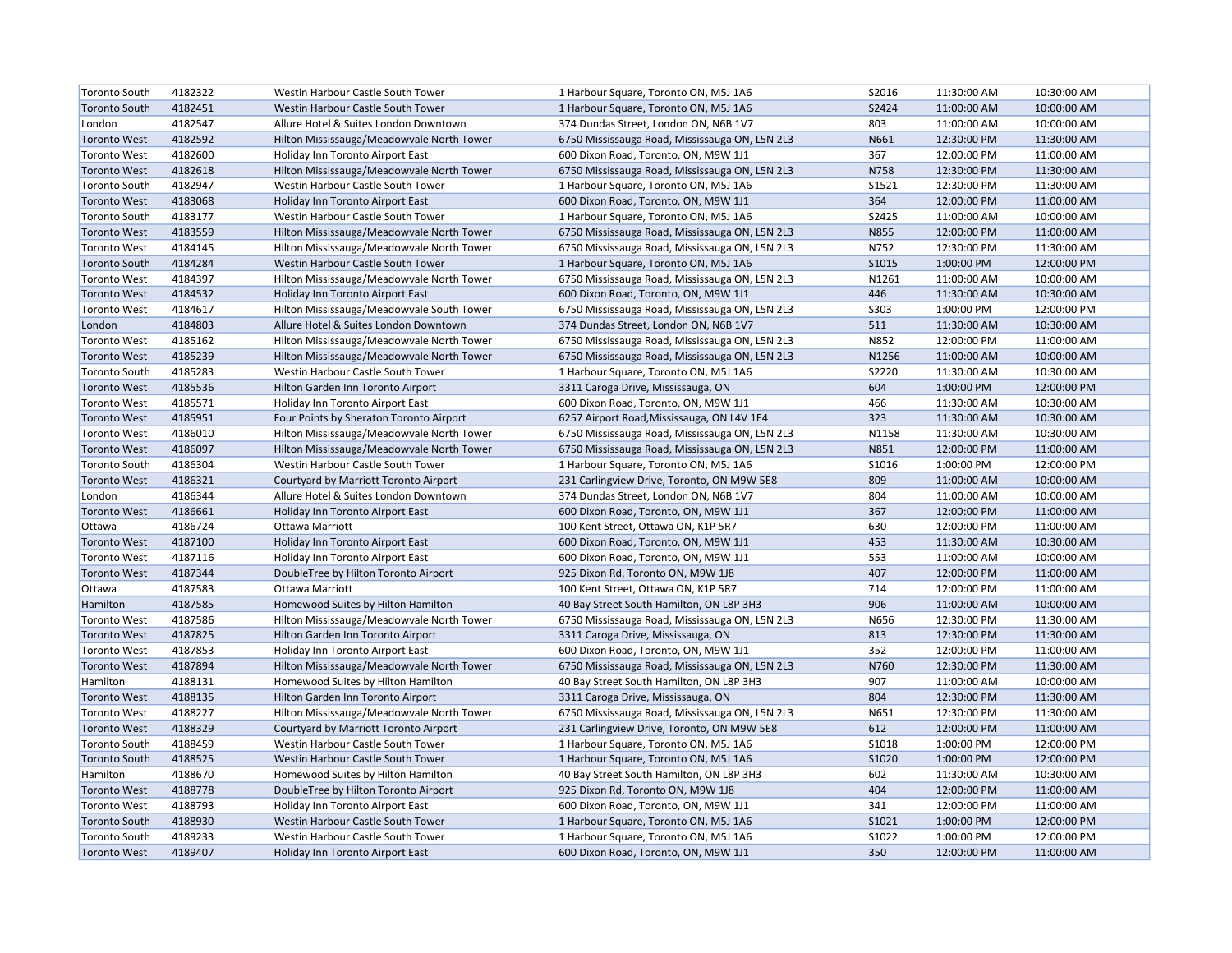| <b>Toronto South</b> | 4182322 | Westin Harbour Castle South Tower         | 1 Harbour Square, Toronto ON, M5J 1A6          | S2016 | 11:30:00 AM | 10:30:00 AM |
|----------------------|---------|-------------------------------------------|------------------------------------------------|-------|-------------|-------------|
| <b>Toronto South</b> | 4182451 | Westin Harbour Castle South Tower         | 1 Harbour Square, Toronto ON, M5J 1A6          | S2424 | 11:00:00 AM | 10:00:00 AM |
| London               | 4182547 | Allure Hotel & Suites London Downtown     | 374 Dundas Street, London ON, N6B 1V7          | 803   | 11:00:00 AM | 10:00:00 AM |
| <b>Toronto West</b>  | 4182592 | Hilton Mississauga/Meadowvale North Tower | 6750 Mississauga Road, Mississauga ON, L5N 2L3 | N661  | 12:30:00 PM | 11:30:00 AM |
| <b>Toronto West</b>  | 4182600 | Holiday Inn Toronto Airport East          | 600 Dixon Road, Toronto, ON, M9W 1J1           | 367   | 12:00:00 PM | 11:00:00 AM |
| <b>Toronto West</b>  | 4182618 | Hilton Mississauga/Meadowvale North Tower | 6750 Mississauga Road, Mississauga ON, L5N 2L3 | N758  | 12:30:00 PM | 11:30:00 AM |
| <b>Toronto South</b> | 4182947 | Westin Harbour Castle South Tower         | 1 Harbour Square, Toronto ON, M5J 1A6          | S1521 | 12:30:00 PM | 11:30:00 AM |
| <b>Toronto West</b>  | 4183068 | Holiday Inn Toronto Airport East          | 600 Dixon Road, Toronto, ON, M9W 1J1           | 364   | 12:00:00 PM | 11:00:00 AM |
| <b>Toronto South</b> | 4183177 | Westin Harbour Castle South Tower         | 1 Harbour Square, Toronto ON, M5J 1A6          | S2425 | 11:00:00 AM | 10:00:00 AM |
| <b>Toronto West</b>  | 4183559 | Hilton Mississauga/Meadowvale North Tower | 6750 Mississauga Road, Mississauga ON, L5N 2L3 | N855  | 12:00:00 PM | 11:00:00 AM |
| <b>Toronto West</b>  | 4184145 | Hilton Mississauga/Meadowvale North Tower | 6750 Mississauga Road, Mississauga ON, L5N 2L3 | N752  | 12:30:00 PM | 11:30:00 AM |
| <b>Toronto South</b> | 4184284 | Westin Harbour Castle South Tower         | 1 Harbour Square, Toronto ON, M5J 1A6          | S1015 | 1:00:00 PM  | 12:00:00 PM |
| <b>Toronto West</b>  | 4184397 | Hilton Mississauga/Meadowvale North Tower | 6750 Mississauga Road, Mississauga ON, L5N 2L3 | N1261 | 11:00:00 AM | 10:00:00 AM |
| <b>Toronto West</b>  | 4184532 | Holiday Inn Toronto Airport East          | 600 Dixon Road, Toronto, ON, M9W 1J1           | 446   | 11:30:00 AM | 10:30:00 AM |
| <b>Toronto West</b>  | 4184617 | Hilton Mississauga/Meadowvale South Tower | 6750 Mississauga Road, Mississauga ON, L5N 2L3 | S303  | 1:00:00 PM  | 12:00:00 PM |
| London               | 4184803 | Allure Hotel & Suites London Downtown     | 374 Dundas Street, London ON, N6B 1V7          | 511   | 11:30:00 AM | 10:30:00 AM |
| <b>Toronto West</b>  | 4185162 | Hilton Mississauga/Meadowvale North Tower | 6750 Mississauga Road, Mississauga ON, L5N 2L3 | N852  | 12:00:00 PM | 11:00:00 AM |
| <b>Toronto West</b>  | 4185239 | Hilton Mississauga/Meadowvale North Tower | 6750 Mississauga Road, Mississauga ON, L5N 2L3 | N1256 | 11:00:00 AM | 10:00:00 AM |
| <b>Toronto South</b> | 4185283 | Westin Harbour Castle South Tower         | 1 Harbour Square, Toronto ON, M5J 1A6          | S2220 | 11:30:00 AM | 10:30:00 AM |
| <b>Toronto West</b>  | 4185536 | Hilton Garden Inn Toronto Airport         | 3311 Caroga Drive, Mississauga, ON             | 604   | 1:00:00 PM  | 12:00:00 PM |
| <b>Toronto West</b>  | 4185571 | Holiday Inn Toronto Airport East          | 600 Dixon Road, Toronto, ON, M9W 1J1           | 466   | 11:30:00 AM | 10:30:00 AM |
| <b>Toronto West</b>  | 4185951 | Four Points by Sheraton Toronto Airport   | 6257 Airport Road, Mississauga, ON L4V 1E4     | 323   | 11:30:00 AM | 10:30:00 AM |
| <b>Toronto West</b>  | 4186010 | Hilton Mississauga/Meadowvale North Tower | 6750 Mississauga Road, Mississauga ON, L5N 2L3 | N1158 | 11:30:00 AM | 10:30:00 AM |
| <b>Toronto West</b>  | 4186097 | Hilton Mississauga/Meadowvale North Tower | 6750 Mississauga Road, Mississauga ON, L5N 2L3 | N851  | 12:00:00 PM | 11:00:00 AM |
| <b>Toronto South</b> | 4186304 | Westin Harbour Castle South Tower         | 1 Harbour Square, Toronto ON, M5J 1A6          | S1016 | 1:00:00 PM  | 12:00:00 PM |
| <b>Toronto West</b>  | 4186321 | Courtyard by Marriott Toronto Airport     | 231 Carlingview Drive, Toronto, ON M9W 5E8     | 809   | 11:00:00 AM | 10:00:00 AM |
| London               | 4186344 | Allure Hotel & Suites London Downtown     | 374 Dundas Street, London ON, N6B 1V7          | 804   | 11:00:00 AM | 10:00:00 AM |
| <b>Toronto West</b>  | 4186661 | Holiday Inn Toronto Airport East          | 600 Dixon Road, Toronto, ON, M9W 1J1           | 367   | 12:00:00 PM | 11:00:00 AM |
| Ottawa               | 4186724 | Ottawa Marriott                           | 100 Kent Street, Ottawa ON, K1P 5R7            | 630   | 12:00:00 PM | 11:00:00 AM |
| <b>Toronto West</b>  | 4187100 | Holiday Inn Toronto Airport East          | 600 Dixon Road, Toronto, ON, M9W 1J1           | 453   | 11:30:00 AM | 10:30:00 AM |
| <b>Toronto West</b>  | 4187116 | Holiday Inn Toronto Airport East          | 600 Dixon Road, Toronto, ON, M9W 1J1           | 553   | 11:00:00 AM | 10:00:00 AM |
| <b>Toronto West</b>  | 4187344 | DoubleTree by Hilton Toronto Airport      | 925 Dixon Rd, Toronto ON, M9W 1J8              | 407   | 12:00:00 PM | 11:00:00 AM |
| Ottawa               | 4187583 | Ottawa Marriott                           | 100 Kent Street, Ottawa ON, K1P 5R7            | 714   | 12:00:00 PM | 11:00:00 AM |
| Hamilton             | 4187585 | Homewood Suites by Hilton Hamilton        | 40 Bay Street South Hamilton, ON L8P 3H3       | 906   | 11:00:00 AM | 10:00:00 AM |
| <b>Toronto West</b>  | 4187586 | Hilton Mississauga/Meadowvale North Tower | 6750 Mississauga Road, Mississauga ON, L5N 2L3 | N656  | 12:30:00 PM | 11:30:00 AM |
| <b>Toronto West</b>  | 4187825 | Hilton Garden Inn Toronto Airport         | 3311 Caroga Drive, Mississauga, ON             | 813   | 12:30:00 PM | 11:30:00 AM |
| <b>Toronto West</b>  | 4187853 | Holiday Inn Toronto Airport East          | 600 Dixon Road, Toronto, ON, M9W 1J1           | 352   | 12:00:00 PM | 11:00:00 AM |
| <b>Toronto West</b>  | 4187894 | Hilton Mississauga/Meadowvale North Tower | 6750 Mississauga Road, Mississauga ON, L5N 2L3 | N760  | 12:30:00 PM | 11:30:00 AM |
| Hamilton             | 4188131 | Homewood Suites by Hilton Hamilton        | 40 Bay Street South Hamilton, ON L8P 3H3       | 907   | 11:00:00 AM | 10:00:00 AM |
| <b>Toronto West</b>  | 4188135 | Hilton Garden Inn Toronto Airport         | 3311 Caroga Drive, Mississauga, ON             | 804   | 12:30:00 PM | 11:30:00 AM |
| <b>Toronto West</b>  | 4188227 | Hilton Mississauga/Meadowvale North Tower | 6750 Mississauga Road, Mississauga ON, L5N 2L3 | N651  | 12:30:00 PM | 11:30:00 AM |
| <b>Toronto West</b>  | 4188329 | Courtyard by Marriott Toronto Airport     | 231 Carlingview Drive, Toronto, ON M9W 5E8     | 612   | 12:00:00 PM | 11:00:00 AM |
| <b>Toronto South</b> | 4188459 | Westin Harbour Castle South Tower         | 1 Harbour Square, Toronto ON, M5J 1A6          | S1018 | 1:00:00 PM  | 12:00:00 PM |
| <b>Toronto South</b> | 4188525 | Westin Harbour Castle South Tower         | 1 Harbour Square, Toronto ON, M5J 1A6          | S1020 | 1:00:00 PM  | 12:00:00 PM |
| Hamilton             | 4188670 | Homewood Suites by Hilton Hamilton        | 40 Bay Street South Hamilton, ON L8P 3H3       | 602   | 11:30:00 AM | 10:30:00 AM |
| <b>Toronto West</b>  | 4188778 | DoubleTree by Hilton Toronto Airport      | 925 Dixon Rd, Toronto ON, M9W 1J8              | 404   | 12:00:00 PM | 11:00:00 AM |
| <b>Toronto West</b>  | 4188793 | Holiday Inn Toronto Airport East          | 600 Dixon Road, Toronto, ON, M9W 1J1           | 341   | 12:00:00 PM | 11:00:00 AM |
| <b>Toronto South</b> | 4188930 | Westin Harbour Castle South Tower         | 1 Harbour Square, Toronto ON, M5J 1A6          | S1021 | 1:00:00 PM  | 12:00:00 PM |
| <b>Toronto South</b> | 4189233 | Westin Harbour Castle South Tower         | 1 Harbour Square, Toronto ON, M5J 1A6          | S1022 | 1:00:00 PM  | 12:00:00 PM |
| <b>Toronto West</b>  | 4189407 | Holiday Inn Toronto Airport East          | 600 Dixon Road, Toronto, ON, M9W 1J1           | 350   | 12:00:00 PM | 11:00:00 AM |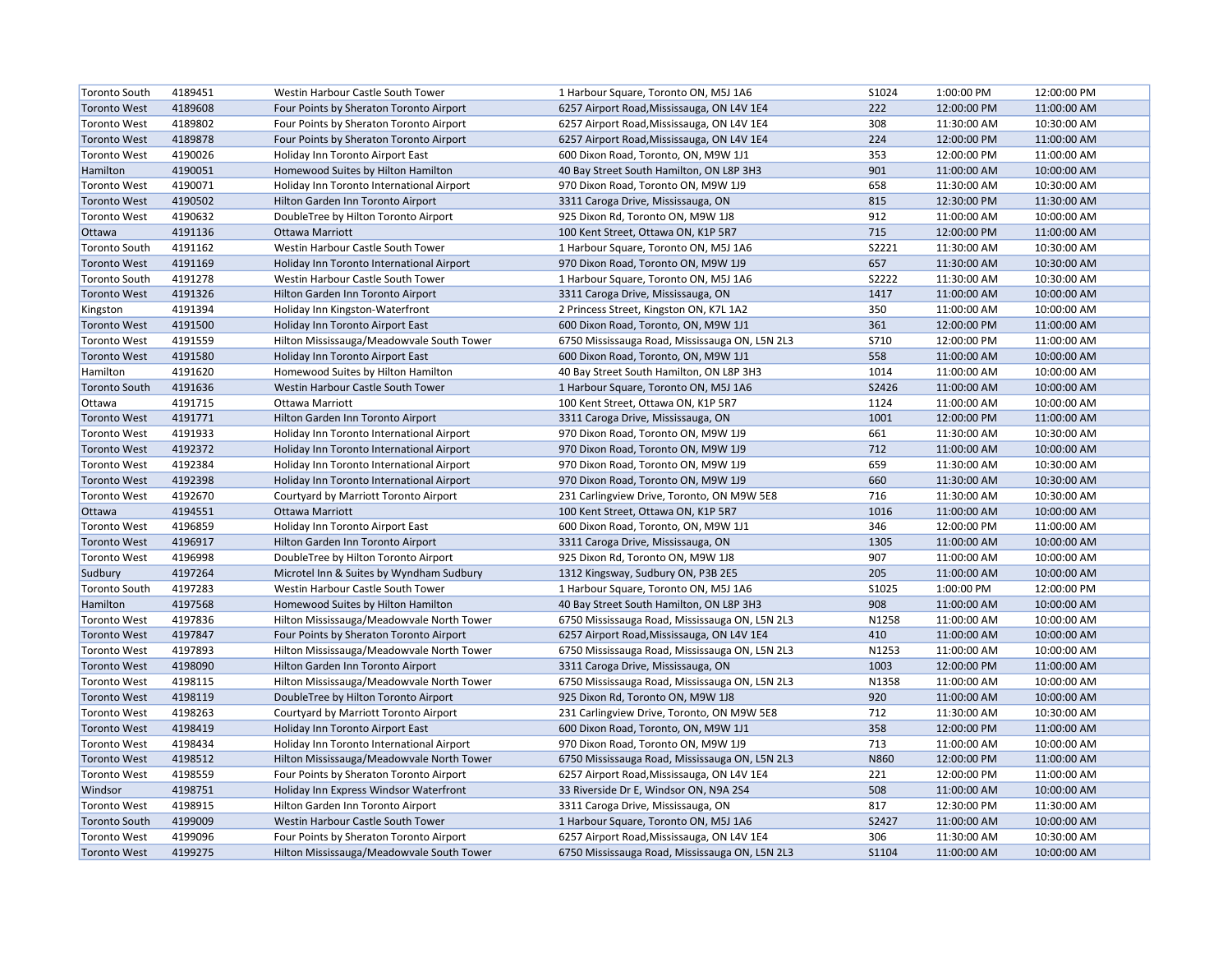| <b>Toronto South</b> | 4189451 | Westin Harbour Castle South Tower         | 1 Harbour Square, Toronto ON, M5J 1A6          | S1024 | 1:00:00 PM  | 12:00:00 PM |
|----------------------|---------|-------------------------------------------|------------------------------------------------|-------|-------------|-------------|
| <b>Toronto West</b>  | 4189608 | Four Points by Sheraton Toronto Airport   | 6257 Airport Road, Mississauga, ON L4V 1E4     | 222   | 12:00:00 PM | 11:00:00 AM |
| <b>Toronto West</b>  | 4189802 | Four Points by Sheraton Toronto Airport   | 6257 Airport Road, Mississauga, ON L4V 1E4     | 308   | 11:30:00 AM | 10:30:00 AM |
| <b>Toronto West</b>  | 4189878 | Four Points by Sheraton Toronto Airport   | 6257 Airport Road, Mississauga, ON L4V 1E4     | 224   | 12:00:00 PM | 11:00:00 AM |
| <b>Toronto West</b>  | 4190026 | Holiday Inn Toronto Airport East          | 600 Dixon Road, Toronto, ON, M9W 1J1           | 353   | 12:00:00 PM | 11:00:00 AM |
| Hamilton             | 4190051 | Homewood Suites by Hilton Hamilton        | 40 Bay Street South Hamilton, ON L8P 3H3       | 901   | 11:00:00 AM | 10:00:00 AM |
| <b>Toronto West</b>  | 4190071 | Holiday Inn Toronto International Airport | 970 Dixon Road, Toronto ON, M9W 1J9            | 658   | 11:30:00 AM | 10:30:00 AM |
| <b>Toronto West</b>  | 4190502 | Hilton Garden Inn Toronto Airport         | 3311 Caroga Drive, Mississauga, ON             | 815   | 12:30:00 PM | 11:30:00 AM |
| <b>Toronto West</b>  | 4190632 | DoubleTree by Hilton Toronto Airport      | 925 Dixon Rd, Toronto ON, M9W 1J8              | 912   | 11:00:00 AM | 10:00:00 AM |
| Ottawa               | 4191136 | <b>Ottawa Marriott</b>                    | 100 Kent Street, Ottawa ON, K1P 5R7            | 715   | 12:00:00 PM | 11:00:00 AM |
| <b>Toronto South</b> | 4191162 | Westin Harbour Castle South Tower         | 1 Harbour Square, Toronto ON, M5J 1A6          | S2221 | 11:30:00 AM | 10:30:00 AM |
| <b>Toronto West</b>  | 4191169 | Holiday Inn Toronto International Airport | 970 Dixon Road, Toronto ON, M9W 1J9            | 657   | 11:30:00 AM | 10:30:00 AM |
| <b>Toronto South</b> | 4191278 | Westin Harbour Castle South Tower         | 1 Harbour Square, Toronto ON, M5J 1A6          | S2222 | 11:30:00 AM | 10:30:00 AM |
| <b>Toronto West</b>  | 4191326 | Hilton Garden Inn Toronto Airport         | 3311 Caroga Drive, Mississauga, ON             | 1417  | 11:00:00 AM | 10:00:00 AM |
| Kingston             | 4191394 | Holiday Inn Kingston-Waterfront           | 2 Princess Street, Kingston ON, K7L 1A2        | 350   | 11:00:00 AM | 10:00:00 AM |
| <b>Toronto West</b>  | 4191500 | Holiday Inn Toronto Airport East          | 600 Dixon Road, Toronto, ON, M9W 1J1           | 361   | 12:00:00 PM | 11:00:00 AM |
| <b>Toronto West</b>  | 4191559 | Hilton Mississauga/Meadowvale South Tower | 6750 Mississauga Road, Mississauga ON, L5N 2L3 | S710  | 12:00:00 PM | 11:00:00 AM |
| <b>Toronto West</b>  | 4191580 | Holiday Inn Toronto Airport East          | 600 Dixon Road, Toronto, ON, M9W 1J1           | 558   | 11:00:00 AM | 10:00:00 AM |
| Hamilton             | 4191620 | Homewood Suites by Hilton Hamilton        | 40 Bay Street South Hamilton, ON L8P 3H3       | 1014  | 11:00:00 AM | 10:00:00 AM |
| <b>Toronto South</b> | 4191636 | Westin Harbour Castle South Tower         | 1 Harbour Square, Toronto ON, M5J 1A6          | S2426 | 11:00:00 AM | 10:00:00 AM |
| Ottawa               | 4191715 | Ottawa Marriott                           | 100 Kent Street, Ottawa ON, K1P 5R7            | 1124  | 11:00:00 AM | 10:00:00 AM |
| <b>Toronto West</b>  | 4191771 | Hilton Garden Inn Toronto Airport         | 3311 Caroga Drive, Mississauga, ON             | 1001  | 12:00:00 PM | 11:00:00 AM |
| <b>Toronto West</b>  | 4191933 | Holiday Inn Toronto International Airport | 970 Dixon Road, Toronto ON, M9W 1J9            | 661   | 11:30:00 AM | 10:30:00 AM |
| <b>Toronto West</b>  | 4192372 | Holiday Inn Toronto International Airport | 970 Dixon Road, Toronto ON, M9W 1J9            | 712   | 11:00:00 AM | 10:00:00 AM |
| <b>Toronto West</b>  | 4192384 | Holiday Inn Toronto International Airport | 970 Dixon Road, Toronto ON, M9W 1J9            | 659   | 11:30:00 AM | 10:30:00 AM |
| <b>Toronto West</b>  | 4192398 | Holiday Inn Toronto International Airport | 970 Dixon Road, Toronto ON, M9W 1J9            | 660   | 11:30:00 AM | 10:30:00 AM |
| <b>Toronto West</b>  | 4192670 | Courtyard by Marriott Toronto Airport     | 231 Carlingview Drive, Toronto, ON M9W 5E8     | 716   | 11:30:00 AM | 10:30:00 AM |
| Ottawa               | 4194551 | Ottawa Marriott                           | 100 Kent Street, Ottawa ON, K1P 5R7            | 1016  | 11:00:00 AM | 10:00:00 AM |
| <b>Toronto West</b>  | 4196859 | Holiday Inn Toronto Airport East          | 600 Dixon Road, Toronto, ON, M9W 1J1           | 346   | 12:00:00 PM | 11:00:00 AM |
| <b>Toronto West</b>  | 4196917 | Hilton Garden Inn Toronto Airport         | 3311 Caroga Drive, Mississauga, ON             | 1305  | 11:00:00 AM | 10:00:00 AM |
| <b>Toronto West</b>  | 4196998 | DoubleTree by Hilton Toronto Airport      | 925 Dixon Rd, Toronto ON, M9W 1J8              | 907   | 11:00:00 AM | 10:00:00 AM |
| Sudbury              | 4197264 | Microtel Inn & Suites by Wyndham Sudbury  | 1312 Kingsway, Sudbury ON, P3B 2E5             | 205   | 11:00:00 AM | 10:00:00 AM |
| Toronto South        | 4197283 | Westin Harbour Castle South Tower         | 1 Harbour Square, Toronto ON, M5J 1A6          | S1025 | 1:00:00 PM  | 12:00:00 PM |
| Hamilton             | 4197568 | Homewood Suites by Hilton Hamilton        | 40 Bay Street South Hamilton, ON L8P 3H3       | 908   | 11:00:00 AM | 10:00:00 AM |
| <b>Toronto West</b>  | 4197836 | Hilton Mississauga/Meadowvale North Tower | 6750 Mississauga Road, Mississauga ON, L5N 2L3 | N1258 | 11:00:00 AM | 10:00:00 AM |
| <b>Toronto West</b>  | 4197847 | Four Points by Sheraton Toronto Airport   | 6257 Airport Road, Mississauga, ON L4V 1E4     | 410   | 11:00:00 AM | 10:00:00 AM |
| <b>Toronto West</b>  | 4197893 | Hilton Mississauga/Meadowvale North Tower | 6750 Mississauga Road, Mississauga ON, L5N 2L3 | N1253 | 11:00:00 AM | 10:00:00 AM |
| <b>Toronto West</b>  | 4198090 | Hilton Garden Inn Toronto Airport         | 3311 Caroga Drive, Mississauga, ON             | 1003  | 12:00:00 PM | 11:00:00 AM |
| <b>Toronto West</b>  | 4198115 | Hilton Mississauga/Meadowvale North Tower | 6750 Mississauga Road, Mississauga ON, L5N 2L3 | N1358 | 11:00:00 AM | 10:00:00 AM |
| <b>Toronto West</b>  | 4198119 | DoubleTree by Hilton Toronto Airport      | 925 Dixon Rd, Toronto ON, M9W 1J8              | 920   | 11:00:00 AM | 10:00:00 AM |
| <b>Toronto West</b>  | 4198263 | Courtyard by Marriott Toronto Airport     | 231 Carlingview Drive, Toronto, ON M9W 5E8     | 712   | 11:30:00 AM | 10:30:00 AM |
| <b>Toronto West</b>  | 4198419 | Holiday Inn Toronto Airport East          | 600 Dixon Road, Toronto, ON, M9W 1J1           | 358   | 12:00:00 PM | 11:00:00 AM |
| <b>Toronto West</b>  | 4198434 | Holiday Inn Toronto International Airport | 970 Dixon Road, Toronto ON, M9W 1J9            | 713   | 11:00:00 AM | 10:00:00 AM |
| <b>Toronto West</b>  | 4198512 | Hilton Mississauga/Meadowvale North Tower | 6750 Mississauga Road, Mississauga ON, L5N 2L3 | N860  | 12:00:00 PM | 11:00:00 AM |
| <b>Toronto West</b>  | 4198559 | Four Points by Sheraton Toronto Airport   | 6257 Airport Road, Mississauga, ON L4V 1E4     | 221   | 12:00:00 PM | 11:00:00 AM |
| Windsor              | 4198751 | Holiday Inn Express Windsor Waterfront    | 33 Riverside Dr E, Windsor ON, N9A 2S4         | 508   | 11:00:00 AM | 10:00:00 AM |
| <b>Toronto West</b>  | 4198915 | Hilton Garden Inn Toronto Airport         | 3311 Caroga Drive, Mississauga, ON             | 817   | 12:30:00 PM | 11:30:00 AM |
| <b>Toronto South</b> | 4199009 | Westin Harbour Castle South Tower         | 1 Harbour Square, Toronto ON, M5J 1A6          | S2427 | 11:00:00 AM | 10:00:00 AM |
| <b>Toronto West</b>  | 4199096 | Four Points by Sheraton Toronto Airport   | 6257 Airport Road, Mississauga, ON L4V 1E4     | 306   | 11:30:00 AM | 10:30:00 AM |
| <b>Toronto West</b>  | 4199275 | Hilton Mississauga/Meadowvale South Tower | 6750 Mississauga Road, Mississauga ON, L5N 2L3 | S1104 | 11:00:00 AM | 10:00:00 AM |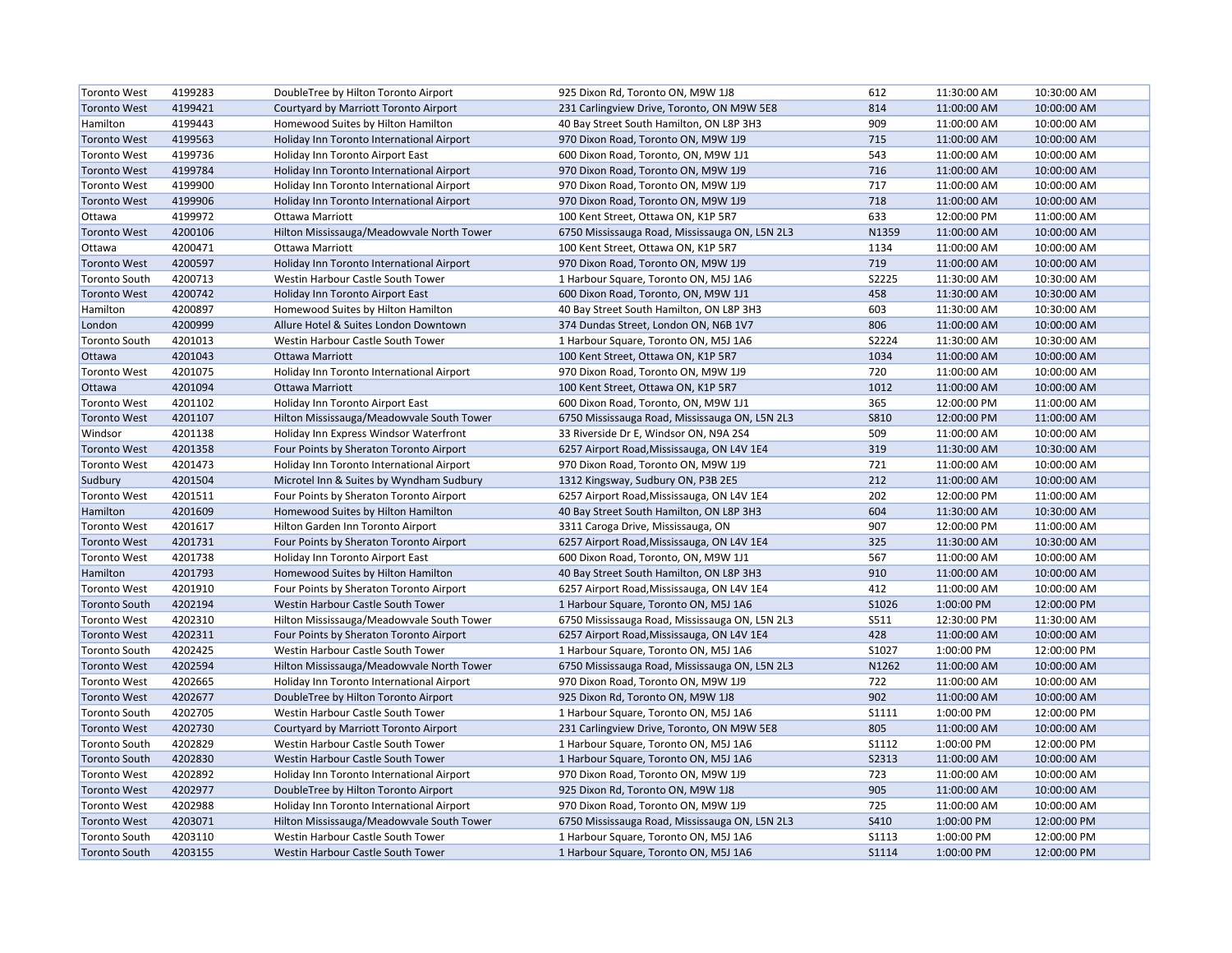| <b>Toronto West</b>  | 4199283 | DoubleTree by Hilton Toronto Airport      | 925 Dixon Rd, Toronto ON, M9W 1J8              | 612          | 11:30:00 AM | 10:30:00 AM |
|----------------------|---------|-------------------------------------------|------------------------------------------------|--------------|-------------|-------------|
| <b>Toronto West</b>  | 4199421 | Courtyard by Marriott Toronto Airport     | 231 Carlingview Drive, Toronto, ON M9W 5E8     | 814          | 11:00:00 AM | 10:00:00 AM |
| Hamilton             | 4199443 | Homewood Suites by Hilton Hamilton        | 40 Bay Street South Hamilton, ON L8P 3H3       | 909          | 11:00:00 AM | 10:00:00 AM |
| <b>Toronto West</b>  | 4199563 | Holiday Inn Toronto International Airport | 970 Dixon Road, Toronto ON, M9W 1J9            | 715          | 11:00:00 AM | 10:00:00 AM |
| <b>Toronto West</b>  | 4199736 | Holiday Inn Toronto Airport East          | 600 Dixon Road, Toronto, ON, M9W 1J1           | 543          | 11:00:00 AM | 10:00:00 AM |
| <b>Toronto West</b>  | 4199784 | Holiday Inn Toronto International Airport | 970 Dixon Road, Toronto ON, M9W 1J9            | 716          | 11:00:00 AM | 10:00:00 AM |
| <b>Toronto West</b>  | 4199900 | Holiday Inn Toronto International Airport | 970 Dixon Road, Toronto ON, M9W 1J9            | 717          | 11:00:00 AM | 10:00:00 AM |
| <b>Toronto West</b>  | 4199906 | Holiday Inn Toronto International Airport | 970 Dixon Road, Toronto ON, M9W 1J9            | 718          | 11:00:00 AM | 10:00:00 AM |
| Ottawa               | 4199972 | Ottawa Marriott                           | 100 Kent Street, Ottawa ON, K1P 5R7            | 633          | 12:00:00 PM | 11:00:00 AM |
| <b>Toronto West</b>  | 4200106 | Hilton Mississauga/Meadowvale North Tower | 6750 Mississauga Road, Mississauga ON, L5N 2L3 | N1359        | 11:00:00 AM | 10:00:00 AM |
| Ottawa               | 4200471 | Ottawa Marriott                           | 100 Kent Street, Ottawa ON, K1P 5R7            | 1134         | 11:00:00 AM | 10:00:00 AM |
| <b>Toronto West</b>  | 4200597 | Holiday Inn Toronto International Airport | 970 Dixon Road, Toronto ON, M9W 1J9            | 719          | 11:00:00 AM | 10:00:00 AM |
| <b>Toronto South</b> | 4200713 | Westin Harbour Castle South Tower         | 1 Harbour Square, Toronto ON, M5J 1A6          | S2225        | 11:30:00 AM | 10:30:00 AM |
| <b>Toronto West</b>  | 4200742 | Holiday Inn Toronto Airport East          | 600 Dixon Road, Toronto, ON, M9W 1J1           | 458          | 11:30:00 AM | 10:30:00 AM |
| Hamilton             | 4200897 | Homewood Suites by Hilton Hamilton        | 40 Bay Street South Hamilton, ON L8P 3H3       | 603          | 11:30:00 AM | 10:30:00 AM |
| London               | 4200999 | Allure Hotel & Suites London Downtown     | 374 Dundas Street, London ON, N6B 1V7          | 806          | 11:00:00 AM | 10:00:00 AM |
| Toronto South        | 4201013 | Westin Harbour Castle South Tower         | 1 Harbour Square, Toronto ON, M5J 1A6          | S2224        | 11:30:00 AM | 10:30:00 AM |
| Ottawa               | 4201043 | Ottawa Marriott                           | 100 Kent Street, Ottawa ON, K1P 5R7            | 1034         | 11:00:00 AM | 10:00:00 AM |
| <b>Toronto West</b>  | 4201075 | Holiday Inn Toronto International Airport | 970 Dixon Road, Toronto ON, M9W 1J9            | 720          | 11:00:00 AM | 10:00:00 AM |
| Ottawa               | 4201094 | Ottawa Marriott                           | 100 Kent Street, Ottawa ON, K1P 5R7            | 1012         | 11:00:00 AM | 10:00:00 AM |
| <b>Toronto West</b>  | 4201102 | Holiday Inn Toronto Airport East          | 600 Dixon Road, Toronto, ON, M9W 1J1           | 365          | 12:00:00 PM | 11:00:00 AM |
| <b>Toronto West</b>  | 4201107 | Hilton Mississauga/Meadowvale South Tower | 6750 Mississauga Road, Mississauga ON, L5N 2L3 | <b>S810</b>  | 12:00:00 PM | 11:00:00 AM |
| Windsor              | 4201138 | Holiday Inn Express Windsor Waterfront    | 33 Riverside Dr E, Windsor ON, N9A 2S4         | 509          | 11:00:00 AM | 10:00:00 AM |
| <b>Toronto West</b>  | 4201358 | Four Points by Sheraton Toronto Airport   | 6257 Airport Road, Mississauga, ON L4V 1E4     | 319          | 11:30:00 AM | 10:30:00 AM |
| <b>Toronto West</b>  | 4201473 | Holiday Inn Toronto International Airport | 970 Dixon Road, Toronto ON, M9W 1J9            | 721          | 11:00:00 AM | 10:00:00 AM |
| Sudbury              | 4201504 | Microtel Inn & Suites by Wyndham Sudbury  | 1312 Kingsway, Sudbury ON, P3B 2E5             | 212          | 11:00:00 AM | 10:00:00 AM |
| <b>Toronto West</b>  | 4201511 | Four Points by Sheraton Toronto Airport   | 6257 Airport Road, Mississauga, ON L4V 1E4     | 202          | 12:00:00 PM | 11:00:00 AM |
| Hamilton             | 4201609 | Homewood Suites by Hilton Hamilton        | 40 Bay Street South Hamilton, ON L8P 3H3       | 604          | 11:30:00 AM | 10:30:00 AM |
| <b>Toronto West</b>  | 4201617 | Hilton Garden Inn Toronto Airport         | 3311 Caroga Drive, Mississauga, ON             | 907          | 12:00:00 PM | 11:00:00 AM |
| <b>Toronto West</b>  | 4201731 | Four Points by Sheraton Toronto Airport   | 6257 Airport Road, Mississauga, ON L4V 1E4     | 325          | 11:30:00 AM | 10:30:00 AM |
| <b>Toronto West</b>  | 4201738 | Holiday Inn Toronto Airport East          | 600 Dixon Road, Toronto, ON, M9W 1J1           | 567          | 11:00:00 AM | 10:00:00 AM |
| Hamilton             | 4201793 | Homewood Suites by Hilton Hamilton        | 40 Bay Street South Hamilton, ON L8P 3H3       | 910          | 11:00:00 AM | 10:00:00 AM |
| <b>Toronto West</b>  | 4201910 | Four Points by Sheraton Toronto Airport   | 6257 Airport Road, Mississauga, ON L4V 1E4     | 412          | 11:00:00 AM | 10:00:00 AM |
| <b>Toronto South</b> | 4202194 | Westin Harbour Castle South Tower         | 1 Harbour Square, Toronto ON, M5J 1A6          | S1026        | 1:00:00 PM  | 12:00:00 PM |
| <b>Toronto West</b>  | 4202310 | Hilton Mississauga/Meadowvale South Tower | 6750 Mississauga Road, Mississauga ON, L5N 2L3 | S511         | 12:30:00 PM | 11:30:00 AM |
| <b>Toronto West</b>  | 4202311 | Four Points by Sheraton Toronto Airport   | 6257 Airport Road, Mississauga, ON L4V 1E4     | 428          | 11:00:00 AM | 10:00:00 AM |
| <b>Toronto South</b> | 4202425 | Westin Harbour Castle South Tower         | 1 Harbour Square, Toronto ON, M5J 1A6          | S1027        | 1:00:00 PM  | 12:00:00 PM |
| <b>Toronto West</b>  | 4202594 | Hilton Mississauga/Meadowvale North Tower | 6750 Mississauga Road, Mississauga ON, L5N 2L3 | N1262        | 11:00:00 AM | 10:00:00 AM |
| <b>Toronto West</b>  | 4202665 | Holiday Inn Toronto International Airport | 970 Dixon Road, Toronto ON, M9W 1J9            | 722          | 11:00:00 AM | 10:00:00 AM |
| <b>Toronto West</b>  | 4202677 | DoubleTree by Hilton Toronto Airport      | 925 Dixon Rd, Toronto ON, M9W 1J8              | 902          | 11:00:00 AM | 10:00:00 AM |
| <b>Toronto South</b> | 4202705 | Westin Harbour Castle South Tower         | 1 Harbour Square, Toronto ON, M5J 1A6          | <b>S1111</b> | 1:00:00 PM  | 12:00:00 PM |
| <b>Toronto West</b>  | 4202730 | Courtyard by Marriott Toronto Airport     | 231 Carlingview Drive, Toronto, ON M9W 5E8     | 805          | 11:00:00 AM | 10:00:00 AM |
| <b>Toronto South</b> | 4202829 | Westin Harbour Castle South Tower         | 1 Harbour Square, Toronto ON, M5J 1A6          | <b>S1112</b> | 1:00:00 PM  | 12:00:00 PM |
| <b>Toronto South</b> | 4202830 | Westin Harbour Castle South Tower         | 1 Harbour Square, Toronto ON, M5J 1A6          | <b>S2313</b> | 11:00:00 AM | 10:00:00 AM |
| <b>Toronto West</b>  | 4202892 | Holiday Inn Toronto International Airport | 970 Dixon Road, Toronto ON, M9W 1J9            | 723          | 11:00:00 AM | 10:00:00 AM |
| <b>Toronto West</b>  | 4202977 | DoubleTree by Hilton Toronto Airport      | 925 Dixon Rd, Toronto ON, M9W 1J8              | 905          | 11:00:00 AM | 10:00:00 AM |
| <b>Toronto West</b>  | 4202988 | Holiday Inn Toronto International Airport | 970 Dixon Road, Toronto ON, M9W 1J9            | 725          | 11:00:00 AM | 10:00:00 AM |
| <b>Toronto West</b>  | 4203071 | Hilton Mississauga/Meadowvale South Tower | 6750 Mississauga Road, Mississauga ON, L5N 2L3 | S410         | 1:00:00 PM  | 12:00:00 PM |
| <b>Toronto South</b> | 4203110 | Westin Harbour Castle South Tower         | 1 Harbour Square, Toronto ON, M5J 1A6          | <b>S1113</b> | 1:00:00 PM  | 12:00:00 PM |
| Toronto South        | 4203155 | Westin Harbour Castle South Tower         | 1 Harbour Square, Toronto ON, M5J 1A6          | <b>S1114</b> | 1:00:00 PM  | 12:00:00 PM |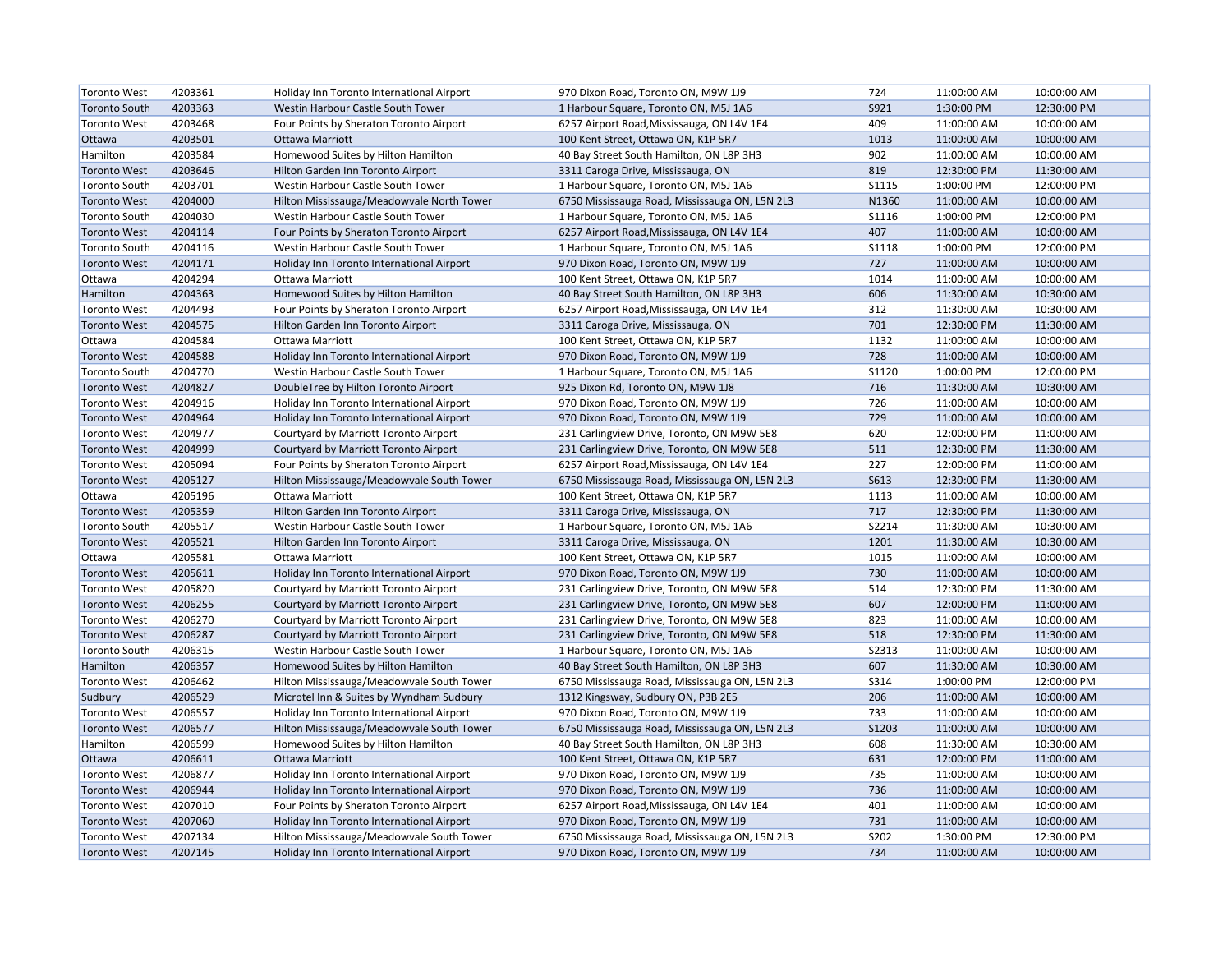| <b>Toronto West</b>  | 4203361 | Holiday Inn Toronto International Airport | 970 Dixon Road, Toronto ON, M9W 1J9            | 724          | 11:00:00 AM | 10:00:00 AM |
|----------------------|---------|-------------------------------------------|------------------------------------------------|--------------|-------------|-------------|
| <b>Toronto South</b> | 4203363 | Westin Harbour Castle South Tower         | 1 Harbour Square, Toronto ON, M5J 1A6          | S921         | 1:30:00 PM  | 12:30:00 PM |
| <b>Toronto West</b>  | 4203468 | Four Points by Sheraton Toronto Airport   | 6257 Airport Road, Mississauga, ON L4V 1E4     | 409          | 11:00:00 AM | 10:00:00 AM |
| Ottawa               | 4203501 | <b>Ottawa Marriott</b>                    | 100 Kent Street, Ottawa ON, K1P 5R7            | 1013         | 11:00:00 AM | 10:00:00 AM |
| Hamilton             | 4203584 | Homewood Suites by Hilton Hamilton        | 40 Bay Street South Hamilton, ON L8P 3H3       | 902          | 11:00:00 AM | 10:00:00 AM |
| <b>Toronto West</b>  | 4203646 | Hilton Garden Inn Toronto Airport         | 3311 Caroga Drive, Mississauga, ON             | 819          | 12:30:00 PM | 11:30:00 AM |
| <b>Toronto South</b> | 4203701 | Westin Harbour Castle South Tower         | 1 Harbour Square, Toronto ON, M5J 1A6          | <b>S1115</b> | 1:00:00 PM  | 12:00:00 PM |
| <b>Toronto West</b>  | 4204000 | Hilton Mississauga/Meadowvale North Tower | 6750 Mississauga Road, Mississauga ON, L5N 2L3 | N1360        | 11:00:00 AM | 10:00:00 AM |
| <b>Toronto South</b> | 4204030 | Westin Harbour Castle South Tower         | 1 Harbour Square, Toronto ON, M5J 1A6          | S1116        | 1:00:00 PM  | 12:00:00 PM |
| <b>Toronto West</b>  | 4204114 | Four Points by Sheraton Toronto Airport   | 6257 Airport Road, Mississauga, ON L4V 1E4     | 407          | 11:00:00 AM | 10:00:00 AM |
| <b>Toronto South</b> | 4204116 | Westin Harbour Castle South Tower         | 1 Harbour Square, Toronto ON, M5J 1A6          | <b>S1118</b> | 1:00:00 PM  | 12:00:00 PM |
| <b>Toronto West</b>  | 4204171 | Holiday Inn Toronto International Airport | 970 Dixon Road, Toronto ON, M9W 1J9            | 727          | 11:00:00 AM | 10:00:00 AM |
| Ottawa               | 4204294 | Ottawa Marriott                           | 100 Kent Street, Ottawa ON, K1P 5R7            | 1014         | 11:00:00 AM | 10:00:00 AM |
| Hamilton             | 4204363 | Homewood Suites by Hilton Hamilton        | 40 Bay Street South Hamilton, ON L8P 3H3       | 606          | 11:30:00 AM | 10:30:00 AM |
| <b>Toronto West</b>  | 4204493 | Four Points by Sheraton Toronto Airport   | 6257 Airport Road, Mississauga, ON L4V 1E4     | 312          | 11:30:00 AM | 10:30:00 AM |
| <b>Toronto West</b>  | 4204575 | Hilton Garden Inn Toronto Airport         | 3311 Caroga Drive, Mississauga, ON             | 701          | 12:30:00 PM | 11:30:00 AM |
| Ottawa               | 4204584 | Ottawa Marriott                           | 100 Kent Street, Ottawa ON, K1P 5R7            | 1132         | 11:00:00 AM | 10:00:00 AM |
| <b>Toronto West</b>  | 4204588 | Holiday Inn Toronto International Airport | 970 Dixon Road, Toronto ON, M9W 1J9            | 728          | 11:00:00 AM | 10:00:00 AM |
| <b>Toronto South</b> | 4204770 | Westin Harbour Castle South Tower         | 1 Harbour Square, Toronto ON, M5J 1A6          | <b>S1120</b> | 1:00:00 PM  | 12:00:00 PM |
| <b>Toronto West</b>  | 4204827 | DoubleTree by Hilton Toronto Airport      | 925 Dixon Rd, Toronto ON, M9W 1J8              | 716          | 11:30:00 AM | 10:30:00 AM |
| <b>Toronto West</b>  | 4204916 | Holiday Inn Toronto International Airport | 970 Dixon Road, Toronto ON, M9W 1J9            | 726          | 11:00:00 AM | 10:00:00 AM |
| <b>Toronto West</b>  | 4204964 | Holiday Inn Toronto International Airport | 970 Dixon Road, Toronto ON, M9W 1J9            | 729          | 11:00:00 AM | 10:00:00 AM |
| <b>Toronto West</b>  | 4204977 | Courtyard by Marriott Toronto Airport     | 231 Carlingview Drive, Toronto, ON M9W 5E8     | 620          | 12:00:00 PM | 11:00:00 AM |
| <b>Toronto West</b>  | 4204999 | Courtyard by Marriott Toronto Airport     | 231 Carlingview Drive, Toronto, ON M9W 5E8     | 511          | 12:30:00 PM | 11:30:00 AM |
| <b>Toronto West</b>  | 4205094 | Four Points by Sheraton Toronto Airport   | 6257 Airport Road, Mississauga, ON L4V 1E4     | 227          | 12:00:00 PM | 11:00:00 AM |
| <b>Toronto West</b>  | 4205127 | Hilton Mississauga/Meadowvale South Tower | 6750 Mississauga Road, Mississauga ON, L5N 2L3 | <b>S613</b>  | 12:30:00 PM | 11:30:00 AM |
| Ottawa               | 4205196 | Ottawa Marriott                           | 100 Kent Street, Ottawa ON, K1P 5R7            | 1113         | 11:00:00 AM | 10:00:00 AM |
| <b>Toronto West</b>  | 4205359 | Hilton Garden Inn Toronto Airport         | 3311 Caroga Drive, Mississauga, ON             | 717          | 12:30:00 PM | 11:30:00 AM |
| <b>Toronto South</b> | 4205517 | Westin Harbour Castle South Tower         | 1 Harbour Square, Toronto ON, M5J 1A6          | S2214        | 11:30:00 AM | 10:30:00 AM |
| <b>Toronto West</b>  | 4205521 | Hilton Garden Inn Toronto Airport         | 3311 Caroga Drive, Mississauga, ON             | 1201         | 11:30:00 AM | 10:30:00 AM |
| Ottawa               | 4205581 | <b>Ottawa Marriott</b>                    | 100 Kent Street, Ottawa ON, K1P 5R7            | 1015         | 11:00:00 AM | 10:00:00 AM |
| <b>Toronto West</b>  | 4205611 | Holiday Inn Toronto International Airport | 970 Dixon Road, Toronto ON, M9W 1J9            | 730          | 11:00:00 AM | 10:00:00 AM |
| <b>Toronto West</b>  | 4205820 | Courtyard by Marriott Toronto Airport     | 231 Carlingview Drive, Toronto, ON M9W 5E8     | 514          | 12:30:00 PM | 11:30:00 AM |
| <b>Toronto West</b>  | 4206255 | Courtyard by Marriott Toronto Airport     | 231 Carlingview Drive, Toronto, ON M9W 5E8     | 607          | 12:00:00 PM | 11:00:00 AM |
| <b>Toronto West</b>  | 4206270 | Courtyard by Marriott Toronto Airport     | 231 Carlingview Drive, Toronto, ON M9W 5E8     | 823          | 11:00:00 AM | 10:00:00 AM |
| <b>Toronto West</b>  | 4206287 | Courtyard by Marriott Toronto Airport     | 231 Carlingview Drive, Toronto, ON M9W 5E8     | 518          | 12:30:00 PM | 11:30:00 AM |
| <b>Toronto South</b> | 4206315 | Westin Harbour Castle South Tower         | 1 Harbour Square, Toronto ON, M5J 1A6          | S2313        | 11:00:00 AM | 10:00:00 AM |
| Hamilton             | 4206357 | Homewood Suites by Hilton Hamilton        | 40 Bay Street South Hamilton, ON L8P 3H3       | 607          | 11:30:00 AM | 10:30:00 AM |
| <b>Toronto West</b>  | 4206462 | Hilton Mississauga/Meadowvale South Tower | 6750 Mississauga Road, Mississauga ON, L5N 2L3 | S314         | 1:00:00 PM  | 12:00:00 PM |
| Sudbury              | 4206529 | Microtel Inn & Suites by Wyndham Sudbury  | 1312 Kingsway, Sudbury ON, P3B 2E5             | 206          | 11:00:00 AM | 10:00:00 AM |
| <b>Toronto West</b>  | 4206557 | Holiday Inn Toronto International Airport | 970 Dixon Road, Toronto ON, M9W 1J9            | 733          | 11:00:00 AM | 10:00:00 AM |
| <b>Toronto West</b>  | 4206577 | Hilton Mississauga/Meadowvale South Tower | 6750 Mississauga Road, Mississauga ON, L5N 2L3 | <b>S1203</b> | 11:00:00 AM | 10:00:00 AM |
| Hamilton             | 4206599 | Homewood Suites by Hilton Hamilton        | 40 Bay Street South Hamilton, ON L8P 3H3       | 608          | 11:30:00 AM | 10:30:00 AM |
| Ottawa               | 4206611 | <b>Ottawa Marriott</b>                    | 100 Kent Street, Ottawa ON, K1P 5R7            | 631          | 12:00:00 PM | 11:00:00 AM |
| <b>Toronto West</b>  | 4206877 | Holiday Inn Toronto International Airport | 970 Dixon Road, Toronto ON, M9W 1J9            | 735          | 11:00:00 AM | 10:00:00 AM |
| <b>Toronto West</b>  | 4206944 | Holiday Inn Toronto International Airport | 970 Dixon Road, Toronto ON, M9W 1J9            | 736          | 11:00:00 AM | 10:00:00 AM |
| <b>Toronto West</b>  | 4207010 | Four Points by Sheraton Toronto Airport   | 6257 Airport Road, Mississauga, ON L4V 1E4     | 401          | 11:00:00 AM | 10:00:00 AM |
| <b>Toronto West</b>  | 4207060 | Holiday Inn Toronto International Airport | 970 Dixon Road, Toronto ON, M9W 1J9            | 731          | 11:00:00 AM | 10:00:00 AM |
| <b>Toronto West</b>  | 4207134 | Hilton Mississauga/Meadowvale South Tower | 6750 Mississauga Road, Mississauga ON, L5N 2L3 | S202         | 1:30:00 PM  | 12:30:00 PM |
| <b>Toronto West</b>  | 4207145 | Holiday Inn Toronto International Airport | 970 Dixon Road, Toronto ON, M9W 1J9            | 734          | 11:00:00 AM | 10:00:00 AM |
|                      |         |                                           |                                                |              |             |             |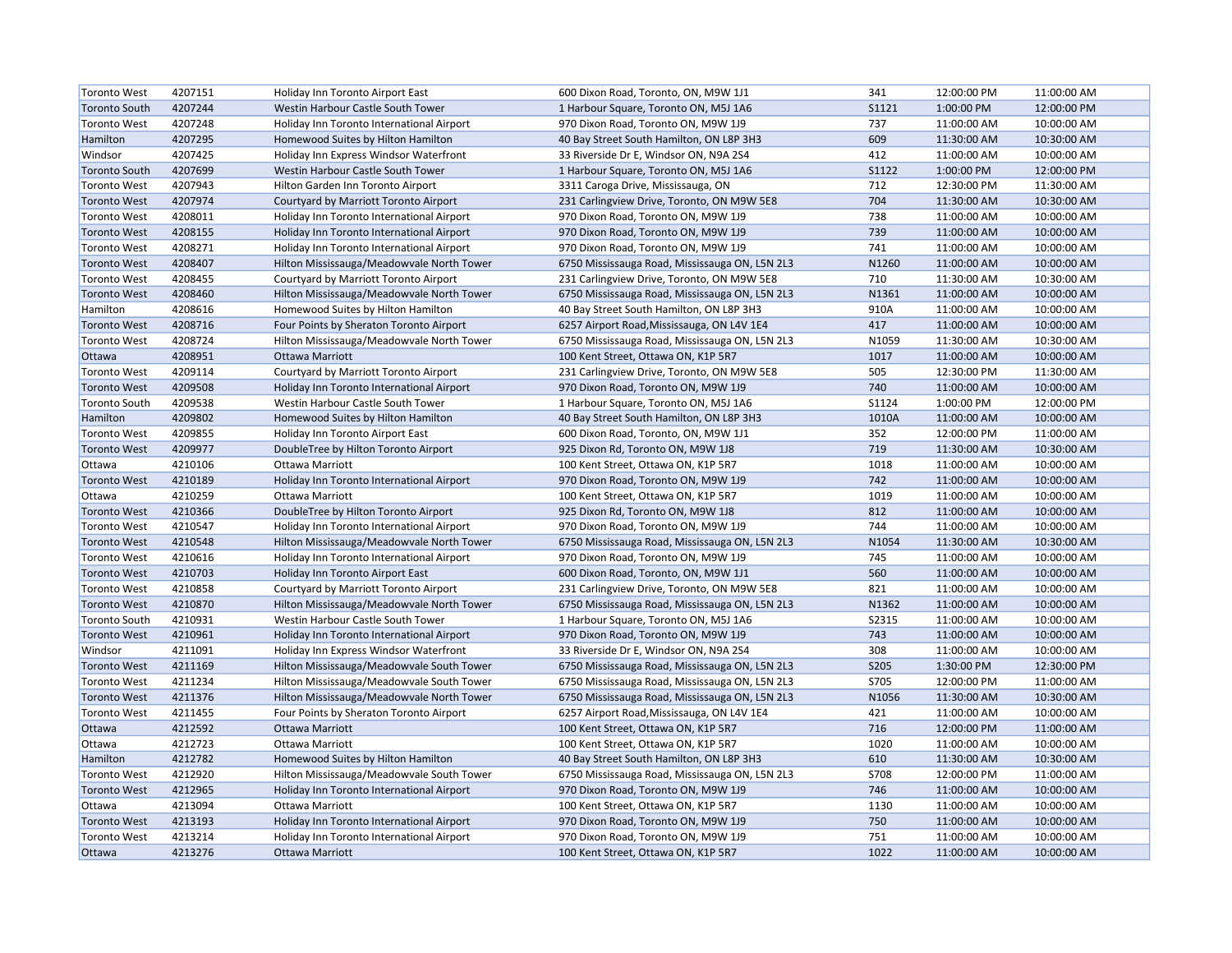| <b>Toronto West</b>  | 4207151 | Holiday Inn Toronto Airport East          | 600 Dixon Road, Toronto, ON, M9W 1J1           | 341         | 12:00:00 PM | 11:00:00 AM |
|----------------------|---------|-------------------------------------------|------------------------------------------------|-------------|-------------|-------------|
| <b>Toronto South</b> | 4207244 | Westin Harbour Castle South Tower         | 1 Harbour Square, Toronto ON, M5J 1A6          | S1121       | 1:00:00 PM  | 12:00:00 PM |
| <b>Toronto West</b>  | 4207248 | Holiday Inn Toronto International Airport | 970 Dixon Road, Toronto ON, M9W 1J9            | 737         | 11:00:00 AM | 10:00:00 AM |
| Hamilton             | 4207295 | Homewood Suites by Hilton Hamilton        | 40 Bay Street South Hamilton, ON L8P 3H3       | 609         | 11:30:00 AM | 10:30:00 AM |
| Windsor              | 4207425 | Holiday Inn Express Windsor Waterfront    | 33 Riverside Dr E, Windsor ON, N9A 2S4         | 412         | 11:00:00 AM | 10:00:00 AM |
| <b>Toronto South</b> | 4207699 | Westin Harbour Castle South Tower         | 1 Harbour Square, Toronto ON, M5J 1A6          | S1122       | 1:00:00 PM  | 12:00:00 PM |
| <b>Toronto West</b>  | 4207943 | Hilton Garden Inn Toronto Airport         | 3311 Caroga Drive, Mississauga, ON             | 712         | 12:30:00 PM | 11:30:00 AM |
| <b>Toronto West</b>  | 4207974 | Courtyard by Marriott Toronto Airport     | 231 Carlingview Drive, Toronto, ON M9W 5E8     | 704         | 11:30:00 AM | 10:30:00 AM |
| <b>Toronto West</b>  | 4208011 | Holiday Inn Toronto International Airport | 970 Dixon Road, Toronto ON, M9W 1J9            | 738         | 11:00:00 AM | 10:00:00 AM |
| <b>Toronto West</b>  | 4208155 | Holiday Inn Toronto International Airport | 970 Dixon Road, Toronto ON, M9W 1J9            | 739         | 11:00:00 AM | 10:00:00 AM |
| <b>Toronto West</b>  | 4208271 | Holiday Inn Toronto International Airport | 970 Dixon Road, Toronto ON, M9W 1J9            | 741         | 11:00:00 AM | 10:00:00 AM |
| <b>Toronto West</b>  | 4208407 | Hilton Mississauga/Meadowvale North Tower | 6750 Mississauga Road, Mississauga ON, L5N 2L3 | N1260       | 11:00:00 AM | 10:00:00 AM |
| <b>Toronto West</b>  | 4208455 | Courtyard by Marriott Toronto Airport     | 231 Carlingview Drive, Toronto, ON M9W 5E8     | 710         | 11:30:00 AM | 10:30:00 AM |
| <b>Toronto West</b>  | 4208460 | Hilton Mississauga/Meadowvale North Tower | 6750 Mississauga Road, Mississauga ON, L5N 2L3 | N1361       | 11:00:00 AM | 10:00:00 AM |
| Hamilton             | 4208616 | Homewood Suites by Hilton Hamilton        | 40 Bay Street South Hamilton, ON L8P 3H3       | 910A        | 11:00:00 AM | 10:00:00 AM |
| <b>Toronto West</b>  | 4208716 | Four Points by Sheraton Toronto Airport   | 6257 Airport Road, Mississauga, ON L4V 1E4     | 417         | 11:00:00 AM | 10:00:00 AM |
| <b>Toronto West</b>  | 4208724 | Hilton Mississauga/Meadowvale North Tower | 6750 Mississauga Road, Mississauga ON, L5N 2L3 | N1059       | 11:30:00 AM | 10:30:00 AM |
| Ottawa               | 4208951 | Ottawa Marriott                           | 100 Kent Street, Ottawa ON, K1P 5R7            | 1017        | 11:00:00 AM | 10:00:00 AM |
| <b>Toronto West</b>  | 4209114 | Courtyard by Marriott Toronto Airport     | 231 Carlingview Drive, Toronto, ON M9W 5E8     | 505         | 12:30:00 PM | 11:30:00 AM |
| <b>Toronto West</b>  | 4209508 | Holiday Inn Toronto International Airport | 970 Dixon Road, Toronto ON, M9W 1J9            | 740         | 11:00:00 AM | 10:00:00 AM |
| <b>Toronto South</b> | 4209538 | Westin Harbour Castle South Tower         | 1 Harbour Square, Toronto ON, M5J 1A6          | S1124       | 1:00:00 PM  | 12:00:00 PM |
| Hamilton             | 4209802 | Homewood Suites by Hilton Hamilton        | 40 Bay Street South Hamilton, ON L8P 3H3       | 1010A       | 11:00:00 AM | 10:00:00 AM |
| <b>Toronto West</b>  | 4209855 | Holiday Inn Toronto Airport East          | 600 Dixon Road, Toronto, ON, M9W 1J1           | 352         | 12:00:00 PM | 11:00:00 AM |
| <b>Toronto West</b>  | 4209977 | DoubleTree by Hilton Toronto Airport      | 925 Dixon Rd, Toronto ON, M9W 1J8              | 719         | 11:30:00 AM | 10:30:00 AM |
| Ottawa               | 4210106 | Ottawa Marriott                           | 100 Kent Street, Ottawa ON, K1P 5R7            | 1018        | 11:00:00 AM | 10:00:00 AM |
| <b>Toronto West</b>  | 4210189 | Holiday Inn Toronto International Airport | 970 Dixon Road, Toronto ON, M9W 1J9            | 742         | 11:00:00 AM | 10:00:00 AM |
| Ottawa               | 4210259 | Ottawa Marriott                           | 100 Kent Street, Ottawa ON, K1P 5R7            | 1019        | 11:00:00 AM | 10:00:00 AM |
| <b>Toronto West</b>  | 4210366 | DoubleTree by Hilton Toronto Airport      | 925 Dixon Rd, Toronto ON, M9W 1J8              | 812         | 11:00:00 AM | 10:00:00 AM |
| <b>Toronto West</b>  | 4210547 | Holiday Inn Toronto International Airport | 970 Dixon Road, Toronto ON, M9W 1J9            | 744         | 11:00:00 AM | 10:00:00 AM |
| <b>Toronto West</b>  | 4210548 | Hilton Mississauga/Meadowvale North Tower | 6750 Mississauga Road, Mississauga ON, L5N 2L3 | N1054       | 11:30:00 AM | 10:30:00 AM |
| <b>Toronto West</b>  | 4210616 | Holiday Inn Toronto International Airport | 970 Dixon Road, Toronto ON, M9W 1J9            | 745         | 11:00:00 AM | 10:00:00 AM |
| <b>Toronto West</b>  | 4210703 | Holiday Inn Toronto Airport East          | 600 Dixon Road, Toronto, ON, M9W 1J1           | 560         | 11:00:00 AM | 10:00:00 AM |
| <b>Toronto West</b>  | 4210858 | Courtyard by Marriott Toronto Airport     | 231 Carlingview Drive, Toronto, ON M9W 5E8     | 821         | 11:00:00 AM | 10:00:00 AM |
| <b>Toronto West</b>  | 4210870 | Hilton Mississauga/Meadowvale North Tower | 6750 Mississauga Road, Mississauga ON, L5N 2L3 | N1362       | 11:00:00 AM | 10:00:00 AM |
| <b>Toronto South</b> | 4210931 | Westin Harbour Castle South Tower         | 1 Harbour Square, Toronto ON, M5J 1A6          | S2315       | 11:00:00 AM | 10:00:00 AM |
| <b>Toronto West</b>  | 4210961 | Holiday Inn Toronto International Airport | 970 Dixon Road, Toronto ON, M9W 1J9            | 743         | 11:00:00 AM | 10:00:00 AM |
| Windsor              | 4211091 | Holiday Inn Express Windsor Waterfront    | 33 Riverside Dr E, Windsor ON, N9A 2S4         | 308         | 11:00:00 AM | 10:00:00 AM |
| <b>Toronto West</b>  | 4211169 | Hilton Mississauga/Meadowvale South Tower | 6750 Mississauga Road, Mississauga ON, L5N 2L3 | <b>S205</b> | 1:30:00 PM  | 12:30:00 PM |
| <b>Toronto West</b>  | 4211234 | Hilton Mississauga/Meadowvale South Tower | 6750 Mississauga Road, Mississauga ON, L5N 2L3 | S705        | 12:00:00 PM | 11:00:00 AM |
| <b>Toronto West</b>  | 4211376 | Hilton Mississauga/Meadowvale North Tower | 6750 Mississauga Road, Mississauga ON, L5N 2L3 | N1056       | 11:30:00 AM | 10:30:00 AM |
| <b>Toronto West</b>  | 4211455 | Four Points by Sheraton Toronto Airport   | 6257 Airport Road, Mississauga, ON L4V 1E4     | 421         | 11:00:00 AM | 10:00:00 AM |
| Ottawa               | 4212592 | <b>Ottawa Marriott</b>                    | 100 Kent Street, Ottawa ON, K1P 5R7            | 716         | 12:00:00 PM | 11:00:00 AM |
| Ottawa               | 4212723 | Ottawa Marriott                           | 100 Kent Street, Ottawa ON, K1P 5R7            | 1020        | 11:00:00 AM | 10:00:00 AM |
| Hamilton             | 4212782 | Homewood Suites by Hilton Hamilton        | 40 Bay Street South Hamilton, ON L8P 3H3       | 610         | 11:30:00 AM | 10:30:00 AM |
| <b>Toronto West</b>  | 4212920 | Hilton Mississauga/Meadowvale South Tower | 6750 Mississauga Road, Mississauga ON, L5N 2L3 | <b>S708</b> | 12:00:00 PM | 11:00:00 AM |
| <b>Toronto West</b>  | 4212965 | Holiday Inn Toronto International Airport | 970 Dixon Road, Toronto ON, M9W 1J9            | 746         | 11:00:00 AM | 10:00:00 AM |
| Ottawa               | 4213094 | <b>Ottawa Marriott</b>                    | 100 Kent Street, Ottawa ON, K1P 5R7            | 1130        | 11:00:00 AM | 10:00:00 AM |
| <b>Toronto West</b>  | 4213193 | Holiday Inn Toronto International Airport | 970 Dixon Road, Toronto ON, M9W 1J9            | 750         | 11:00:00 AM | 10:00:00 AM |
| <b>Toronto West</b>  | 4213214 | Holiday Inn Toronto International Airport | 970 Dixon Road, Toronto ON, M9W 1J9            | 751         | 11:00:00 AM | 10:00:00 AM |
| Ottawa               | 4213276 | Ottawa Marriott                           | 100 Kent Street, Ottawa ON, K1P 5R7            | 1022        | 11:00:00 AM | 10:00:00 AM |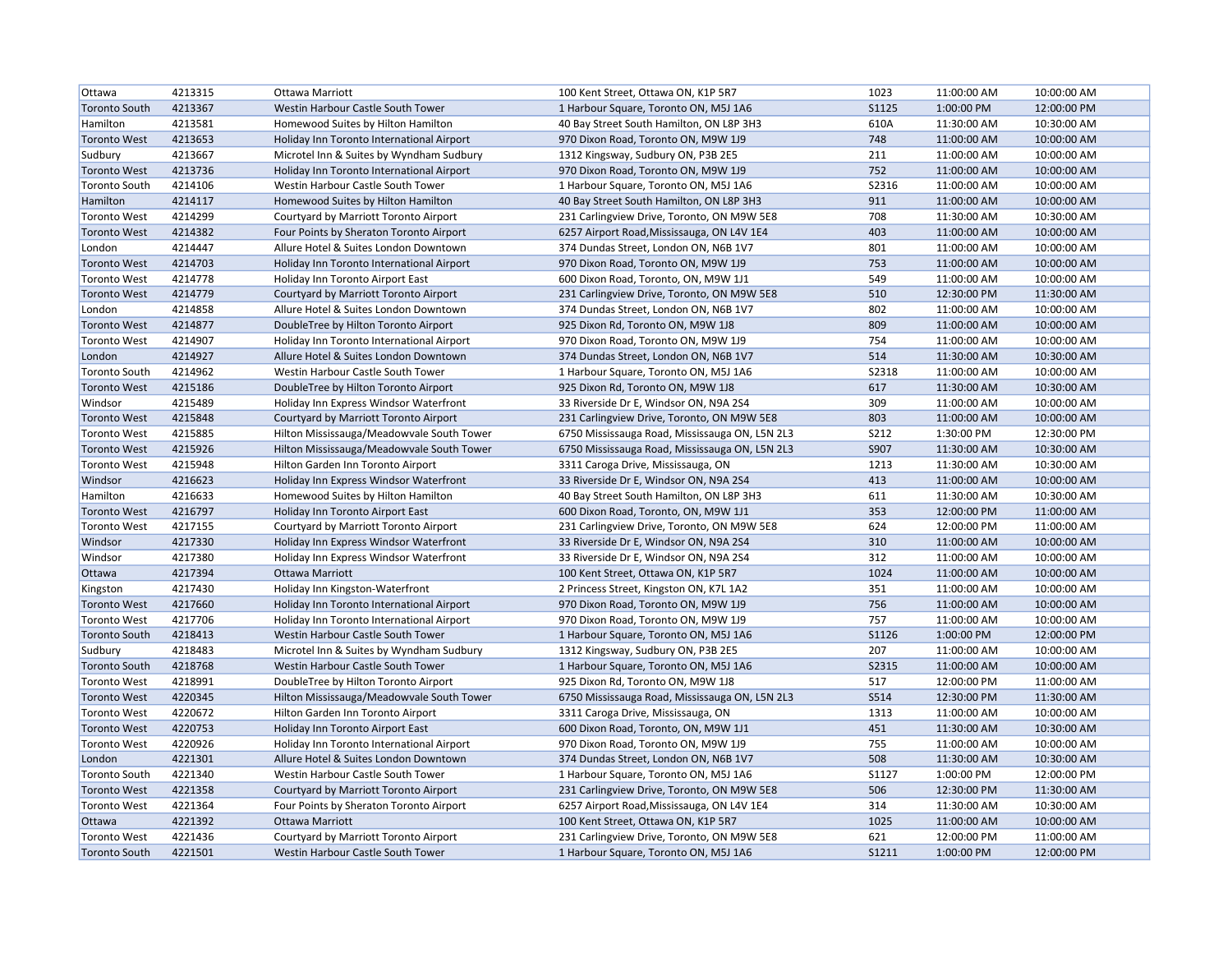| Ottawa               | 4213315 | Ottawa Marriott                           | 100 Kent Street, Ottawa ON, K1P 5R7            | 1023         | 11:00:00 AM | 10:00:00 AM |
|----------------------|---------|-------------------------------------------|------------------------------------------------|--------------|-------------|-------------|
| Toronto South        | 4213367 | Westin Harbour Castle South Tower         | 1 Harbour Square, Toronto ON, M5J 1A6          | <b>S1125</b> | 1:00:00 PM  | 12:00:00 PM |
| Hamilton             | 4213581 | Homewood Suites by Hilton Hamilton        | 40 Bay Street South Hamilton, ON L8P 3H3       | 610A         | 11:30:00 AM | 10:30:00 AM |
| <b>Toronto West</b>  | 4213653 | Holiday Inn Toronto International Airport | 970 Dixon Road, Toronto ON, M9W 1J9            | 748          | 11:00:00 AM | 10:00:00 AM |
| Sudbury              | 4213667 | Microtel Inn & Suites by Wyndham Sudbury  | 1312 Kingsway, Sudbury ON, P3B 2E5             | 211          | 11:00:00 AM | 10:00:00 AM |
| <b>Toronto West</b>  | 4213736 | Holiday Inn Toronto International Airport | 970 Dixon Road, Toronto ON, M9W 1J9            | 752          | 11:00:00 AM | 10:00:00 AM |
| <b>Toronto South</b> | 4214106 | Westin Harbour Castle South Tower         | 1 Harbour Square, Toronto ON, M5J 1A6          | S2316        | 11:00:00 AM | 10:00:00 AM |
| Hamilton             | 4214117 | Homewood Suites by Hilton Hamilton        | 40 Bay Street South Hamilton, ON L8P 3H3       | 911          | 11:00:00 AM | 10:00:00 AM |
| <b>Toronto West</b>  | 4214299 | Courtyard by Marriott Toronto Airport     | 231 Carlingview Drive, Toronto, ON M9W 5E8     | 708          | 11:30:00 AM | 10:30:00 AM |
| <b>Toronto West</b>  | 4214382 | Four Points by Sheraton Toronto Airport   | 6257 Airport Road, Mississauga, ON L4V 1E4     | 403          | 11:00:00 AM | 10:00:00 AM |
| London               | 4214447 | Allure Hotel & Suites London Downtown     | 374 Dundas Street, London ON, N6B 1V7          | 801          | 11:00:00 AM | 10:00:00 AM |
| <b>Toronto West</b>  | 4214703 | Holiday Inn Toronto International Airport | 970 Dixon Road, Toronto ON, M9W 1J9            | 753          | 11:00:00 AM | 10:00:00 AM |
| <b>Toronto West</b>  | 4214778 | Holiday Inn Toronto Airport East          | 600 Dixon Road, Toronto, ON, M9W 1J1           | 549          | 11:00:00 AM | 10:00:00 AM |
| <b>Toronto West</b>  | 4214779 | Courtyard by Marriott Toronto Airport     | 231 Carlingview Drive, Toronto, ON M9W 5E8     | 510          | 12:30:00 PM | 11:30:00 AM |
| London               | 4214858 | Allure Hotel & Suites London Downtown     | 374 Dundas Street, London ON, N6B 1V7          | 802          | 11:00:00 AM | 10:00:00 AM |
| <b>Toronto West</b>  | 4214877 | DoubleTree by Hilton Toronto Airport      | 925 Dixon Rd, Toronto ON, M9W 1J8              | 809          | 11:00:00 AM | 10:00:00 AM |
| <b>Toronto West</b>  | 4214907 | Holiday Inn Toronto International Airport | 970 Dixon Road, Toronto ON, M9W 1J9            | 754          | 11:00:00 AM | 10:00:00 AM |
| London               | 4214927 | Allure Hotel & Suites London Downtown     | 374 Dundas Street, London ON, N6B 1V7          | 514          | 11:30:00 AM | 10:30:00 AM |
| <b>Toronto South</b> | 4214962 | Westin Harbour Castle South Tower         | 1 Harbour Square, Toronto ON, M5J 1A6          | S2318        | 11:00:00 AM | 10:00:00 AM |
| <b>Toronto West</b>  | 4215186 | DoubleTree by Hilton Toronto Airport      | 925 Dixon Rd, Toronto ON, M9W 1J8              | 617          | 11:30:00 AM | 10:30:00 AM |
| Windsor              | 4215489 | Holiday Inn Express Windsor Waterfront    | 33 Riverside Dr E, Windsor ON, N9A 2S4         | 309          | 11:00:00 AM | 10:00:00 AM |
| <b>Toronto West</b>  | 4215848 | Courtyard by Marriott Toronto Airport     | 231 Carlingview Drive, Toronto, ON M9W 5E8     | 803          | 11:00:00 AM | 10:00:00 AM |
| <b>Toronto West</b>  | 4215885 | Hilton Mississauga/Meadowvale South Tower | 6750 Mississauga Road, Mississauga ON, L5N 2L3 | <b>S212</b>  | 1:30:00 PM  | 12:30:00 PM |
| <b>Toronto West</b>  | 4215926 | Hilton Mississauga/Meadowvale South Tower | 6750 Mississauga Road, Mississauga ON, L5N 2L3 | S907         | 11:30:00 AM | 10:30:00 AM |
| <b>Toronto West</b>  | 4215948 | Hilton Garden Inn Toronto Airport         | 3311 Caroga Drive, Mississauga, ON             | 1213         | 11:30:00 AM | 10:30:00 AM |
| Windsor              | 4216623 | Holiday Inn Express Windsor Waterfront    | 33 Riverside Dr E, Windsor ON, N9A 2S4         | 413          | 11:00:00 AM | 10:00:00 AM |
| Hamilton             | 4216633 | Homewood Suites by Hilton Hamilton        | 40 Bay Street South Hamilton, ON L8P 3H3       | 611          | 11:30:00 AM | 10:30:00 AM |
| <b>Toronto West</b>  | 4216797 | Holiday Inn Toronto Airport East          | 600 Dixon Road, Toronto, ON, M9W 1J1           | 353          | 12:00:00 PM | 11:00:00 AM |
| <b>Toronto West</b>  | 4217155 | Courtyard by Marriott Toronto Airport     | 231 Carlingview Drive, Toronto, ON M9W 5E8     | 624          | 12:00:00 PM | 11:00:00 AM |
| Windsor              | 4217330 | Holiday Inn Express Windsor Waterfront    | 33 Riverside Dr E, Windsor ON, N9A 2S4         | 310          | 11:00:00 AM | 10:00:00 AM |
| Windsor              | 4217380 | Holiday Inn Express Windsor Waterfront    | 33 Riverside Dr E, Windsor ON, N9A 2S4         | 312          | 11:00:00 AM | 10:00:00 AM |
| Ottawa               | 4217394 | Ottawa Marriott                           | 100 Kent Street, Ottawa ON, K1P 5R7            | 1024         | 11:00:00 AM | 10:00:00 AM |
| Kingston             | 4217430 | Holiday Inn Kingston-Waterfront           | 2 Princess Street, Kingston ON, K7L 1A2        | 351          | 11:00:00 AM | 10:00:00 AM |
| <b>Toronto West</b>  | 4217660 | Holiday Inn Toronto International Airport | 970 Dixon Road, Toronto ON, M9W 1J9            | 756          | 11:00:00 AM | 10:00:00 AM |
| <b>Toronto West</b>  | 4217706 | Holiday Inn Toronto International Airport | 970 Dixon Road, Toronto ON, M9W 1J9            | 757          | 11:00:00 AM | 10:00:00 AM |
| <b>Toronto South</b> | 4218413 | Westin Harbour Castle South Tower         | 1 Harbour Square, Toronto ON, M5J 1A6          | S1126        | 1:00:00 PM  | 12:00:00 PM |
| Sudbury              | 4218483 | Microtel Inn & Suites by Wyndham Sudbury  | 1312 Kingsway, Sudbury ON, P3B 2E5             | 207          | 11:00:00 AM | 10:00:00 AM |
| <b>Toronto South</b> | 4218768 | Westin Harbour Castle South Tower         | 1 Harbour Square, Toronto ON, M5J 1A6          | S2315        | 11:00:00 AM | 10:00:00 AM |
| <b>Toronto West</b>  | 4218991 | DoubleTree by Hilton Toronto Airport      | 925 Dixon Rd, Toronto ON, M9W 1J8              | 517          | 12:00:00 PM | 11:00:00 AM |
| <b>Toronto West</b>  | 4220345 | Hilton Mississauga/Meadowvale South Tower | 6750 Mississauga Road, Mississauga ON, L5N 2L3 | S514         | 12:30:00 PM | 11:30:00 AM |
| <b>Toronto West</b>  | 4220672 | Hilton Garden Inn Toronto Airport         | 3311 Caroga Drive, Mississauga, ON             | 1313         | 11:00:00 AM | 10:00:00 AM |
| <b>Toronto West</b>  | 4220753 | Holiday Inn Toronto Airport East          | 600 Dixon Road, Toronto, ON, M9W 1J1           | 451          | 11:30:00 AM | 10:30:00 AM |
| <b>Toronto West</b>  | 4220926 | Holiday Inn Toronto International Airport | 970 Dixon Road, Toronto ON, M9W 1J9            | 755          | 11:00:00 AM | 10:00:00 AM |
| London               | 4221301 | Allure Hotel & Suites London Downtown     | 374 Dundas Street, London ON, N6B 1V7          | 508          | 11:30:00 AM | 10:30:00 AM |
| <b>Toronto South</b> | 4221340 | Westin Harbour Castle South Tower         | 1 Harbour Square, Toronto ON, M5J 1A6          | S1127        | 1:00:00 PM  | 12:00:00 PM |
| <b>Toronto West</b>  | 4221358 | Courtyard by Marriott Toronto Airport     | 231 Carlingview Drive, Toronto, ON M9W 5E8     | 506          | 12:30:00 PM | 11:30:00 AM |
| <b>Toronto West</b>  | 4221364 | Four Points by Sheraton Toronto Airport   | 6257 Airport Road, Mississauga, ON L4V 1E4     | 314          | 11:30:00 AM | 10:30:00 AM |
| Ottawa               | 4221392 | <b>Ottawa Marriott</b>                    | 100 Kent Street, Ottawa ON, K1P 5R7            | 1025         | 11:00:00 AM | 10:00:00 AM |
| <b>Toronto West</b>  | 4221436 | Courtyard by Marriott Toronto Airport     | 231 Carlingview Drive, Toronto, ON M9W 5E8     | 621          | 12:00:00 PM | 11:00:00 AM |
| <b>Toronto South</b> | 4221501 | Westin Harbour Castle South Tower         | 1 Harbour Square, Toronto ON, M5J 1A6          | S1211        | 1:00:00 PM  | 12:00:00 PM |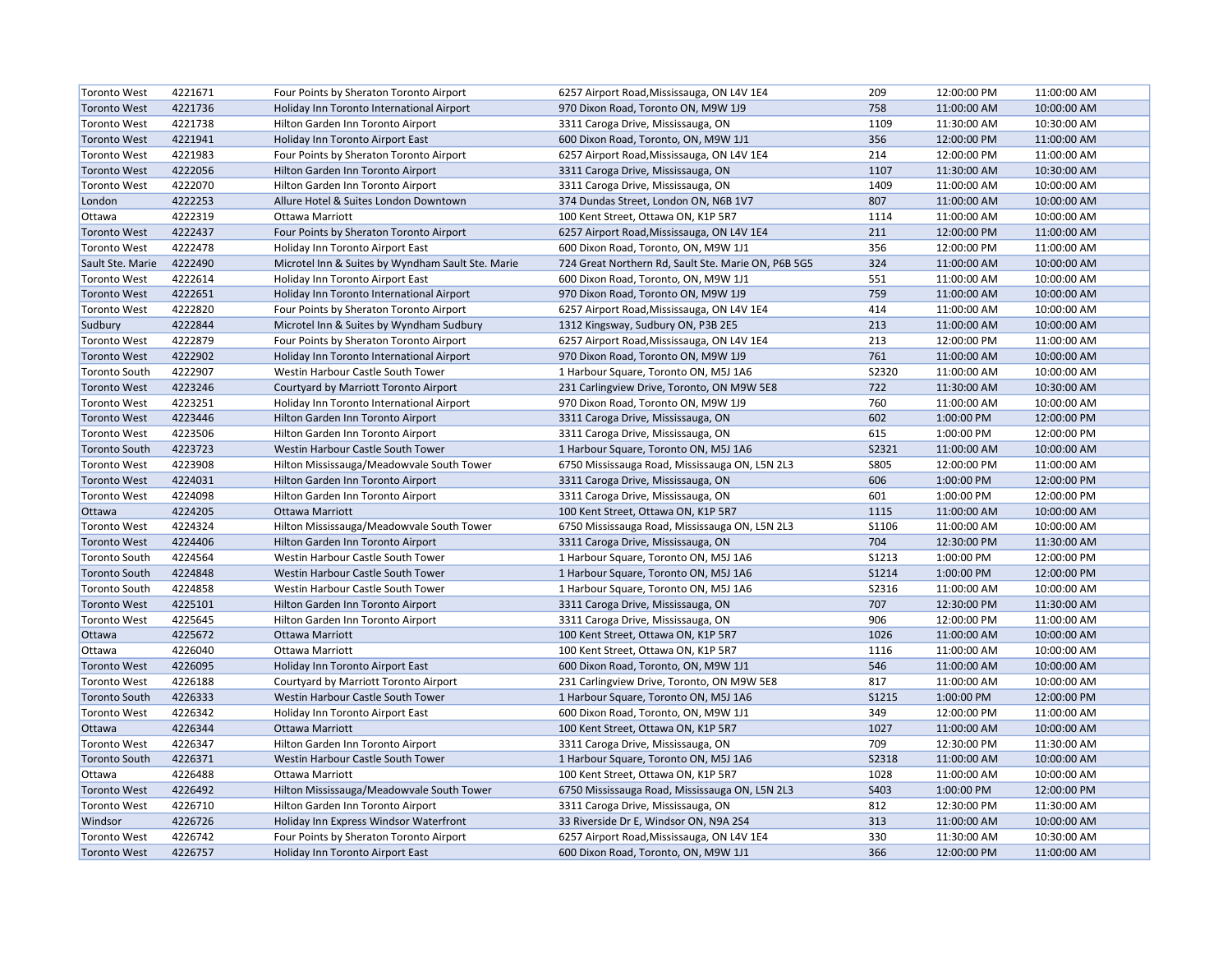| <b>Toronto West</b>  | 4221671 | Four Points by Sheraton Toronto Airport           | 6257 Airport Road, Mississauga, ON L4V 1E4          | 209          | 12:00:00 PM | 11:00:00 AM |
|----------------------|---------|---------------------------------------------------|-----------------------------------------------------|--------------|-------------|-------------|
| <b>Toronto West</b>  | 4221736 | Holiday Inn Toronto International Airport         | 970 Dixon Road, Toronto ON, M9W 1J9                 | 758          | 11:00:00 AM | 10:00:00 AM |
| <b>Toronto West</b>  | 4221738 | Hilton Garden Inn Toronto Airport                 | 3311 Caroga Drive, Mississauga, ON                  | 1109         | 11:30:00 AM | 10:30:00 AM |
| <b>Toronto West</b>  | 4221941 | Holiday Inn Toronto Airport East                  | 600 Dixon Road, Toronto, ON, M9W 1J1                | 356          | 12:00:00 PM | 11:00:00 AM |
| <b>Toronto West</b>  | 4221983 | Four Points by Sheraton Toronto Airport           | 6257 Airport Road, Mississauga, ON L4V 1E4          | 214          | 12:00:00 PM | 11:00:00 AM |
| <b>Toronto West</b>  | 4222056 | Hilton Garden Inn Toronto Airport                 | 3311 Caroga Drive, Mississauga, ON                  | 1107         | 11:30:00 AM | 10:30:00 AM |
| <b>Toronto West</b>  | 4222070 | Hilton Garden Inn Toronto Airport                 | 3311 Caroga Drive, Mississauga, ON                  | 1409         | 11:00:00 AM | 10:00:00 AM |
| London               | 4222253 | Allure Hotel & Suites London Downtown             | 374 Dundas Street, London ON, N6B 1V7               | 807          | 11:00:00 AM | 10:00:00 AM |
| Ottawa               | 4222319 | Ottawa Marriott                                   | 100 Kent Street, Ottawa ON, K1P 5R7                 | 1114         | 11:00:00 AM | 10:00:00 AM |
| <b>Toronto West</b>  | 4222437 | Four Points by Sheraton Toronto Airport           | 6257 Airport Road, Mississauga, ON L4V 1E4          | 211          | 12:00:00 PM | 11:00:00 AM |
| <b>Toronto West</b>  | 4222478 | Holiday Inn Toronto Airport East                  | 600 Dixon Road, Toronto, ON, M9W 1J1                | 356          | 12:00:00 PM | 11:00:00 AM |
| Sault Ste. Marie     | 4222490 | Microtel Inn & Suites by Wyndham Sault Ste. Marie | 724 Great Northern Rd, Sault Ste. Marie ON, P6B 5G5 | 324          | 11:00:00 AM | 10:00:00 AM |
| <b>Toronto West</b>  | 4222614 | Holiday Inn Toronto Airport East                  | 600 Dixon Road, Toronto, ON, M9W 1J1                | 551          | 11:00:00 AM | 10:00:00 AM |
| <b>Toronto West</b>  | 4222651 | Holiday Inn Toronto International Airport         | 970 Dixon Road, Toronto ON, M9W 1J9                 | 759          | 11:00:00 AM | 10:00:00 AM |
| <b>Toronto West</b>  | 4222820 | Four Points by Sheraton Toronto Airport           | 6257 Airport Road, Mississauga, ON L4V 1E4          | 414          | 11:00:00 AM | 10:00:00 AM |
| Sudbury              | 4222844 | Microtel Inn & Suites by Wyndham Sudbury          | 1312 Kingsway, Sudbury ON, P3B 2E5                  | 213          | 11:00:00 AM | 10:00:00 AM |
| <b>Toronto West</b>  | 4222879 | Four Points by Sheraton Toronto Airport           | 6257 Airport Road, Mississauga, ON L4V 1E4          | 213          | 12:00:00 PM | 11:00:00 AM |
| <b>Toronto West</b>  | 4222902 | Holiday Inn Toronto International Airport         | 970 Dixon Road, Toronto ON, M9W 1J9                 | 761          | 11:00:00 AM | 10:00:00 AM |
| <b>Toronto South</b> | 4222907 | Westin Harbour Castle South Tower                 | 1 Harbour Square, Toronto ON, M5J 1A6               | S2320        | 11:00:00 AM | 10:00:00 AM |
| <b>Toronto West</b>  | 4223246 | Courtyard by Marriott Toronto Airport             | 231 Carlingview Drive, Toronto, ON M9W 5E8          | 722          | 11:30:00 AM | 10:30:00 AM |
| <b>Toronto West</b>  | 4223251 | Holiday Inn Toronto International Airport         | 970 Dixon Road, Toronto ON, M9W 1J9                 | 760          | 11:00:00 AM | 10:00:00 AM |
| <b>Toronto West</b>  | 4223446 | Hilton Garden Inn Toronto Airport                 | 3311 Caroga Drive, Mississauga, ON                  | 602          | 1:00:00 PM  | 12:00:00 PM |
| <b>Toronto West</b>  | 4223506 | Hilton Garden Inn Toronto Airport                 | 3311 Caroga Drive, Mississauga, ON                  | 615          | 1:00:00 PM  | 12:00:00 PM |
| <b>Toronto South</b> | 4223723 | Westin Harbour Castle South Tower                 | 1 Harbour Square, Toronto ON, M5J 1A6               | S2321        | 11:00:00 AM | 10:00:00 AM |
| <b>Toronto West</b>  | 4223908 | Hilton Mississauga/Meadowvale South Tower         | 6750 Mississauga Road, Mississauga ON, L5N 2L3      | <b>S805</b>  | 12:00:00 PM | 11:00:00 AM |
| <b>Toronto West</b>  | 4224031 | Hilton Garden Inn Toronto Airport                 | 3311 Caroga Drive, Mississauga, ON                  | 606          | 1:00:00 PM  | 12:00:00 PM |
| <b>Toronto West</b>  | 4224098 | Hilton Garden Inn Toronto Airport                 | 3311 Caroga Drive, Mississauga, ON                  | 601          | 1:00:00 PM  | 12:00:00 PM |
| Ottawa               | 4224205 | <b>Ottawa Marriott</b>                            | 100 Kent Street, Ottawa ON, K1P 5R7                 | 1115         | 11:00:00 AM | 10:00:00 AM |
| <b>Toronto West</b>  | 4224324 | Hilton Mississauga/Meadowvale South Tower         | 6750 Mississauga Road, Mississauga ON, L5N 2L3      | S1106        | 11:00:00 AM | 10:00:00 AM |
| <b>Toronto West</b>  | 4224406 | Hilton Garden Inn Toronto Airport                 | 3311 Caroga Drive, Mississauga, ON                  | 704          | 12:30:00 PM | 11:30:00 AM |
| <b>Toronto South</b> | 4224564 | Westin Harbour Castle South Tower                 | 1 Harbour Square, Toronto ON, M5J 1A6               | <b>S1213</b> | 1:00:00 PM  | 12:00:00 PM |
| <b>Toronto South</b> | 4224848 | Westin Harbour Castle South Tower                 | 1 Harbour Square, Toronto ON, M5J 1A6               | S1214        | 1:00:00 PM  | 12:00:00 PM |
| <b>Toronto South</b> | 4224858 | Westin Harbour Castle South Tower                 | 1 Harbour Square, Toronto ON, M5J 1A6               | S2316        | 11:00:00 AM | 10:00:00 AM |
| <b>Toronto West</b>  | 4225101 | Hilton Garden Inn Toronto Airport                 | 3311 Caroga Drive, Mississauga, ON                  | 707          | 12:30:00 PM | 11:30:00 AM |
| <b>Toronto West</b>  | 4225645 | Hilton Garden Inn Toronto Airport                 | 3311 Caroga Drive, Mississauga, ON                  | 906          | 12:00:00 PM | 11:00:00 AM |
| Ottawa               | 4225672 | <b>Ottawa Marriott</b>                            | 100 Kent Street, Ottawa ON, K1P 5R7                 | 1026         | 11:00:00 AM | 10:00:00 AM |
| Ottawa               | 4226040 | Ottawa Marriott                                   | 100 Kent Street, Ottawa ON, K1P 5R7                 | 1116         | 11:00:00 AM | 10:00:00 AM |
| <b>Toronto West</b>  | 4226095 | Holiday Inn Toronto Airport East                  | 600 Dixon Road, Toronto, ON, M9W 1J1                | 546          | 11:00:00 AM | 10:00:00 AM |
| <b>Toronto West</b>  | 4226188 | Courtyard by Marriott Toronto Airport             | 231 Carlingview Drive, Toronto, ON M9W 5E8          | 817          | 11:00:00 AM | 10:00:00 AM |
| <b>Toronto South</b> | 4226333 | Westin Harbour Castle South Tower                 | 1 Harbour Square, Toronto ON, M5J 1A6               | S1215        | 1:00:00 PM  | 12:00:00 PM |
| <b>Toronto West</b>  | 4226342 | Holiday Inn Toronto Airport East                  | 600 Dixon Road, Toronto, ON, M9W 1J1                | 349          | 12:00:00 PM | 11:00:00 AM |
| Ottawa               | 4226344 | <b>Ottawa Marriott</b>                            | 100 Kent Street, Ottawa ON, K1P 5R7                 | 1027         | 11:00:00 AM | 10:00:00 AM |
| <b>Toronto West</b>  | 4226347 | Hilton Garden Inn Toronto Airport                 | 3311 Caroga Drive, Mississauga, ON                  | 709          | 12:30:00 PM | 11:30:00 AM |
| <b>Toronto South</b> | 4226371 | Westin Harbour Castle South Tower                 | 1 Harbour Square, Toronto ON, M5J 1A6               | <b>S2318</b> | 11:00:00 AM | 10:00:00 AM |
| Ottawa               | 4226488 | Ottawa Marriott                                   | 100 Kent Street, Ottawa ON, K1P 5R7                 | 1028         | 11:00:00 AM | 10:00:00 AM |
| <b>Toronto West</b>  | 4226492 | Hilton Mississauga/Meadowvale South Tower         | 6750 Mississauga Road, Mississauga ON, L5N 2L3      | S403         | 1:00:00 PM  | 12:00:00 PM |
| <b>Toronto West</b>  | 4226710 | Hilton Garden Inn Toronto Airport                 | 3311 Caroga Drive, Mississauga, ON                  | 812          | 12:30:00 PM | 11:30:00 AM |
| Windsor              | 4226726 | Holiday Inn Express Windsor Waterfront            | 33 Riverside Dr E, Windsor ON, N9A 2S4              | 313          | 11:00:00 AM | 10:00:00 AM |
| <b>Toronto West</b>  | 4226742 | Four Points by Sheraton Toronto Airport           | 6257 Airport Road, Mississauga, ON L4V 1E4          | 330          | 11:30:00 AM | 10:30:00 AM |
| <b>Toronto West</b>  | 4226757 | Holiday Inn Toronto Airport East                  | 600 Dixon Road, Toronto, ON, M9W 1J1                | 366          | 12:00:00 PM | 11:00:00 AM |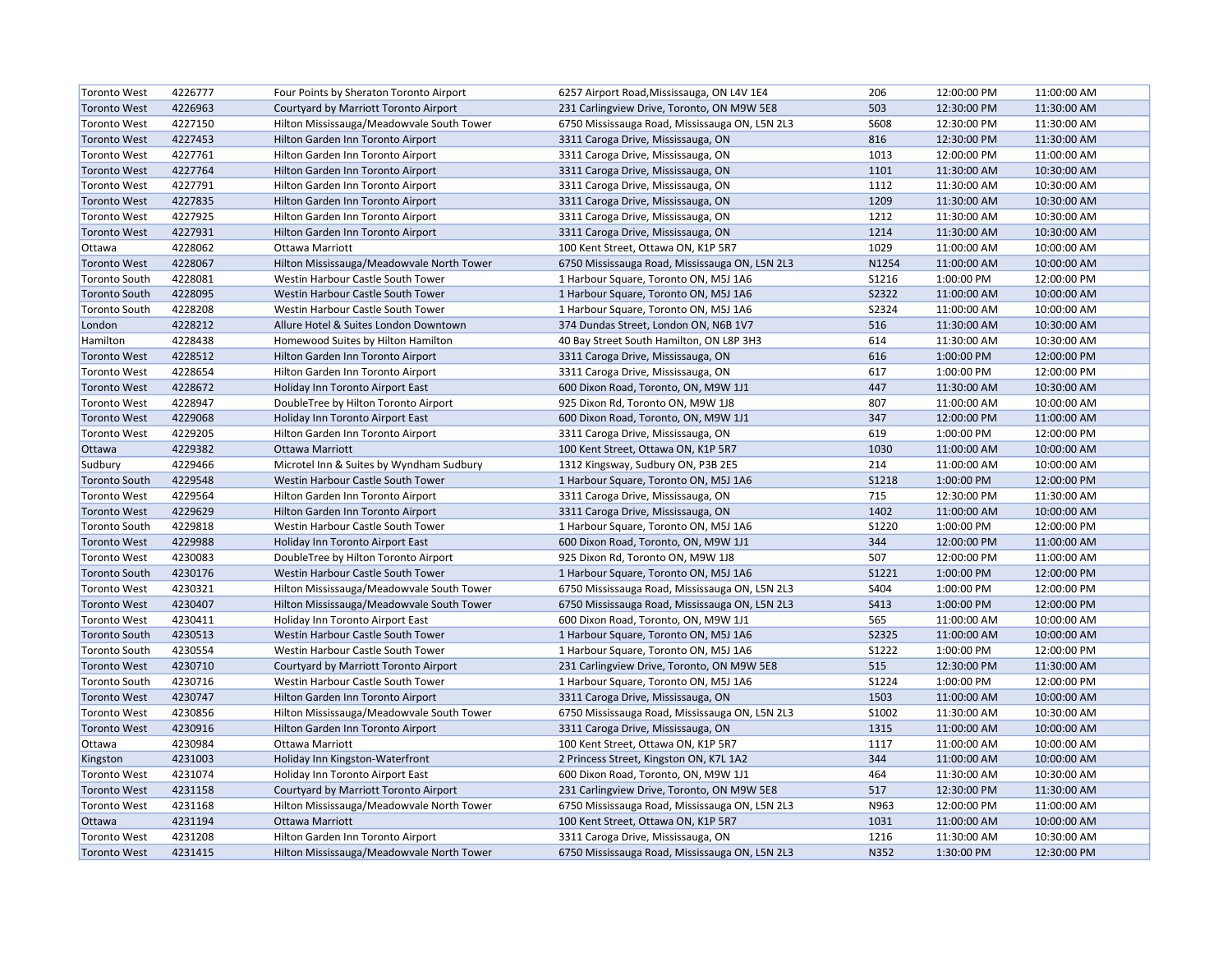| <b>Toronto West</b>  | 4226777 | Four Points by Sheraton Toronto Airport   | 6257 Airport Road, Mississauga, ON L4V 1E4     | 206          | 12:00:00 PM | 11:00:00 AM |
|----------------------|---------|-------------------------------------------|------------------------------------------------|--------------|-------------|-------------|
| <b>Toronto West</b>  | 4226963 | Courtyard by Marriott Toronto Airport     | 231 Carlingview Drive, Toronto, ON M9W 5E8     | 503          | 12:30:00 PM | 11:30:00 AM |
| <b>Toronto West</b>  | 4227150 | Hilton Mississauga/Meadowvale South Tower | 6750 Mississauga Road, Mississauga ON, L5N 2L3 | S608         | 12:30:00 PM | 11:30:00 AM |
| <b>Toronto West</b>  | 4227453 | Hilton Garden Inn Toronto Airport         | 3311 Caroga Drive, Mississauga, ON             | 816          | 12:30:00 PM | 11:30:00 AM |
| <b>Toronto West</b>  | 4227761 | Hilton Garden Inn Toronto Airport         | 3311 Caroga Drive, Mississauga, ON             | 1013         | 12:00:00 PM | 11:00:00 AM |
| <b>Toronto West</b>  | 4227764 | Hilton Garden Inn Toronto Airport         | 3311 Caroga Drive, Mississauga, ON             | 1101         | 11:30:00 AM | 10:30:00 AM |
| <b>Toronto West</b>  | 4227791 | Hilton Garden Inn Toronto Airport         | 3311 Caroga Drive, Mississauga, ON             | 1112         | 11:30:00 AM | 10:30:00 AM |
| <b>Toronto West</b>  | 4227835 | Hilton Garden Inn Toronto Airport         | 3311 Caroga Drive, Mississauga, ON             | 1209         | 11:30:00 AM | 10:30:00 AM |
| <b>Toronto West</b>  | 4227925 | Hilton Garden Inn Toronto Airport         | 3311 Caroga Drive, Mississauga, ON             | 1212         | 11:30:00 AM | 10:30:00 AM |
| <b>Toronto West</b>  | 4227931 | Hilton Garden Inn Toronto Airport         | 3311 Caroga Drive, Mississauga, ON             | 1214         | 11:30:00 AM | 10:30:00 AM |
| Ottawa               | 4228062 | Ottawa Marriott                           | 100 Kent Street, Ottawa ON, K1P 5R7            | 1029         | 11:00:00 AM | 10:00:00 AM |
| <b>Toronto West</b>  | 4228067 | Hilton Mississauga/Meadowvale North Tower | 6750 Mississauga Road, Mississauga ON, L5N 2L3 | N1254        | 11:00:00 AM | 10:00:00 AM |
| <b>Toronto South</b> | 4228081 | Westin Harbour Castle South Tower         | 1 Harbour Square, Toronto ON, M5J 1A6          | S1216        | 1:00:00 PM  | 12:00:00 PM |
| <b>Toronto South</b> | 4228095 | Westin Harbour Castle South Tower         | 1 Harbour Square, Toronto ON, M5J 1A6          | S2322        | 11:00:00 AM | 10:00:00 AM |
| <b>Toronto South</b> | 4228208 | Westin Harbour Castle South Tower         | 1 Harbour Square, Toronto ON, M5J 1A6          | S2324        | 11:00:00 AM | 10:00:00 AM |
| London               | 4228212 | Allure Hotel & Suites London Downtown     | 374 Dundas Street, London ON, N6B 1V7          | 516          | 11:30:00 AM | 10:30:00 AM |
| Hamilton             | 4228438 | Homewood Suites by Hilton Hamilton        | 40 Bay Street South Hamilton, ON L8P 3H3       | 614          | 11:30:00 AM | 10:30:00 AM |
| <b>Toronto West</b>  | 4228512 | Hilton Garden Inn Toronto Airport         | 3311 Caroga Drive, Mississauga, ON             | 616          | 1:00:00 PM  | 12:00:00 PM |
| <b>Toronto West</b>  | 4228654 | Hilton Garden Inn Toronto Airport         | 3311 Caroga Drive, Mississauga, ON             | 617          | 1:00:00 PM  | 12:00:00 PM |
| <b>Toronto West</b>  | 4228672 | Holiday Inn Toronto Airport East          | 600 Dixon Road, Toronto, ON, M9W 1J1           | 447          | 11:30:00 AM | 10:30:00 AM |
| <b>Toronto West</b>  | 4228947 | DoubleTree by Hilton Toronto Airport      | 925 Dixon Rd, Toronto ON, M9W 1J8              | 807          | 11:00:00 AM | 10:00:00 AM |
| <b>Toronto West</b>  | 4229068 | Holiday Inn Toronto Airport East          | 600 Dixon Road, Toronto, ON, M9W 1J1           | 347          | 12:00:00 PM | 11:00:00 AM |
| <b>Toronto West</b>  | 4229205 | Hilton Garden Inn Toronto Airport         | 3311 Caroga Drive, Mississauga, ON             | 619          | 1:00:00 PM  | 12:00:00 PM |
| Ottawa               | 4229382 | <b>Ottawa Marriott</b>                    | 100 Kent Street, Ottawa ON, K1P 5R7            | 1030         | 11:00:00 AM | 10:00:00 AM |
| Sudbury              | 4229466 | Microtel Inn & Suites by Wyndham Sudbury  | 1312 Kingsway, Sudbury ON, P3B 2E5             | 214          | 11:00:00 AM | 10:00:00 AM |
| <b>Toronto South</b> | 4229548 | Westin Harbour Castle South Tower         | 1 Harbour Square, Toronto ON, M5J 1A6          | <b>S1218</b> | 1:00:00 PM  | 12:00:00 PM |
| <b>Toronto West</b>  | 4229564 | Hilton Garden Inn Toronto Airport         | 3311 Caroga Drive, Mississauga, ON             | 715          | 12:30:00 PM | 11:30:00 AM |
| <b>Toronto West</b>  | 4229629 | Hilton Garden Inn Toronto Airport         | 3311 Caroga Drive, Mississauga, ON             | 1402         | 11:00:00 AM | 10:00:00 AM |
| <b>Toronto South</b> | 4229818 | Westin Harbour Castle South Tower         | 1 Harbour Square, Toronto ON, M5J 1A6          | S1220        | 1:00:00 PM  | 12:00:00 PM |
| <b>Toronto West</b>  | 4229988 | Holiday Inn Toronto Airport East          | 600 Dixon Road, Toronto, ON, M9W 1J1           | 344          | 12:00:00 PM | 11:00:00 AM |
| <b>Toronto West</b>  | 4230083 | DoubleTree by Hilton Toronto Airport      | 925 Dixon Rd, Toronto ON, M9W 1J8              | 507          | 12:00:00 PM | 11:00:00 AM |
| <b>Toronto South</b> | 4230176 | Westin Harbour Castle South Tower         | 1 Harbour Square, Toronto ON, M5J 1A6          | <b>S1221</b> | 1:00:00 PM  | 12:00:00 PM |
| <b>Toronto West</b>  | 4230321 | Hilton Mississauga/Meadowvale South Tower | 6750 Mississauga Road, Mississauga ON, L5N 2L3 | S404         | 1:00:00 PM  | 12:00:00 PM |
| <b>Toronto West</b>  | 4230407 | Hilton Mississauga/Meadowvale South Tower | 6750 Mississauga Road, Mississauga ON, L5N 2L3 | S413         | 1:00:00 PM  | 12:00:00 PM |
| <b>Toronto West</b>  | 4230411 | Holiday Inn Toronto Airport East          | 600 Dixon Road, Toronto, ON, M9W 1J1           | 565          | 11:00:00 AM | 10:00:00 AM |
| <b>Toronto South</b> | 4230513 | Westin Harbour Castle South Tower         | 1 Harbour Square, Toronto ON, M5J 1A6          | S2325        | 11:00:00 AM | 10:00:00 AM |
| <b>Toronto South</b> | 4230554 | Westin Harbour Castle South Tower         | 1 Harbour Square, Toronto ON, M5J 1A6          | S1222        | 1:00:00 PM  | 12:00:00 PM |
| <b>Toronto West</b>  | 4230710 | Courtyard by Marriott Toronto Airport     | 231 Carlingview Drive, Toronto, ON M9W 5E8     | 515          | 12:30:00 PM | 11:30:00 AM |
| <b>Toronto South</b> | 4230716 | Westin Harbour Castle South Tower         | 1 Harbour Square, Toronto ON, M5J 1A6          | S1224        | 1:00:00 PM  | 12:00:00 PM |
| <b>Toronto West</b>  | 4230747 | Hilton Garden Inn Toronto Airport         | 3311 Caroga Drive, Mississauga, ON             | 1503         | 11:00:00 AM | 10:00:00 AM |
| <b>Toronto West</b>  | 4230856 | Hilton Mississauga/Meadowvale South Tower | 6750 Mississauga Road, Mississauga ON, L5N 2L3 | S1002        | 11:30:00 AM | 10:30:00 AM |
| <b>Toronto West</b>  | 4230916 | Hilton Garden Inn Toronto Airport         | 3311 Caroga Drive, Mississauga, ON             | 1315         | 11:00:00 AM | 10:00:00 AM |
| Ottawa               | 4230984 | Ottawa Marriott                           | 100 Kent Street, Ottawa ON, K1P 5R7            | 1117         | 11:00:00 AM | 10:00:00 AM |
| Kingston             | 4231003 | Holiday Inn Kingston-Waterfront           | 2 Princess Street, Kingston ON, K7L 1A2        | 344          | 11:00:00 AM | 10:00:00 AM |
| <b>Toronto West</b>  | 4231074 | Holiday Inn Toronto Airport East          | 600 Dixon Road, Toronto, ON, M9W 1J1           | 464          | 11:30:00 AM | 10:30:00 AM |
| <b>Toronto West</b>  | 4231158 | Courtyard by Marriott Toronto Airport     | 231 Carlingview Drive, Toronto, ON M9W 5E8     | 517          | 12:30:00 PM | 11:30:00 AM |
| <b>Toronto West</b>  | 4231168 | Hilton Mississauga/Meadowvale North Tower | 6750 Mississauga Road, Mississauga ON, L5N 2L3 | N963         | 12:00:00 PM | 11:00:00 AM |
| Ottawa               | 4231194 | <b>Ottawa Marriott</b>                    | 100 Kent Street, Ottawa ON, K1P 5R7            | 1031         | 11:00:00 AM | 10:00:00 AM |
| <b>Toronto West</b>  | 4231208 | Hilton Garden Inn Toronto Airport         | 3311 Caroga Drive, Mississauga, ON             | 1216         | 11:30:00 AM | 10:30:00 AM |
| <b>Toronto West</b>  | 4231415 | Hilton Mississauga/Meadowvale North Tower | 6750 Mississauga Road, Mississauga ON, L5N 2L3 | N352         | 1:30:00 PM  | 12:30:00 PM |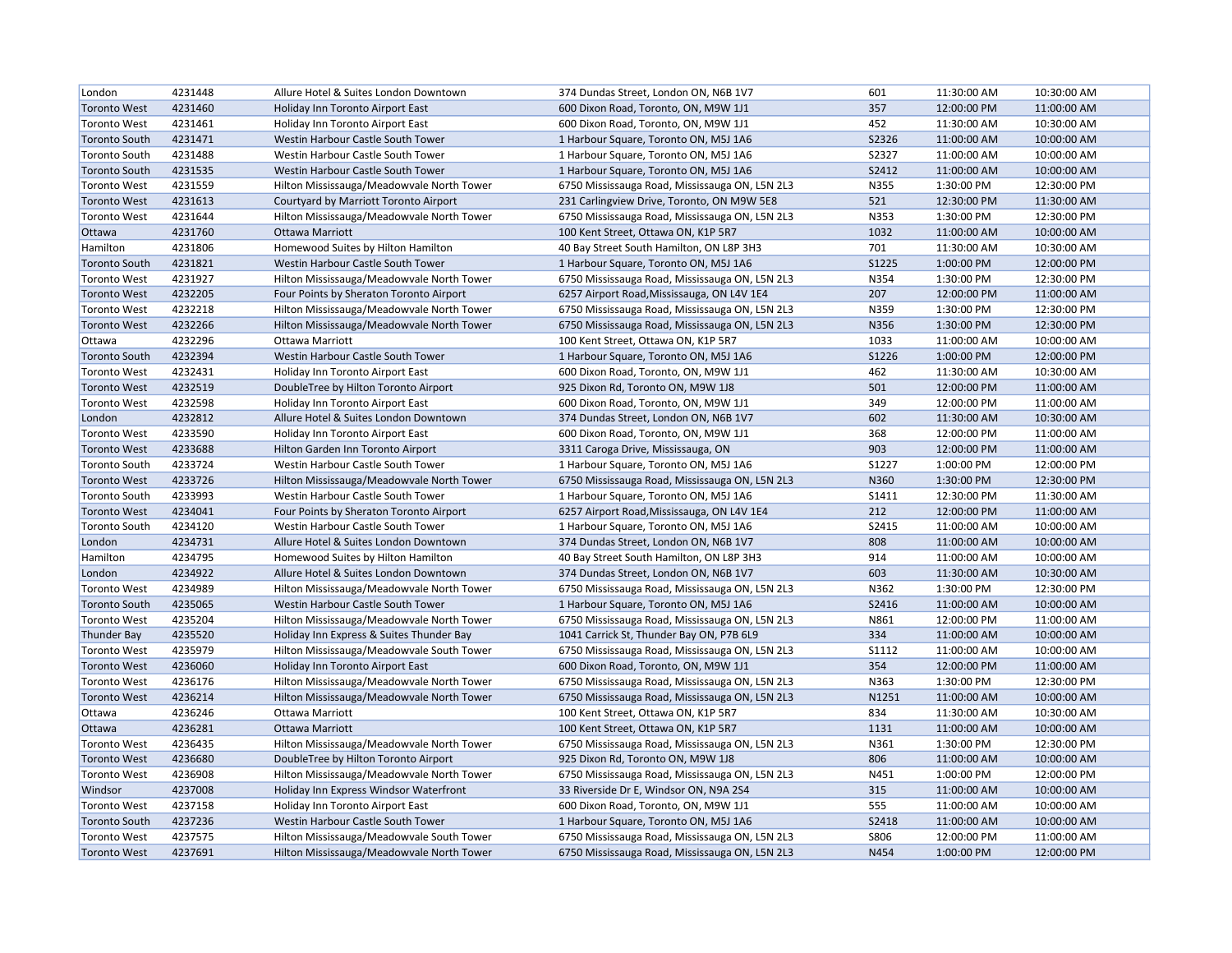| London               | 4231448 | Allure Hotel & Suites London Downtown     | 374 Dundas Street, London ON, N6B 1V7          | 601          | 11:30:00 AM | 10:30:00 AM |
|----------------------|---------|-------------------------------------------|------------------------------------------------|--------------|-------------|-------------|
| <b>Toronto West</b>  | 4231460 | Holiday Inn Toronto Airport East          | 600 Dixon Road, Toronto, ON, M9W 1J1           | 357          | 12:00:00 PM | 11:00:00 AM |
| <b>Toronto West</b>  | 4231461 | Holiday Inn Toronto Airport East          | 600 Dixon Road, Toronto, ON, M9W 1J1           | 452          | 11:30:00 AM | 10:30:00 AM |
| <b>Toronto South</b> | 4231471 | Westin Harbour Castle South Tower         | 1 Harbour Square, Toronto ON, M5J 1A6          | S2326        | 11:00:00 AM | 10:00:00 AM |
| <b>Toronto South</b> | 4231488 | Westin Harbour Castle South Tower         | 1 Harbour Square, Toronto ON, M5J 1A6          | S2327        | 11:00:00 AM | 10:00:00 AM |
| <b>Toronto South</b> | 4231535 | Westin Harbour Castle South Tower         | 1 Harbour Square, Toronto ON, M5J 1A6          | S2412        | 11:00:00 AM | 10:00:00 AM |
| <b>Toronto West</b>  | 4231559 | Hilton Mississauga/Meadowvale North Tower | 6750 Mississauga Road, Mississauga ON, L5N 2L3 | N355         | 1:30:00 PM  | 12:30:00 PM |
| <b>Toronto West</b>  | 4231613 | Courtyard by Marriott Toronto Airport     | 231 Carlingview Drive, Toronto, ON M9W 5E8     | 521          | 12:30:00 PM | 11:30:00 AM |
| <b>Toronto West</b>  | 4231644 | Hilton Mississauga/Meadowvale North Tower | 6750 Mississauga Road, Mississauga ON, L5N 2L3 | N353         | 1:30:00 PM  | 12:30:00 PM |
| Ottawa               | 4231760 | Ottawa Marriott                           | 100 Kent Street, Ottawa ON, K1P 5R7            | 1032         | 11:00:00 AM | 10:00:00 AM |
| Hamilton             | 4231806 | Homewood Suites by Hilton Hamilton        | 40 Bay Street South Hamilton, ON L8P 3H3       | 701          | 11:30:00 AM | 10:30:00 AM |
| <b>Toronto South</b> | 4231821 | Westin Harbour Castle South Tower         | 1 Harbour Square, Toronto ON, M5J 1A6          | <b>S1225</b> | 1:00:00 PM  | 12:00:00 PM |
| <b>Toronto West</b>  | 4231927 | Hilton Mississauga/Meadowvale North Tower | 6750 Mississauga Road, Mississauga ON, L5N 2L3 | N354         | 1:30:00 PM  | 12:30:00 PM |
| <b>Toronto West</b>  | 4232205 | Four Points by Sheraton Toronto Airport   | 6257 Airport Road, Mississauga, ON L4V 1E4     | 207          | 12:00:00 PM | 11:00:00 AM |
| <b>Toronto West</b>  | 4232218 | Hilton Mississauga/Meadowvale North Tower | 6750 Mississauga Road, Mississauga ON, L5N 2L3 | N359         | 1:30:00 PM  | 12:30:00 PM |
| <b>Toronto West</b>  | 4232266 | Hilton Mississauga/Meadowvale North Tower | 6750 Mississauga Road, Mississauga ON, L5N 2L3 | N356         | 1:30:00 PM  | 12:30:00 PM |
| Ottawa               | 4232296 | Ottawa Marriott                           | 100 Kent Street, Ottawa ON, K1P 5R7            | 1033         | 11:00:00 AM | 10:00:00 AM |
| <b>Toronto South</b> | 4232394 | Westin Harbour Castle South Tower         | 1 Harbour Square, Toronto ON, M5J 1A6          | S1226        | 1:00:00 PM  | 12:00:00 PM |
| <b>Toronto West</b>  | 4232431 | Holiday Inn Toronto Airport East          | 600 Dixon Road, Toronto, ON, M9W 1J1           | 462          | 11:30:00 AM | 10:30:00 AM |
| <b>Toronto West</b>  | 4232519 | DoubleTree by Hilton Toronto Airport      | 925 Dixon Rd, Toronto ON, M9W 1J8              | 501          | 12:00:00 PM | 11:00:00 AM |
| <b>Toronto West</b>  | 4232598 | Holiday Inn Toronto Airport East          | 600 Dixon Road, Toronto, ON, M9W 1J1           | 349          | 12:00:00 PM | 11:00:00 AM |
| London               | 4232812 | Allure Hotel & Suites London Downtown     | 374 Dundas Street, London ON, N6B 1V7          | 602          | 11:30:00 AM | 10:30:00 AM |
| <b>Toronto West</b>  | 4233590 | Holiday Inn Toronto Airport East          | 600 Dixon Road, Toronto, ON, M9W 1J1           | 368          | 12:00:00 PM | 11:00:00 AM |
| <b>Toronto West</b>  | 4233688 | Hilton Garden Inn Toronto Airport         | 3311 Caroga Drive, Mississauga, ON             | 903          | 12:00:00 PM | 11:00:00 AM |
| <b>Toronto South</b> | 4233724 | Westin Harbour Castle South Tower         | 1 Harbour Square, Toronto ON, M5J 1A6          | S1227        | 1:00:00 PM  | 12:00:00 PM |
| <b>Toronto West</b>  | 4233726 | Hilton Mississauga/Meadowvale North Tower | 6750 Mississauga Road, Mississauga ON, L5N 2L3 | N360         | 1:30:00 PM  | 12:30:00 PM |
| <b>Toronto South</b> | 4233993 | Westin Harbour Castle South Tower         | 1 Harbour Square, Toronto ON, M5J 1A6          | S1411        | 12:30:00 PM | 11:30:00 AM |
| <b>Toronto West</b>  | 4234041 | Four Points by Sheraton Toronto Airport   | 6257 Airport Road, Mississauga, ON L4V 1E4     | 212          | 12:00:00 PM | 11:00:00 AM |
| <b>Toronto South</b> | 4234120 | Westin Harbour Castle South Tower         | 1 Harbour Square, Toronto ON, M5J 1A6          | S2415        | 11:00:00 AM | 10:00:00 AM |
| London               | 4234731 | Allure Hotel & Suites London Downtown     | 374 Dundas Street, London ON, N6B 1V7          | 808          | 11:00:00 AM | 10:00:00 AM |
| Hamilton             | 4234795 | Homewood Suites by Hilton Hamilton        | 40 Bay Street South Hamilton, ON L8P 3H3       | 914          | 11:00:00 AM | 10:00:00 AM |
| London               | 4234922 | Allure Hotel & Suites London Downtown     | 374 Dundas Street, London ON, N6B 1V7          | 603          | 11:30:00 AM | 10:30:00 AM |
| <b>Toronto West</b>  | 4234989 | Hilton Mississauga/Meadowvale North Tower | 6750 Mississauga Road, Mississauga ON, L5N 2L3 | N362         | 1:30:00 PM  | 12:30:00 PM |
| <b>Toronto South</b> | 4235065 | Westin Harbour Castle South Tower         | 1 Harbour Square, Toronto ON, M5J 1A6          | S2416        | 11:00:00 AM | 10:00:00 AM |
| <b>Toronto West</b>  | 4235204 | Hilton Mississauga/Meadowvale North Tower | 6750 Mississauga Road, Mississauga ON, L5N 2L3 | N861         | 12:00:00 PM | 11:00:00 AM |
| <b>Thunder Bay</b>   | 4235520 | Holiday Inn Express & Suites Thunder Bay  | 1041 Carrick St, Thunder Bay ON, P7B 6L9       | 334          | 11:00:00 AM | 10:00:00 AM |
| <b>Toronto West</b>  | 4235979 | Hilton Mississauga/Meadowvale South Tower | 6750 Mississauga Road, Mississauga ON, L5N 2L3 | S1112        | 11:00:00 AM | 10:00:00 AM |
| <b>Toronto West</b>  | 4236060 | Holiday Inn Toronto Airport East          | 600 Dixon Road, Toronto, ON, M9W 1J1           | 354          | 12:00:00 PM | 11:00:00 AM |
| <b>Toronto West</b>  | 4236176 | Hilton Mississauga/Meadowvale North Tower | 6750 Mississauga Road, Mississauga ON, L5N 2L3 | N363         | 1:30:00 PM  | 12:30:00 PM |
| <b>Toronto West</b>  | 4236214 | Hilton Mississauga/Meadowvale North Tower | 6750 Mississauga Road, Mississauga ON, L5N 2L3 | N1251        | 11:00:00 AM | 10:00:00 AM |
| Ottawa               | 4236246 | Ottawa Marriott                           | 100 Kent Street, Ottawa ON, K1P 5R7            | 834          | 11:30:00 AM | 10:30:00 AM |
| Ottawa               | 4236281 | <b>Ottawa Marriott</b>                    | 100 Kent Street, Ottawa ON, K1P 5R7            | 1131         | 11:00:00 AM | 10:00:00 AM |
| <b>Toronto West</b>  | 4236435 | Hilton Mississauga/Meadowvale North Tower | 6750 Mississauga Road, Mississauga ON, L5N 2L3 | N361         | 1:30:00 PM  | 12:30:00 PM |
| <b>Toronto West</b>  | 4236680 | DoubleTree by Hilton Toronto Airport      | 925 Dixon Rd, Toronto ON, M9W 1J8              | 806          | 11:00:00 AM | 10:00:00 AM |
| <b>Toronto West</b>  | 4236908 | Hilton Mississauga/Meadowvale North Tower | 6750 Mississauga Road, Mississauga ON, L5N 2L3 | N451         | 1:00:00 PM  | 12:00:00 PM |
| Windsor              | 4237008 | Holiday Inn Express Windsor Waterfront    | 33 Riverside Dr E, Windsor ON, N9A 2S4         | 315          | 11:00:00 AM | 10:00:00 AM |
| <b>Toronto West</b>  | 4237158 | Holiday Inn Toronto Airport East          | 600 Dixon Road, Toronto, ON, M9W 1J1           | 555          | 11:00:00 AM | 10:00:00 AM |
| <b>Toronto South</b> | 4237236 | Westin Harbour Castle South Tower         | 1 Harbour Square, Toronto ON, M5J 1A6          | <b>S2418</b> | 11:00:00 AM | 10:00:00 AM |
| <b>Toronto West</b>  | 4237575 | Hilton Mississauga/Meadowvale South Tower | 6750 Mississauga Road, Mississauga ON, L5N 2L3 | S806         | 12:00:00 PM | 11:00:00 AM |
| <b>Toronto West</b>  | 4237691 | Hilton Mississauga/Meadowvale North Tower | 6750 Mississauga Road, Mississauga ON, L5N 2L3 | N454         | 1:00:00 PM  | 12:00:00 PM |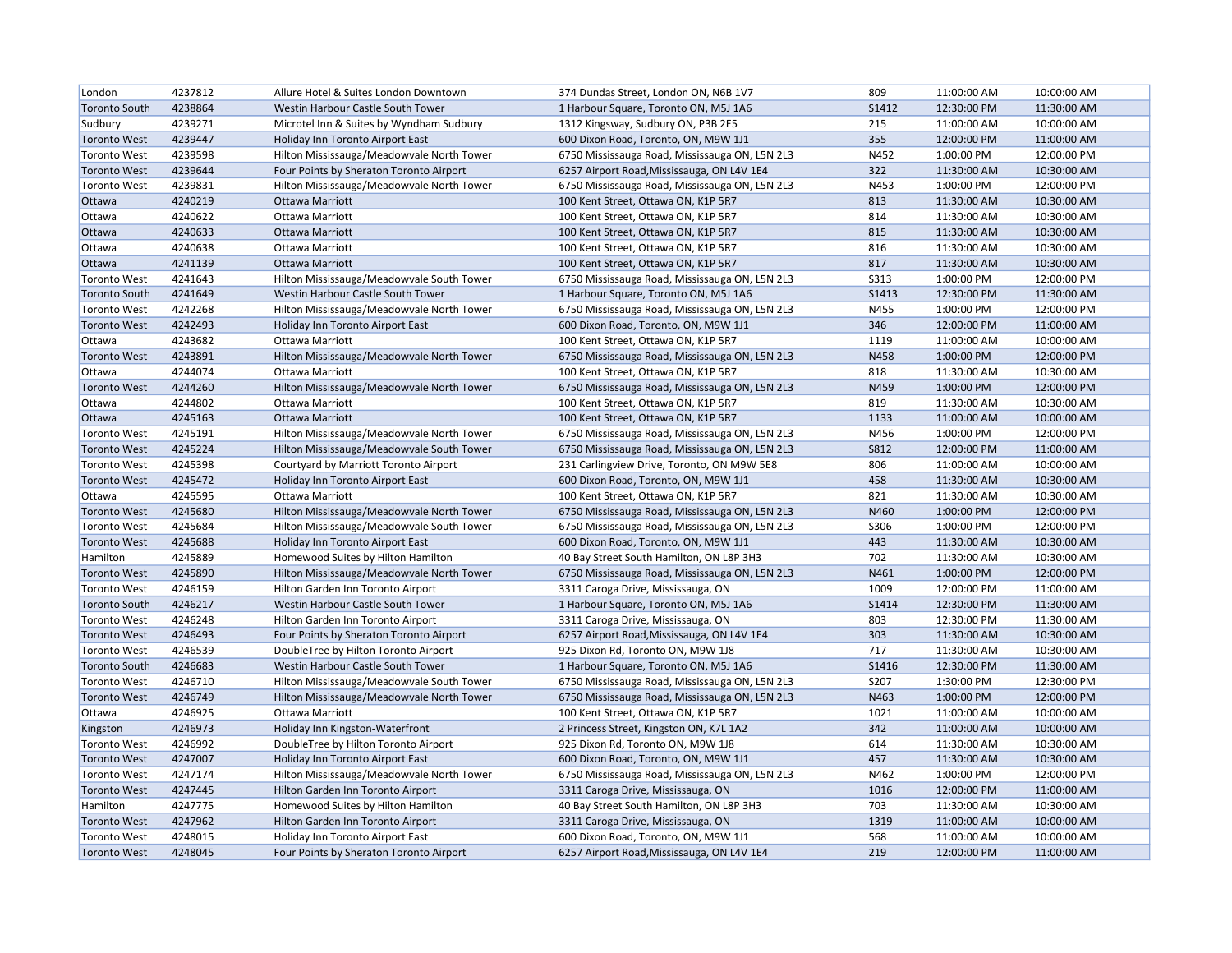| London               | 4237812 | Allure Hotel & Suites London Downtown     | 374 Dundas Street, London ON, N6B 1V7          | 809          | 11:00:00 AM | 10:00:00 AM |
|----------------------|---------|-------------------------------------------|------------------------------------------------|--------------|-------------|-------------|
| <b>Toronto South</b> | 4238864 | Westin Harbour Castle South Tower         | 1 Harbour Square, Toronto ON, M5J 1A6          | S1412        | 12:30:00 PM | 11:30:00 AM |
| Sudbury              | 4239271 | Microtel Inn & Suites by Wyndham Sudbury  | 1312 Kingsway, Sudbury ON, P3B 2E5             | 215          | 11:00:00 AM | 10:00:00 AM |
| <b>Toronto West</b>  | 4239447 | Holiday Inn Toronto Airport East          | 600 Dixon Road, Toronto, ON, M9W 1J1           | 355          | 12:00:00 PM | 11:00:00 AM |
| <b>Toronto West</b>  | 4239598 | Hilton Mississauga/Meadowvale North Tower | 6750 Mississauga Road, Mississauga ON, L5N 2L3 | N452         | 1:00:00 PM  | 12:00:00 PM |
| <b>Toronto West</b>  | 4239644 | Four Points by Sheraton Toronto Airport   | 6257 Airport Road, Mississauga, ON L4V 1E4     | 322          | 11:30:00 AM | 10:30:00 AM |
| <b>Toronto West</b>  | 4239831 | Hilton Mississauga/Meadowvale North Tower | 6750 Mississauga Road, Mississauga ON, L5N 2L3 | N453         | 1:00:00 PM  | 12:00:00 PM |
| Ottawa               | 4240219 | <b>Ottawa Marriott</b>                    | 100 Kent Street, Ottawa ON, K1P 5R7            | 813          | 11:30:00 AM | 10:30:00 AM |
| Ottawa               | 4240622 | Ottawa Marriott                           | 100 Kent Street, Ottawa ON, K1P 5R7            | 814          | 11:30:00 AM | 10:30:00 AM |
| Ottawa               | 4240633 | Ottawa Marriott                           | 100 Kent Street, Ottawa ON, K1P 5R7            | 815          | 11:30:00 AM | 10:30:00 AM |
| Ottawa               | 4240638 | Ottawa Marriott                           | 100 Kent Street, Ottawa ON, K1P 5R7            | 816          | 11:30:00 AM | 10:30:00 AM |
| Ottawa               | 4241139 | <b>Ottawa Marriott</b>                    | 100 Kent Street, Ottawa ON, K1P 5R7            | 817          | 11:30:00 AM | 10:30:00 AM |
| <b>Toronto West</b>  | 4241643 | Hilton Mississauga/Meadowvale South Tower | 6750 Mississauga Road, Mississauga ON, L5N 2L3 | <b>S313</b>  | 1:00:00 PM  | 12:00:00 PM |
| <b>Toronto South</b> | 4241649 | Westin Harbour Castle South Tower         | 1 Harbour Square, Toronto ON, M5J 1A6          | <b>S1413</b> | 12:30:00 PM | 11:30:00 AM |
| <b>Toronto West</b>  | 4242268 | Hilton Mississauga/Meadowvale North Tower | 6750 Mississauga Road, Mississauga ON, L5N 2L3 | N455         | 1:00:00 PM  | 12:00:00 PM |
| <b>Toronto West</b>  | 4242493 | <b>Holiday Inn Toronto Airport East</b>   | 600 Dixon Road, Toronto, ON, M9W 1J1           | 346          | 12:00:00 PM | 11:00:00 AM |
| Ottawa               | 4243682 | Ottawa Marriott                           | 100 Kent Street, Ottawa ON, K1P 5R7            | 1119         | 11:00:00 AM | 10:00:00 AM |
| <b>Toronto West</b>  | 4243891 | Hilton Mississauga/Meadowvale North Tower | 6750 Mississauga Road, Mississauga ON, L5N 2L3 | N458         | 1:00:00 PM  | 12:00:00 PM |
| Ottawa               | 4244074 | Ottawa Marriott                           | 100 Kent Street, Ottawa ON, K1P 5R7            | 818          | 11:30:00 AM | 10:30:00 AM |
| <b>Toronto West</b>  | 4244260 | Hilton Mississauga/Meadowvale North Tower | 6750 Mississauga Road, Mississauga ON, L5N 2L3 | N459         | 1:00:00 PM  | 12:00:00 PM |
| Ottawa               | 4244802 | Ottawa Marriott                           | 100 Kent Street, Ottawa ON, K1P 5R7            | 819          | 11:30:00 AM | 10:30:00 AM |
| Ottawa               | 4245163 | <b>Ottawa Marriott</b>                    | 100 Kent Street, Ottawa ON, K1P 5R7            | 1133         | 11:00:00 AM | 10:00:00 AM |
| <b>Toronto West</b>  | 4245191 | Hilton Mississauga/Meadowvale North Tower | 6750 Mississauga Road, Mississauga ON, L5N 2L3 | N456         | 1:00:00 PM  | 12:00:00 PM |
| <b>Toronto West</b>  | 4245224 | Hilton Mississauga/Meadowvale South Tower | 6750 Mississauga Road, Mississauga ON, L5N 2L3 | <b>S812</b>  | 12:00:00 PM | 11:00:00 AM |
| <b>Toronto West</b>  | 4245398 | Courtyard by Marriott Toronto Airport     | 231 Carlingview Drive, Toronto, ON M9W 5E8     | 806          | 11:00:00 AM | 10:00:00 AM |
| <b>Toronto West</b>  | 4245472 | Holiday Inn Toronto Airport East          | 600 Dixon Road, Toronto, ON, M9W 1J1           | 458          | 11:30:00 AM | 10:30:00 AM |
| Ottawa               | 4245595 | Ottawa Marriott                           | 100 Kent Street, Ottawa ON, K1P 5R7            | 821          | 11:30:00 AM | 10:30:00 AM |
| <b>Toronto West</b>  | 4245680 | Hilton Mississauga/Meadowvale North Tower | 6750 Mississauga Road, Mississauga ON, L5N 2L3 | N460         | 1:00:00 PM  | 12:00:00 PM |
| <b>Toronto West</b>  | 4245684 | Hilton Mississauga/Meadowvale South Tower | 6750 Mississauga Road, Mississauga ON, L5N 2L3 | S306         | 1:00:00 PM  | 12:00:00 PM |
| <b>Toronto West</b>  | 4245688 | Holiday Inn Toronto Airport East          | 600 Dixon Road, Toronto, ON, M9W 1J1           | 443          | 11:30:00 AM | 10:30:00 AM |
| Hamilton             | 4245889 | Homewood Suites by Hilton Hamilton        | 40 Bay Street South Hamilton, ON L8P 3H3       | 702          | 11:30:00 AM | 10:30:00 AM |
| <b>Toronto West</b>  | 4245890 | Hilton Mississauga/Meadowvale North Tower | 6750 Mississauga Road, Mississauga ON, L5N 2L3 | N461         | 1:00:00 PM  | 12:00:00 PM |
| <b>Toronto West</b>  | 4246159 | Hilton Garden Inn Toronto Airport         | 3311 Caroga Drive, Mississauga, ON             | 1009         | 12:00:00 PM | 11:00:00 AM |
| <b>Toronto South</b> | 4246217 | Westin Harbour Castle South Tower         | 1 Harbour Square, Toronto ON, M5J 1A6          | S1414        | 12:30:00 PM | 11:30:00 AM |
| <b>Toronto West</b>  | 4246248 | Hilton Garden Inn Toronto Airport         | 3311 Caroga Drive, Mississauga, ON             | 803          | 12:30:00 PM | 11:30:00 AM |
| <b>Toronto West</b>  | 4246493 | Four Points by Sheraton Toronto Airport   | 6257 Airport Road, Mississauga, ON L4V 1E4     | 303          | 11:30:00 AM | 10:30:00 AM |
| <b>Toronto West</b>  | 4246539 | DoubleTree by Hilton Toronto Airport      | 925 Dixon Rd, Toronto ON, M9W 1J8              | 717          | 11:30:00 AM | 10:30:00 AM |
| <b>Toronto South</b> | 4246683 | Westin Harbour Castle South Tower         | 1 Harbour Square, Toronto ON, M5J 1A6          | S1416        | 12:30:00 PM | 11:30:00 AM |
| <b>Toronto West</b>  | 4246710 | Hilton Mississauga/Meadowvale South Tower | 6750 Mississauga Road, Mississauga ON, L5N 2L3 | S207         | 1:30:00 PM  | 12:30:00 PM |
| <b>Toronto West</b>  | 4246749 | Hilton Mississauga/Meadowvale North Tower | 6750 Mississauga Road, Mississauga ON, L5N 2L3 | N463         | 1:00:00 PM  | 12:00:00 PM |
| Ottawa               | 4246925 | Ottawa Marriott                           | 100 Kent Street, Ottawa ON, K1P 5R7            | 1021         | 11:00:00 AM | 10:00:00 AM |
| Kingston             | 4246973 | Holiday Inn Kingston-Waterfront           | 2 Princess Street, Kingston ON, K7L 1A2        | 342          | 11:00:00 AM | 10:00:00 AM |
| <b>Toronto West</b>  | 4246992 | DoubleTree by Hilton Toronto Airport      | 925 Dixon Rd, Toronto ON, M9W 1J8              | 614          | 11:30:00 AM | 10:30:00 AM |
| <b>Toronto West</b>  | 4247007 | Holiday Inn Toronto Airport East          | 600 Dixon Road, Toronto, ON, M9W 1J1           | 457          | 11:30:00 AM | 10:30:00 AM |
| <b>Toronto West</b>  | 4247174 | Hilton Mississauga/Meadowvale North Tower | 6750 Mississauga Road, Mississauga ON, L5N 2L3 | N462         | 1:00:00 PM  | 12:00:00 PM |
| <b>Toronto West</b>  | 4247445 | Hilton Garden Inn Toronto Airport         | 3311 Caroga Drive, Mississauga, ON             | 1016         | 12:00:00 PM | 11:00:00 AM |
| Hamilton             | 4247775 | Homewood Suites by Hilton Hamilton        | 40 Bay Street South Hamilton, ON L8P 3H3       | 703          | 11:30:00 AM | 10:30:00 AM |
| <b>Toronto West</b>  | 4247962 | Hilton Garden Inn Toronto Airport         | 3311 Caroga Drive, Mississauga, ON             | 1319         | 11:00:00 AM | 10:00:00 AM |
| <b>Toronto West</b>  | 4248015 | Holiday Inn Toronto Airport East          | 600 Dixon Road, Toronto, ON, M9W 1J1           | 568          | 11:00:00 AM | 10:00:00 AM |
| <b>Toronto West</b>  | 4248045 | Four Points by Sheraton Toronto Airport   | 6257 Airport Road, Mississauga, ON L4V 1E4     | 219          | 12:00:00 PM | 11:00:00 AM |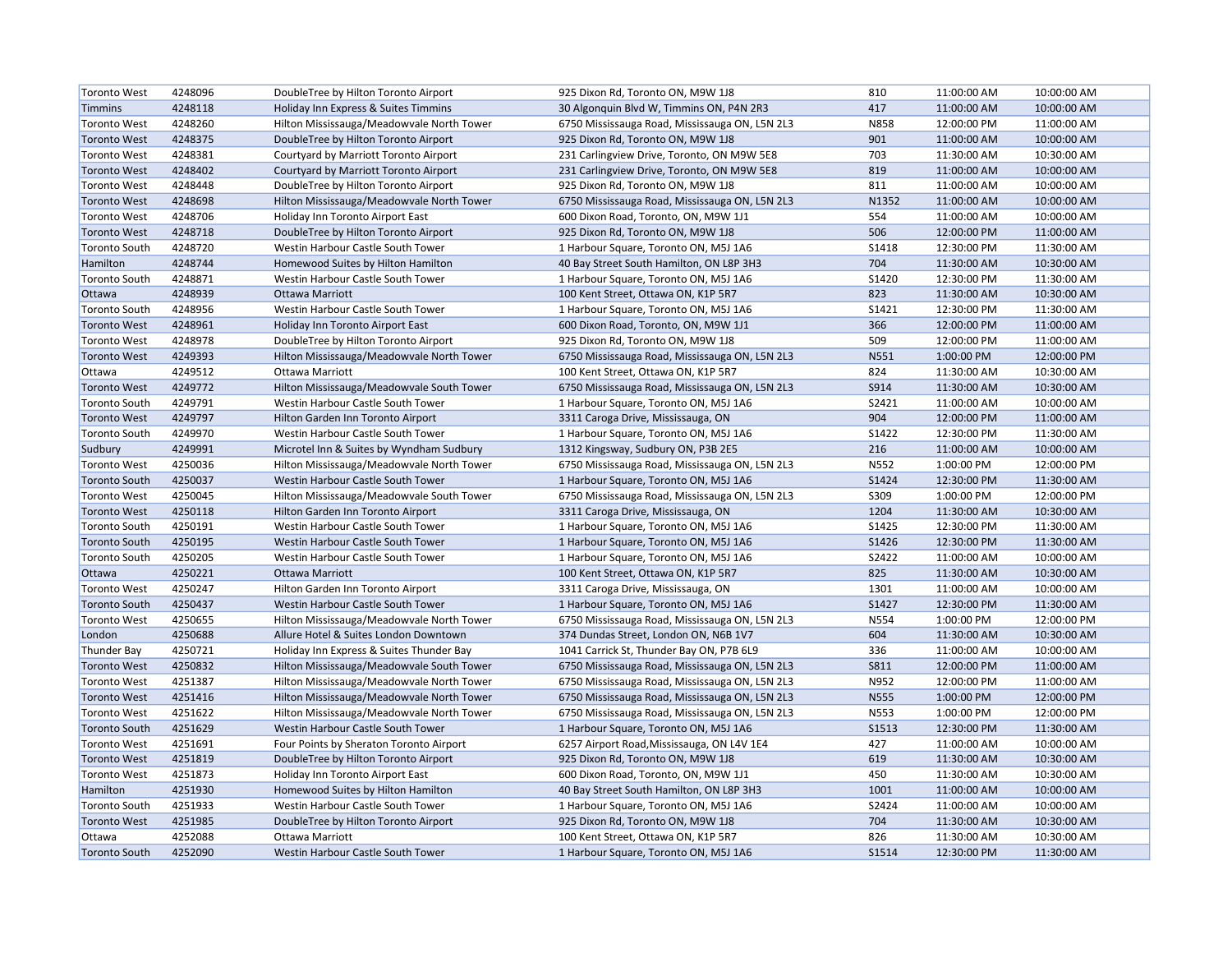| <b>Toronto West</b>  | 4248096 | DoubleTree by Hilton Toronto Airport      | 925 Dixon Rd, Toronto ON, M9W 1J8              | 810          | 11:00:00 AM | 10:00:00 AM |
|----------------------|---------|-------------------------------------------|------------------------------------------------|--------------|-------------|-------------|
| <b>Timmins</b>       | 4248118 | Holiday Inn Express & Suites Timmins      | 30 Algonquin Blvd W, Timmins ON, P4N 2R3       | 417          | 11:00:00 AM | 10:00:00 AM |
| <b>Toronto West</b>  | 4248260 | Hilton Mississauga/Meadowvale North Tower | 6750 Mississauga Road, Mississauga ON, L5N 2L3 | N858         | 12:00:00 PM | 11:00:00 AM |
| <b>Toronto West</b>  | 4248375 | DoubleTree by Hilton Toronto Airport      | 925 Dixon Rd, Toronto ON, M9W 1J8              | 901          | 11:00:00 AM | 10:00:00 AM |
| <b>Toronto West</b>  | 4248381 | Courtyard by Marriott Toronto Airport     | 231 Carlingview Drive, Toronto, ON M9W 5E8     | 703          | 11:30:00 AM | 10:30:00 AM |
| <b>Toronto West</b>  | 4248402 | Courtyard by Marriott Toronto Airport     | 231 Carlingview Drive, Toronto, ON M9W 5E8     | 819          | 11:00:00 AM | 10:00:00 AM |
| <b>Toronto West</b>  | 4248448 | DoubleTree by Hilton Toronto Airport      | 925 Dixon Rd, Toronto ON, M9W 1J8              | 811          | 11:00:00 AM | 10:00:00 AM |
| <b>Toronto West</b>  | 4248698 | Hilton Mississauga/Meadowvale North Tower | 6750 Mississauga Road, Mississauga ON, L5N 2L3 | N1352        | 11:00:00 AM | 10:00:00 AM |
| <b>Toronto West</b>  | 4248706 | Holiday Inn Toronto Airport East          | 600 Dixon Road, Toronto, ON, M9W 1J1           | 554          | 11:00:00 AM | 10:00:00 AM |
| <b>Toronto West</b>  | 4248718 | DoubleTree by Hilton Toronto Airport      | 925 Dixon Rd, Toronto ON, M9W 1J8              | 506          | 12:00:00 PM | 11:00:00 AM |
| <b>Toronto South</b> | 4248720 | Westin Harbour Castle South Tower         | 1 Harbour Square, Toronto ON, M5J 1A6          | <b>S1418</b> | 12:30:00 PM | 11:30:00 AM |
| Hamilton             | 4248744 | Homewood Suites by Hilton Hamilton        | 40 Bay Street South Hamilton, ON L8P 3H3       | 704          | 11:30:00 AM | 10:30:00 AM |
| <b>Toronto South</b> | 4248871 | Westin Harbour Castle South Tower         | 1 Harbour Square, Toronto ON, M5J 1A6          | S1420        | 12:30:00 PM | 11:30:00 AM |
| Ottawa               | 4248939 | <b>Ottawa Marriott</b>                    | 100 Kent Street, Ottawa ON, K1P 5R7            | 823          | 11:30:00 AM | 10:30:00 AM |
| <b>Toronto South</b> | 4248956 | Westin Harbour Castle South Tower         | 1 Harbour Square, Toronto ON, M5J 1A6          | S1421        | 12:30:00 PM | 11:30:00 AM |
| <b>Toronto West</b>  | 4248961 | Holiday Inn Toronto Airport East          | 600 Dixon Road, Toronto, ON, M9W 1J1           | 366          | 12:00:00 PM | 11:00:00 AM |
| <b>Toronto West</b>  | 4248978 | DoubleTree by Hilton Toronto Airport      | 925 Dixon Rd, Toronto ON, M9W 1J8              | 509          | 12:00:00 PM | 11:00:00 AM |
| <b>Toronto West</b>  | 4249393 | Hilton Mississauga/Meadowvale North Tower | 6750 Mississauga Road, Mississauga ON, L5N 2L3 | N551         | 1:00:00 PM  | 12:00:00 PM |
| Ottawa               | 4249512 | Ottawa Marriott                           | 100 Kent Street, Ottawa ON, K1P 5R7            | 824          | 11:30:00 AM | 10:30:00 AM |
| <b>Toronto West</b>  | 4249772 | Hilton Mississauga/Meadowvale South Tower | 6750 Mississauga Road, Mississauga ON, L5N 2L3 | S914         | 11:30:00 AM | 10:30:00 AM |
| <b>Toronto South</b> | 4249791 | Westin Harbour Castle South Tower         | 1 Harbour Square, Toronto ON, M5J 1A6          | S2421        | 11:00:00 AM | 10:00:00 AM |
| <b>Toronto West</b>  | 4249797 | Hilton Garden Inn Toronto Airport         | 3311 Caroga Drive, Mississauga, ON             | 904          | 12:00:00 PM | 11:00:00 AM |
| <b>Toronto South</b> | 4249970 | Westin Harbour Castle South Tower         | 1 Harbour Square, Toronto ON, M5J 1A6          | S1422        | 12:30:00 PM | 11:30:00 AM |
| Sudbury              | 4249991 | Microtel Inn & Suites by Wyndham Sudbury  | 1312 Kingsway, Sudbury ON, P3B 2E5             | 216          | 11:00:00 AM | 10:00:00 AM |
| <b>Toronto West</b>  | 4250036 | Hilton Mississauga/Meadowvale North Tower | 6750 Mississauga Road, Mississauga ON, L5N 2L3 | N552         | 1:00:00 PM  | 12:00:00 PM |
| <b>Toronto South</b> | 4250037 | Westin Harbour Castle South Tower         | 1 Harbour Square, Toronto ON, M5J 1A6          | S1424        | 12:30:00 PM | 11:30:00 AM |
| <b>Toronto West</b>  | 4250045 | Hilton Mississauga/Meadowvale South Tower | 6750 Mississauga Road, Mississauga ON, L5N 2L3 | S309         | 1:00:00 PM  | 12:00:00 PM |
| <b>Toronto West</b>  | 4250118 | Hilton Garden Inn Toronto Airport         | 3311 Caroga Drive, Mississauga, ON             | 1204         | 11:30:00 AM | 10:30:00 AM |
| <b>Toronto South</b> | 4250191 | Westin Harbour Castle South Tower         | 1 Harbour Square, Toronto ON, M5J 1A6          | S1425        | 12:30:00 PM | 11:30:00 AM |
| <b>Toronto South</b> | 4250195 | Westin Harbour Castle South Tower         | 1 Harbour Square, Toronto ON, M5J 1A6          | S1426        | 12:30:00 PM | 11:30:00 AM |
| <b>Toronto South</b> | 4250205 | Westin Harbour Castle South Tower         | 1 Harbour Square, Toronto ON, M5J 1A6          | S2422        | 11:00:00 AM | 10:00:00 AM |
| Ottawa               | 4250221 | <b>Ottawa Marriott</b>                    | 100 Kent Street, Ottawa ON, K1P 5R7            | 825          | 11:30:00 AM | 10:30:00 AM |
| <b>Toronto West</b>  | 4250247 | Hilton Garden Inn Toronto Airport         | 3311 Caroga Drive, Mississauga, ON             | 1301         | 11:00:00 AM | 10:00:00 AM |
| <b>Toronto South</b> | 4250437 | Westin Harbour Castle South Tower         | 1 Harbour Square, Toronto ON, M5J 1A6          | S1427        | 12:30:00 PM | 11:30:00 AM |
| <b>Toronto West</b>  | 4250655 | Hilton Mississauga/Meadowvale North Tower | 6750 Mississauga Road, Mississauga ON, L5N 2L3 | N554         | 1:00:00 PM  | 12:00:00 PM |
| London               | 4250688 | Allure Hotel & Suites London Downtown     | 374 Dundas Street, London ON, N6B 1V7          | 604          | 11:30:00 AM | 10:30:00 AM |
| <b>Thunder Bay</b>   | 4250721 | Holiday Inn Express & Suites Thunder Bay  | 1041 Carrick St, Thunder Bay ON, P7B 6L9       | 336          | 11:00:00 AM | 10:00:00 AM |
| <b>Toronto West</b>  | 4250832 | Hilton Mississauga/Meadowvale South Tower | 6750 Mississauga Road, Mississauga ON, L5N 2L3 | <b>S811</b>  | 12:00:00 PM | 11:00:00 AM |
| <b>Toronto West</b>  | 4251387 | Hilton Mississauga/Meadowvale North Tower | 6750 Mississauga Road, Mississauga ON, L5N 2L3 | N952         | 12:00:00 PM | 11:00:00 AM |
| <b>Toronto West</b>  | 4251416 | Hilton Mississauga/Meadowvale North Tower | 6750 Mississauga Road, Mississauga ON, L5N 2L3 | <b>N555</b>  | 1:00:00 PM  | 12:00:00 PM |
| <b>Toronto West</b>  | 4251622 | Hilton Mississauga/Meadowvale North Tower | 6750 Mississauga Road, Mississauga ON, L5N 2L3 | N553         | 1:00:00 PM  | 12:00:00 PM |
| <b>Toronto South</b> | 4251629 | Westin Harbour Castle South Tower         | 1 Harbour Square, Toronto ON, M5J 1A6          | <b>S1513</b> | 12:30:00 PM | 11:30:00 AM |
| <b>Toronto West</b>  | 4251691 | Four Points by Sheraton Toronto Airport   | 6257 Airport Road, Mississauga, ON L4V 1E4     | 427          | 11:00:00 AM | 10:00:00 AM |
| <b>Toronto West</b>  | 4251819 | DoubleTree by Hilton Toronto Airport      | 925 Dixon Rd, Toronto ON, M9W 1J8              | 619          | 11:30:00 AM | 10:30:00 AM |
| <b>Toronto West</b>  | 4251873 | Holiday Inn Toronto Airport East          | 600 Dixon Road, Toronto, ON, M9W 1J1           | 450          | 11:30:00 AM | 10:30:00 AM |
| Hamilton             | 4251930 | Homewood Suites by Hilton Hamilton        | 40 Bay Street South Hamilton, ON L8P 3H3       | 1001         | 11:00:00 AM | 10:00:00 AM |
| <b>Toronto South</b> | 4251933 | Westin Harbour Castle South Tower         | 1 Harbour Square, Toronto ON, M5J 1A6          | S2424        | 11:00:00 AM | 10:00:00 AM |
| <b>Toronto West</b>  | 4251985 | DoubleTree by Hilton Toronto Airport      | 925 Dixon Rd, Toronto ON, M9W 1J8              | 704          | 11:30:00 AM | 10:30:00 AM |
| Ottawa               | 4252088 | Ottawa Marriott                           | 100 Kent Street, Ottawa ON, K1P 5R7            | 826          | 11:30:00 AM | 10:30:00 AM |
| <b>Toronto South</b> | 4252090 | Westin Harbour Castle South Tower         | 1 Harbour Square, Toronto ON, M5J 1A6          | S1514        | 12:30:00 PM | 11:30:00 AM |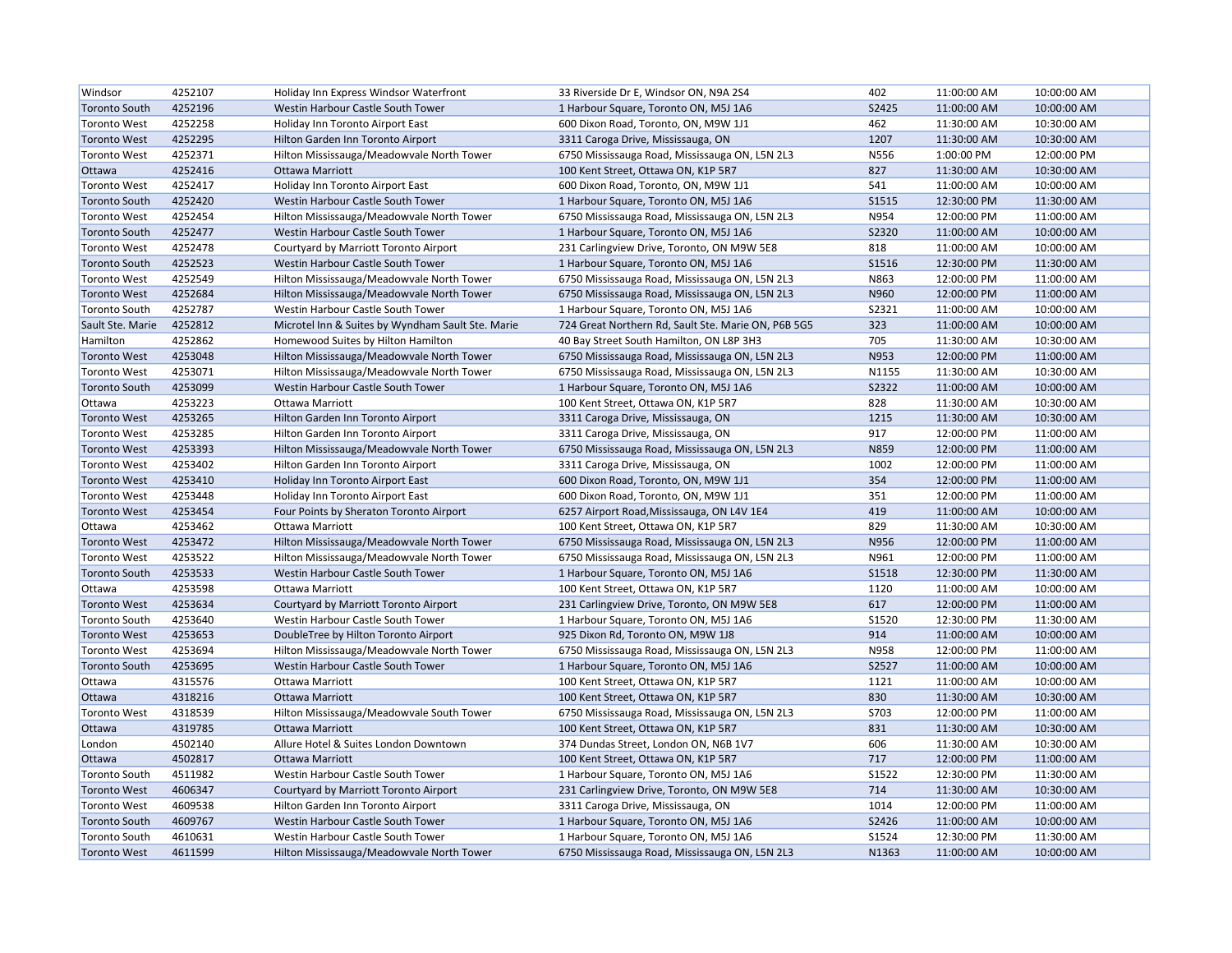| Windsor              | 4252107 | Holiday Inn Express Windsor Waterfront            | 33 Riverside Dr E, Windsor ON, N9A 2S4              | 402          | 11:00:00 AM | 10:00:00 AM |
|----------------------|---------|---------------------------------------------------|-----------------------------------------------------|--------------|-------------|-------------|
| <b>Toronto South</b> | 4252196 | Westin Harbour Castle South Tower                 | 1 Harbour Square, Toronto ON, M5J 1A6               | S2425        | 11:00:00 AM | 10:00:00 AM |
| <b>Toronto West</b>  | 4252258 | Holiday Inn Toronto Airport East                  | 600 Dixon Road, Toronto, ON, M9W 1J1                | 462          | 11:30:00 AM | 10:30:00 AM |
| <b>Toronto West</b>  | 4252295 | Hilton Garden Inn Toronto Airport                 | 3311 Caroga Drive, Mississauga, ON                  | 1207         | 11:30:00 AM | 10:30:00 AM |
| <b>Toronto West</b>  | 4252371 | Hilton Mississauga/Meadowvale North Tower         | 6750 Mississauga Road, Mississauga ON, L5N 2L3      | N556         | 1:00:00 PM  | 12:00:00 PM |
| Ottawa               | 4252416 | Ottawa Marriott                                   | 100 Kent Street, Ottawa ON, K1P 5R7                 | 827          | 11:30:00 AM | 10:30:00 AM |
| <b>Toronto West</b>  | 4252417 | Holiday Inn Toronto Airport East                  | 600 Dixon Road, Toronto, ON, M9W 1J1                | 541          | 11:00:00 AM | 10:00:00 AM |
| <b>Toronto South</b> | 4252420 | Westin Harbour Castle South Tower                 | 1 Harbour Square, Toronto ON, M5J 1A6               | S1515        | 12:30:00 PM | 11:30:00 AM |
| <b>Toronto West</b>  | 4252454 | Hilton Mississauga/Meadowvale North Tower         | 6750 Mississauga Road, Mississauga ON, L5N 2L3      | N954         | 12:00:00 PM | 11:00:00 AM |
| <b>Toronto South</b> | 4252477 | Westin Harbour Castle South Tower                 | 1 Harbour Square, Toronto ON, M5J 1A6               | S2320        | 11:00:00 AM | 10:00:00 AM |
| <b>Toronto West</b>  | 4252478 | Courtyard by Marriott Toronto Airport             | 231 Carlingview Drive, Toronto, ON M9W 5E8          | 818          | 11:00:00 AM | 10:00:00 AM |
| <b>Toronto South</b> | 4252523 | Westin Harbour Castle South Tower                 | 1 Harbour Square, Toronto ON, M5J 1A6               | S1516        | 12:30:00 PM | 11:30:00 AM |
| <b>Toronto West</b>  | 4252549 | Hilton Mississauga/Meadowvale North Tower         | 6750 Mississauga Road, Mississauga ON, L5N 2L3      | N863         | 12:00:00 PM | 11:00:00 AM |
| <b>Toronto West</b>  | 4252684 | Hilton Mississauga/Meadowvale North Tower         | 6750 Mississauga Road, Mississauga ON, L5N 2L3      | N960         | 12:00:00 PM | 11:00:00 AM |
| <b>Toronto South</b> | 4252787 | Westin Harbour Castle South Tower                 | 1 Harbour Square, Toronto ON, M5J 1A6               | S2321        | 11:00:00 AM | 10:00:00 AM |
| Sault Ste. Marie     | 4252812 | Microtel Inn & Suites by Wyndham Sault Ste. Marie | 724 Great Northern Rd, Sault Ste. Marie ON, P6B 5G5 | 323          | 11:00:00 AM | 10:00:00 AM |
| Hamilton             | 4252862 | Homewood Suites by Hilton Hamilton                | 40 Bay Street South Hamilton, ON L8P 3H3            | 705          | 11:30:00 AM | 10:30:00 AM |
| <b>Toronto West</b>  | 4253048 | Hilton Mississauga/Meadowvale North Tower         | 6750 Mississauga Road, Mississauga ON, L5N 2L3      | N953         | 12:00:00 PM | 11:00:00 AM |
| <b>Toronto West</b>  | 4253071 | Hilton Mississauga/Meadowvale North Tower         | 6750 Mississauga Road, Mississauga ON, L5N 2L3      | N1155        | 11:30:00 AM | 10:30:00 AM |
| <b>Toronto South</b> | 4253099 | Westin Harbour Castle South Tower                 | 1 Harbour Square, Toronto ON, M5J 1A6               | S2322        | 11:00:00 AM | 10:00:00 AM |
| Ottawa               | 4253223 | <b>Ottawa Marriott</b>                            | 100 Kent Street, Ottawa ON, K1P 5R7                 | 828          | 11:30:00 AM | 10:30:00 AM |
| <b>Toronto West</b>  | 4253265 | Hilton Garden Inn Toronto Airport                 | 3311 Caroga Drive, Mississauga, ON                  | 1215         | 11:30:00 AM | 10:30:00 AM |
| <b>Toronto West</b>  | 4253285 | Hilton Garden Inn Toronto Airport                 | 3311 Caroga Drive, Mississauga, ON                  | 917          | 12:00:00 PM | 11:00:00 AM |
| <b>Toronto West</b>  | 4253393 | Hilton Mississauga/Meadowvale North Tower         | 6750 Mississauga Road, Mississauga ON, L5N 2L3      | <b>N859</b>  | 12:00:00 PM | 11:00:00 AM |
| <b>Toronto West</b>  | 4253402 |                                                   |                                                     | 1002         |             |             |
|                      |         | Hilton Garden Inn Toronto Airport                 | 3311 Caroga Drive, Mississauga, ON                  |              | 12:00:00 PM | 11:00:00 AM |
| <b>Toronto West</b>  | 4253410 | Holiday Inn Toronto Airport East                  | 600 Dixon Road, Toronto, ON, M9W 1J1                | 354          | 12:00:00 PM | 11:00:00 AM |
| <b>Toronto West</b>  | 4253448 | Holiday Inn Toronto Airport East                  | 600 Dixon Road, Toronto, ON, M9W 1J1                | 351          | 12:00:00 PM | 11:00:00 AM |
| <b>Toronto West</b>  | 4253454 | Four Points by Sheraton Toronto Airport           | 6257 Airport Road, Mississauga, ON L4V 1E4          | 419          | 11:00:00 AM | 10:00:00 AM |
| Ottawa               | 4253462 | Ottawa Marriott                                   | 100 Kent Street, Ottawa ON, K1P 5R7                 | 829          | 11:30:00 AM | 10:30:00 AM |
| <b>Toronto West</b>  | 4253472 | Hilton Mississauga/Meadowvale North Tower         | 6750 Mississauga Road, Mississauga ON, L5N 2L3      | N956         | 12:00:00 PM | 11:00:00 AM |
| <b>Toronto West</b>  | 4253522 | Hilton Mississauga/Meadowvale North Tower         | 6750 Mississauga Road, Mississauga ON, L5N 2L3      | N961         | 12:00:00 PM | 11:00:00 AM |
| <b>Toronto South</b> | 4253533 | Westin Harbour Castle South Tower                 | 1 Harbour Square, Toronto ON, M5J 1A6               | <b>S1518</b> | 12:30:00 PM | 11:30:00 AM |
| Ottawa               | 4253598 | <b>Ottawa Marriott</b>                            | 100 Kent Street, Ottawa ON, K1P 5R7                 | 1120         | 11:00:00 AM | 10:00:00 AM |
| <b>Toronto West</b>  | 4253634 | Courtyard by Marriott Toronto Airport             | 231 Carlingview Drive, Toronto, ON M9W 5E8          | 617          | 12:00:00 PM | 11:00:00 AM |
| <b>Toronto South</b> | 4253640 | Westin Harbour Castle South Tower                 | 1 Harbour Square, Toronto ON, M5J 1A6               | S1520        | 12:30:00 PM | 11:30:00 AM |
| <b>Toronto West</b>  | 4253653 | DoubleTree by Hilton Toronto Airport              | 925 Dixon Rd, Toronto ON, M9W 1J8                   | 914          | 11:00:00 AM | 10:00:00 AM |
| <b>Toronto West</b>  | 4253694 | Hilton Mississauga/Meadowvale North Tower         | 6750 Mississauga Road, Mississauga ON, L5N 2L3      | N958         | 12:00:00 PM | 11:00:00 AM |
| <b>Toronto South</b> | 4253695 | Westin Harbour Castle South Tower                 | 1 Harbour Square, Toronto ON, M5J 1A6               | S2527        | 11:00:00 AM | 10:00:00 AM |
| Ottawa               | 4315576 | Ottawa Marriott                                   | 100 Kent Street, Ottawa ON, K1P 5R7                 | 1121         | 11:00:00 AM | 10:00:00 AM |
| Ottawa               | 4318216 | <b>Ottawa Marriott</b>                            | 100 Kent Street, Ottawa ON, K1P 5R7                 | 830          | 11:30:00 AM | 10:30:00 AM |
| <b>Toronto West</b>  | 4318539 | Hilton Mississauga/Meadowvale South Tower         | 6750 Mississauga Road, Mississauga ON, L5N 2L3      | S703         | 12:00:00 PM | 11:00:00 AM |
| Ottawa               | 4319785 | <b>Ottawa Marriott</b>                            | 100 Kent Street, Ottawa ON, K1P 5R7                 | 831          | 11:30:00 AM | 10:30:00 AM |
| London               | 4502140 | Allure Hotel & Suites London Downtown             | 374 Dundas Street, London ON, N6B 1V7               | 606          | 11:30:00 AM | 10:30:00 AM |
| Ottawa               | 4502817 | <b>Ottawa Marriott</b>                            | 100 Kent Street, Ottawa ON, K1P 5R7                 | 717          | 12:00:00 PM | 11:00:00 AM |
| <b>Toronto South</b> | 4511982 | Westin Harbour Castle South Tower                 | 1 Harbour Square, Toronto ON, M5J 1A6               | S1522        | 12:30:00 PM | 11:30:00 AM |
| <b>Toronto West</b>  | 4606347 | Courtyard by Marriott Toronto Airport             | 231 Carlingview Drive, Toronto, ON M9W 5E8          | 714          | 11:30:00 AM | 10:30:00 AM |
| <b>Toronto West</b>  | 4609538 | Hilton Garden Inn Toronto Airport                 | 3311 Caroga Drive, Mississauga, ON                  | 1014         | 12:00:00 PM | 11:00:00 AM |
| <b>Toronto South</b> | 4609767 | Westin Harbour Castle South Tower                 | 1 Harbour Square, Toronto ON, M5J 1A6               | S2426        | 11:00:00 AM | 10:00:00 AM |
| <b>Toronto South</b> | 4610631 | Westin Harbour Castle South Tower                 | 1 Harbour Square, Toronto ON, M5J 1A6               | S1524        | 12:30:00 PM | 11:30:00 AM |
| <b>Toronto West</b>  | 4611599 | Hilton Mississauga/Meadowvale North Tower         | 6750 Mississauga Road, Mississauga ON, L5N 2L3      | N1363        | 11:00:00 AM | 10:00:00 AM |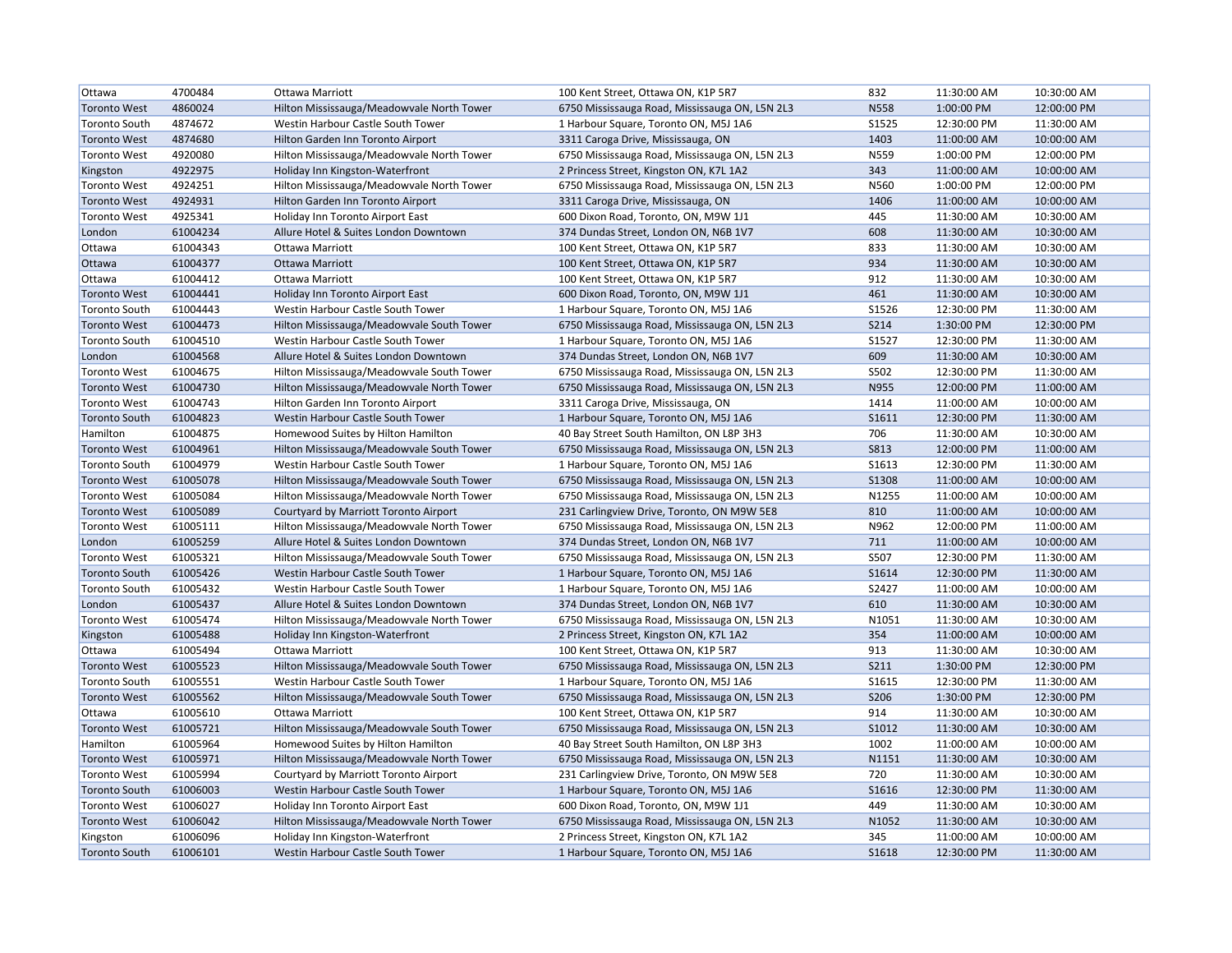| Ottawa               | 4700484  | Ottawa Marriott                           | 100 Kent Street, Ottawa ON, K1P 5R7            | 832          | 11:30:00 AM | 10:30:00 AM |
|----------------------|----------|-------------------------------------------|------------------------------------------------|--------------|-------------|-------------|
| <b>Toronto West</b>  | 4860024  | Hilton Mississauga/Meadowvale North Tower | 6750 Mississauga Road, Mississauga ON, L5N 2L3 | <b>N558</b>  | 1:00:00 PM  | 12:00:00 PM |
| <b>Toronto South</b> | 4874672  | Westin Harbour Castle South Tower         | 1 Harbour Square, Toronto ON, M5J 1A6          | S1525        | 12:30:00 PM | 11:30:00 AM |
| <b>Toronto West</b>  | 4874680  | Hilton Garden Inn Toronto Airport         | 3311 Caroga Drive, Mississauga, ON             | 1403         | 11:00:00 AM | 10:00:00 AM |
| <b>Toronto West</b>  | 4920080  | Hilton Mississauga/Meadowvale North Tower | 6750 Mississauga Road, Mississauga ON, L5N 2L3 | N559         | 1:00:00 PM  | 12:00:00 PM |
| Kingston             | 4922975  | Holiday Inn Kingston-Waterfront           | 2 Princess Street, Kingston ON, K7L 1A2        | 343          | 11:00:00 AM | 10:00:00 AM |
| <b>Toronto West</b>  | 4924251  | Hilton Mississauga/Meadowvale North Tower | 6750 Mississauga Road, Mississauga ON, L5N 2L3 | N560         | 1:00:00 PM  | 12:00:00 PM |
| <b>Toronto West</b>  | 4924931  | Hilton Garden Inn Toronto Airport         | 3311 Caroga Drive, Mississauga, ON             | 1406         | 11:00:00 AM | 10:00:00 AM |
| <b>Toronto West</b>  | 4925341  | Holiday Inn Toronto Airport East          | 600 Dixon Road, Toronto, ON, M9W 1J1           | 445          | 11:30:00 AM | 10:30:00 AM |
| London               | 61004234 | Allure Hotel & Suites London Downtown     | 374 Dundas Street, London ON, N6B 1V7          | 608          | 11:30:00 AM | 10:30:00 AM |
| Ottawa               | 61004343 | Ottawa Marriott                           | 100 Kent Street, Ottawa ON, K1P 5R7            | 833          | 11:30:00 AM | 10:30:00 AM |
| Ottawa               | 61004377 | Ottawa Marriott                           | 100 Kent Street, Ottawa ON, K1P 5R7            | 934          | 11:30:00 AM | 10:30:00 AM |
| Ottawa               | 61004412 | Ottawa Marriott                           | 100 Kent Street, Ottawa ON, K1P 5R7            | 912          | 11:30:00 AM | 10:30:00 AM |
| <b>Toronto West</b>  | 61004441 | Holiday Inn Toronto Airport East          | 600 Dixon Road, Toronto, ON, M9W 1J1           | 461          | 11:30:00 AM | 10:30:00 AM |
| <b>Toronto South</b> | 61004443 | Westin Harbour Castle South Tower         | 1 Harbour Square, Toronto ON, M5J 1A6          | S1526        | 12:30:00 PM | 11:30:00 AM |
| <b>Toronto West</b>  | 61004473 | Hilton Mississauga/Meadowvale South Tower | 6750 Mississauga Road, Mississauga ON, L5N 2L3 | <b>S214</b>  | 1:30:00 PM  | 12:30:00 PM |
| <b>Toronto South</b> | 61004510 | Westin Harbour Castle South Tower         | 1 Harbour Square, Toronto ON, M5J 1A6          | S1527        | 12:30:00 PM | 11:30:00 AM |
| London               | 61004568 | Allure Hotel & Suites London Downtown     | 374 Dundas Street, London ON, N6B 1V7          | 609          | 11:30:00 AM | 10:30:00 AM |
| <b>Toronto West</b>  | 61004675 | Hilton Mississauga/Meadowvale South Tower | 6750 Mississauga Road, Mississauga ON, L5N 2L3 | S502         | 12:30:00 PM | 11:30:00 AM |
| <b>Toronto West</b>  | 61004730 | Hilton Mississauga/Meadowvale North Tower | 6750 Mississauga Road, Mississauga ON, L5N 2L3 | N955         | 12:00:00 PM | 11:00:00 AM |
| <b>Toronto West</b>  | 61004743 | Hilton Garden Inn Toronto Airport         | 3311 Caroga Drive, Mississauga, ON             | 1414         | 11:00:00 AM | 10:00:00 AM |
| <b>Toronto South</b> | 61004823 | Westin Harbour Castle South Tower         | 1 Harbour Square, Toronto ON, M5J 1A6          | S1611        | 12:30:00 PM | 11:30:00 AM |
| Hamilton             | 61004875 | Homewood Suites by Hilton Hamilton        | 40 Bay Street South Hamilton, ON L8P 3H3       | 706          | 11:30:00 AM | 10:30:00 AM |
| <b>Toronto West</b>  | 61004961 | Hilton Mississauga/Meadowvale South Tower | 6750 Mississauga Road, Mississauga ON, L5N 2L3 | <b>S813</b>  | 12:00:00 PM | 11:00:00 AM |
| <b>Toronto South</b> | 61004979 | Westin Harbour Castle South Tower         | 1 Harbour Square, Toronto ON, M5J 1A6          | S1613        | 12:30:00 PM | 11:30:00 AM |
| <b>Toronto West</b>  | 61005078 | Hilton Mississauga/Meadowvale South Tower | 6750 Mississauga Road, Mississauga ON, L5N 2L3 | <b>S1308</b> | 11:00:00 AM | 10:00:00 AM |
| <b>Toronto West</b>  | 61005084 | Hilton Mississauga/Meadowvale North Tower | 6750 Mississauga Road, Mississauga ON, L5N 2L3 | N1255        | 11:00:00 AM | 10:00:00 AM |
| <b>Toronto West</b>  | 61005089 | Courtyard by Marriott Toronto Airport     | 231 Carlingview Drive, Toronto, ON M9W 5E8     | 810          | 11:00:00 AM | 10:00:00 AM |
| <b>Toronto West</b>  | 61005111 | Hilton Mississauga/Meadowvale North Tower | 6750 Mississauga Road, Mississauga ON, L5N 2L3 | N962         | 12:00:00 PM | 11:00:00 AM |
| London               | 61005259 | Allure Hotel & Suites London Downtown     | 374 Dundas Street, London ON, N6B 1V7          | 711          | 11:00:00 AM | 10:00:00 AM |
| <b>Toronto West</b>  | 61005321 | Hilton Mississauga/Meadowvale South Tower | 6750 Mississauga Road, Mississauga ON, L5N 2L3 | S507         | 12:30:00 PM | 11:30:00 AM |
| <b>Toronto South</b> | 61005426 | Westin Harbour Castle South Tower         | 1 Harbour Square, Toronto ON, M5J 1A6          | S1614        | 12:30:00 PM | 11:30:00 AM |
| <b>Toronto South</b> | 61005432 | Westin Harbour Castle South Tower         | 1 Harbour Square, Toronto ON, M5J 1A6          | S2427        | 11:00:00 AM | 10:00:00 AM |
| London               | 61005437 | Allure Hotel & Suites London Downtown     | 374 Dundas Street, London ON, N6B 1V7          | 610          | 11:30:00 AM | 10:30:00 AM |
| <b>Toronto West</b>  | 61005474 | Hilton Mississauga/Meadowvale North Tower | 6750 Mississauga Road, Mississauga ON, L5N 2L3 | N1051        | 11:30:00 AM | 10:30:00 AM |
| Kingston             | 61005488 | Holiday Inn Kingston-Waterfront           | 2 Princess Street, Kingston ON, K7L 1A2        | 354          | 11:00:00 AM | 10:00:00 AM |
| Ottawa               | 61005494 | Ottawa Marriott                           | 100 Kent Street, Ottawa ON, K1P 5R7            | 913          | 11:30:00 AM | 10:30:00 AM |
| <b>Toronto West</b>  | 61005523 | Hilton Mississauga/Meadowvale South Tower | 6750 Mississauga Road, Mississauga ON, L5N 2L3 | <b>S211</b>  | 1:30:00 PM  | 12:30:00 PM |
| <b>Toronto South</b> | 61005551 | Westin Harbour Castle South Tower         | 1 Harbour Square, Toronto ON, M5J 1A6          | S1615        | 12:30:00 PM | 11:30:00 AM |
| <b>Toronto West</b>  | 61005562 | Hilton Mississauga/Meadowvale South Tower | 6750 Mississauga Road, Mississauga ON, L5N 2L3 | S206         | 1:30:00 PM  | 12:30:00 PM |
| Ottawa               | 61005610 | Ottawa Marriott                           | 100 Kent Street, Ottawa ON, K1P 5R7            | 914          | 11:30:00 AM | 10:30:00 AM |
| <b>Toronto West</b>  | 61005721 | Hilton Mississauga/Meadowvale South Tower | 6750 Mississauga Road, Mississauga ON, L5N 2L3 | S1012        | 11:30:00 AM | 10:30:00 AM |
| Hamilton             | 61005964 | Homewood Suites by Hilton Hamilton        | 40 Bay Street South Hamilton, ON L8P 3H3       | 1002         | 11:00:00 AM | 10:00:00 AM |
| <b>Toronto West</b>  | 61005971 | Hilton Mississauga/Meadowvale North Tower | 6750 Mississauga Road, Mississauga ON, L5N 2L3 | N1151        | 11:30:00 AM | 10:30:00 AM |
| <b>Toronto West</b>  | 61005994 | Courtyard by Marriott Toronto Airport     | 231 Carlingview Drive, Toronto, ON M9W 5E8     | 720          | 11:30:00 AM | 10:30:00 AM |
| <b>Toronto South</b> | 61006003 | Westin Harbour Castle South Tower         | 1 Harbour Square, Toronto ON, M5J 1A6          | S1616        | 12:30:00 PM | 11:30:00 AM |
| <b>Toronto West</b>  | 61006027 | Holiday Inn Toronto Airport East          | 600 Dixon Road, Toronto, ON, M9W 1J1           | 449          | 11:30:00 AM | 10:30:00 AM |
| <b>Toronto West</b>  | 61006042 | Hilton Mississauga/Meadowvale North Tower | 6750 Mississauga Road, Mississauga ON, L5N 2L3 | N1052        | 11:30:00 AM | 10:30:00 AM |
| Kingston             | 61006096 | Holiday Inn Kingston-Waterfront           | 2 Princess Street, Kingston ON, K7L 1A2        | 345          | 11:00:00 AM | 10:00:00 AM |
| Toronto South        | 61006101 | Westin Harbour Castle South Tower         | 1 Harbour Square, Toronto ON, M5J 1A6          | S1618        | 12:30:00 PM | 11:30:00 AM |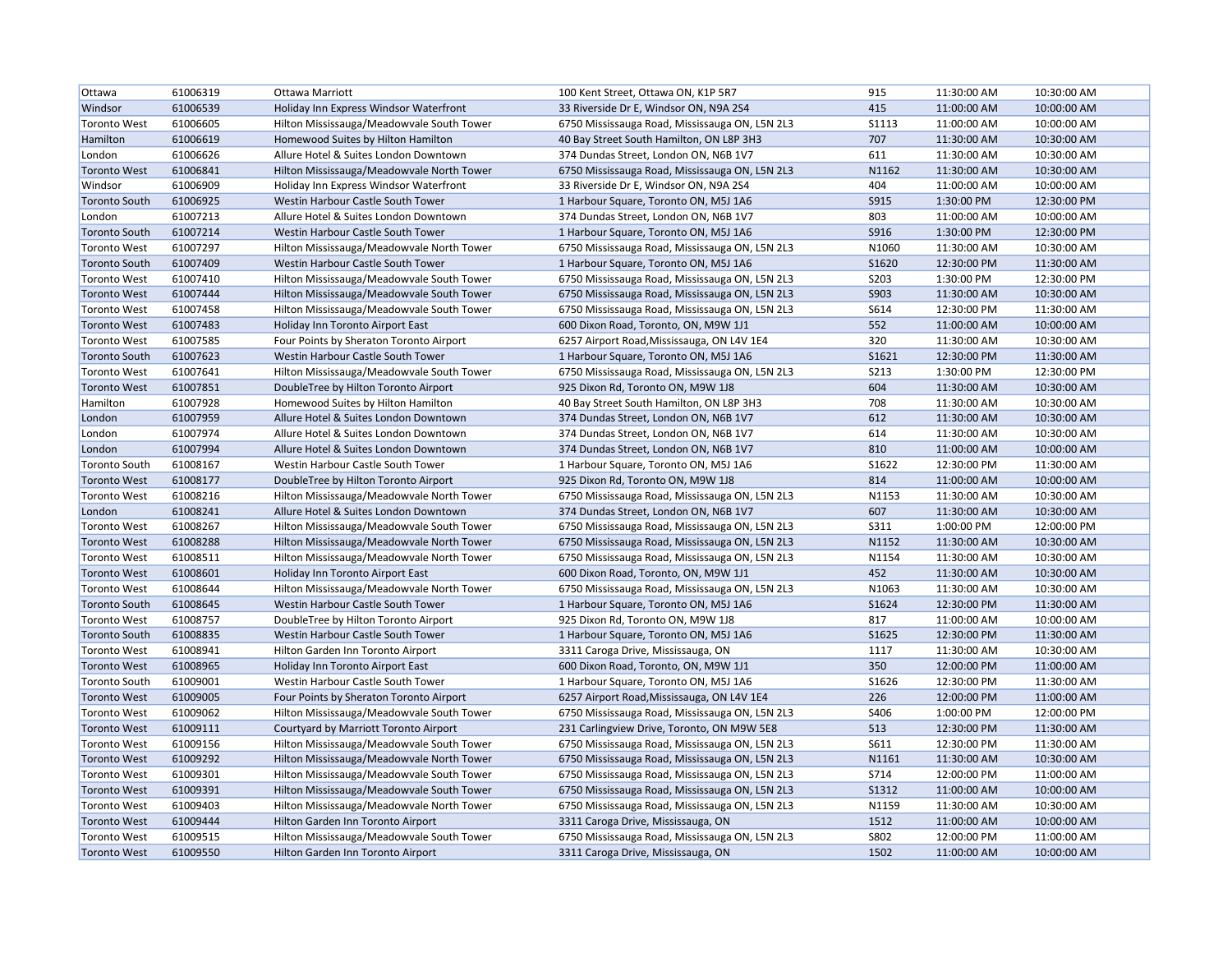| Ottawa               | 61006319 | Ottawa Marriott                           | 100 Kent Street, Ottawa ON, K1P 5R7            | 915          | 11:30:00 AM | 10:30:00 AM |
|----------------------|----------|-------------------------------------------|------------------------------------------------|--------------|-------------|-------------|
| Windsor              | 61006539 | Holiday Inn Express Windsor Waterfront    | 33 Riverside Dr E, Windsor ON, N9A 2S4         | 415          | 11:00:00 AM | 10:00:00 AM |
| <b>Toronto West</b>  | 61006605 | Hilton Mississauga/Meadowvale South Tower | 6750 Mississauga Road, Mississauga ON, L5N 2L3 | <b>S1113</b> | 11:00:00 AM | 10:00:00 AM |
| Hamilton             | 61006619 | Homewood Suites by Hilton Hamilton        | 40 Bay Street South Hamilton, ON L8P 3H3       | 707          | 11:30:00 AM | 10:30:00 AM |
| London               | 61006626 | Allure Hotel & Suites London Downtown     | 374 Dundas Street, London ON, N6B 1V7          | 611          | 11:30:00 AM | 10:30:00 AM |
| <b>Toronto West</b>  | 61006841 | Hilton Mississauga/Meadowvale North Tower | 6750 Mississauga Road, Mississauga ON, L5N 2L3 | N1162        | 11:30:00 AM | 10:30:00 AM |
| Windsor              | 61006909 | Holiday Inn Express Windsor Waterfront    | 33 Riverside Dr E, Windsor ON, N9A 2S4         | 404          | 11:00:00 AM | 10:00:00 AM |
| <b>Toronto South</b> | 61006925 | Westin Harbour Castle South Tower         | 1 Harbour Square, Toronto ON, M5J 1A6          | S915         | 1:30:00 PM  | 12:30:00 PM |
| London               | 61007213 | Allure Hotel & Suites London Downtown     | 374 Dundas Street, London ON, N6B 1V7          | 803          | 11:00:00 AM | 10:00:00 AM |
| <b>Toronto South</b> | 61007214 | Westin Harbour Castle South Tower         | 1 Harbour Square, Toronto ON, M5J 1A6          | S916         | 1:30:00 PM  | 12:30:00 PM |
| <b>Toronto West</b>  | 61007297 | Hilton Mississauga/Meadowvale North Tower | 6750 Mississauga Road, Mississauga ON, L5N 2L3 | N1060        | 11:30:00 AM | 10:30:00 AM |
| <b>Toronto South</b> | 61007409 | Westin Harbour Castle South Tower         | 1 Harbour Square, Toronto ON, M5J 1A6          | S1620        | 12:30:00 PM | 11:30:00 AM |
| <b>Toronto West</b>  | 61007410 | Hilton Mississauga/Meadowvale South Tower | 6750 Mississauga Road, Mississauga ON, L5N 2L3 | S203         | 1:30:00 PM  | 12:30:00 PM |
| <b>Toronto West</b>  | 61007444 | Hilton Mississauga/Meadowvale South Tower | 6750 Mississauga Road, Mississauga ON, L5N 2L3 | S903         | 11:30:00 AM | 10:30:00 AM |
| <b>Toronto West</b>  | 61007458 | Hilton Mississauga/Meadowvale South Tower | 6750 Mississauga Road, Mississauga ON, L5N 2L3 | S614         | 12:30:00 PM | 11:30:00 AM |
| <b>Toronto West</b>  | 61007483 | Holiday Inn Toronto Airport East          | 600 Dixon Road, Toronto, ON, M9W 1J1           | 552          | 11:00:00 AM | 10:00:00 AM |
| <b>Toronto West</b>  | 61007585 | Four Points by Sheraton Toronto Airport   | 6257 Airport Road, Mississauga, ON L4V 1E4     | 320          | 11:30:00 AM | 10:30:00 AM |
| <b>Toronto South</b> | 61007623 | Westin Harbour Castle South Tower         | 1 Harbour Square, Toronto ON, M5J 1A6          | S1621        | 12:30:00 PM | 11:30:00 AM |
| <b>Toronto West</b>  | 61007641 | Hilton Mississauga/Meadowvale South Tower | 6750 Mississauga Road, Mississauga ON, L5N 2L3 | <b>S213</b>  | 1:30:00 PM  | 12:30:00 PM |
| <b>Toronto West</b>  | 61007851 | DoubleTree by Hilton Toronto Airport      | 925 Dixon Rd, Toronto ON, M9W 1J8              | 604          | 11:30:00 AM | 10:30:00 AM |
| Hamilton             | 61007928 | Homewood Suites by Hilton Hamilton        | 40 Bay Street South Hamilton, ON L8P 3H3       | 708          | 11:30:00 AM | 10:30:00 AM |
| London               | 61007959 | Allure Hotel & Suites London Downtown     | 374 Dundas Street, London ON, N6B 1V7          | 612          | 11:30:00 AM | 10:30:00 AM |
| London               | 61007974 | Allure Hotel & Suites London Downtown     | 374 Dundas Street, London ON, N6B 1V7          | 614          | 11:30:00 AM | 10:30:00 AM |
| London               | 61007994 | Allure Hotel & Suites London Downtown     | 374 Dundas Street, London ON, N6B 1V7          | 810          | 11:00:00 AM | 10:00:00 AM |
| <b>Toronto South</b> | 61008167 | Westin Harbour Castle South Tower         | 1 Harbour Square, Toronto ON, M5J 1A6          | S1622        | 12:30:00 PM | 11:30:00 AM |
| <b>Toronto West</b>  | 61008177 | DoubleTree by Hilton Toronto Airport      | 925 Dixon Rd, Toronto ON, M9W 1J8              | 814          | 11:00:00 AM | 10:00:00 AM |
| <b>Toronto West</b>  | 61008216 | Hilton Mississauga/Meadowvale North Tower | 6750 Mississauga Road, Mississauga ON, L5N 2L3 | N1153        | 11:30:00 AM | 10:30:00 AM |
| London               | 61008241 | Allure Hotel & Suites London Downtown     | 374 Dundas Street, London ON, N6B 1V7          | 607          | 11:30:00 AM | 10:30:00 AM |
| <b>Toronto West</b>  | 61008267 | Hilton Mississauga/Meadowvale South Tower | 6750 Mississauga Road, Mississauga ON, L5N 2L3 | S311         | 1:00:00 PM  | 12:00:00 PM |
| <b>Toronto West</b>  | 61008288 | Hilton Mississauga/Meadowvale North Tower | 6750 Mississauga Road, Mississauga ON, L5N 2L3 | N1152        | 11:30:00 AM | 10:30:00 AM |
| <b>Toronto West</b>  | 61008511 | Hilton Mississauga/Meadowvale North Tower | 6750 Mississauga Road, Mississauga ON, L5N 2L3 | N1154        | 11:30:00 AM | 10:30:00 AM |
| <b>Toronto West</b>  | 61008601 | Holiday Inn Toronto Airport East          | 600 Dixon Road, Toronto, ON, M9W 1J1           | 452          | 11:30:00 AM | 10:30:00 AM |
| <b>Toronto West</b>  | 61008644 | Hilton Mississauga/Meadowvale North Tower | 6750 Mississauga Road, Mississauga ON, L5N 2L3 | N1063        | 11:30:00 AM | 10:30:00 AM |
| <b>Toronto South</b> | 61008645 | Westin Harbour Castle South Tower         | 1 Harbour Square, Toronto ON, M5J 1A6          | S1624        | 12:30:00 PM | 11:30:00 AM |
| <b>Toronto West</b>  | 61008757 | DoubleTree by Hilton Toronto Airport      | 925 Dixon Rd, Toronto ON, M9W 1J8              | 817          | 11:00:00 AM | 10:00:00 AM |
| <b>Toronto South</b> | 61008835 | Westin Harbour Castle South Tower         | 1 Harbour Square, Toronto ON, M5J 1A6          | S1625        | 12:30:00 PM | 11:30:00 AM |
| <b>Toronto West</b>  | 61008941 | Hilton Garden Inn Toronto Airport         | 3311 Caroga Drive, Mississauga, ON             | 1117         | 11:30:00 AM | 10:30:00 AM |
| <b>Toronto West</b>  | 61008965 | Holiday Inn Toronto Airport East          | 600 Dixon Road, Toronto, ON, M9W 1J1           | 350          | 12:00:00 PM | 11:00:00 AM |
| <b>Toronto South</b> | 61009001 | Westin Harbour Castle South Tower         | 1 Harbour Square, Toronto ON, M5J 1A6          | S1626        | 12:30:00 PM | 11:30:00 AM |
| <b>Toronto West</b>  | 61009005 | Four Points by Sheraton Toronto Airport   | 6257 Airport Road, Mississauga, ON L4V 1E4     | 226          | 12:00:00 PM | 11:00:00 AM |
| <b>Toronto West</b>  | 61009062 | Hilton Mississauga/Meadowvale South Tower | 6750 Mississauga Road, Mississauga ON, L5N 2L3 | S406         | 1:00:00 PM  | 12:00:00 PM |
| <b>Toronto West</b>  | 61009111 | Courtyard by Marriott Toronto Airport     | 231 Carlingview Drive, Toronto, ON M9W 5E8     | 513          | 12:30:00 PM | 11:30:00 AM |
| <b>Toronto West</b>  | 61009156 | Hilton Mississauga/Meadowvale South Tower | 6750 Mississauga Road, Mississauga ON, L5N 2L3 | S611         | 12:30:00 PM | 11:30:00 AM |
| <b>Toronto West</b>  | 61009292 | Hilton Mississauga/Meadowvale North Tower | 6750 Mississauga Road, Mississauga ON, L5N 2L3 | N1161        | 11:30:00 AM | 10:30:00 AM |
| <b>Toronto West</b>  | 61009301 | Hilton Mississauga/Meadowvale South Tower | 6750 Mississauga Road, Mississauga ON, L5N 2L3 | S714         | 12:00:00 PM | 11:00:00 AM |
| <b>Toronto West</b>  | 61009391 | Hilton Mississauga/Meadowvale South Tower | 6750 Mississauga Road, Mississauga ON, L5N 2L3 | S1312        | 11:00:00 AM | 10:00:00 AM |
| <b>Toronto West</b>  | 61009403 | Hilton Mississauga/Meadowvale North Tower | 6750 Mississauga Road, Mississauga ON, L5N 2L3 | N1159        | 11:30:00 AM | 10:30:00 AM |
| <b>Toronto West</b>  | 61009444 | Hilton Garden Inn Toronto Airport         | 3311 Caroga Drive, Mississauga, ON             | 1512         | 11:00:00 AM | 10:00:00 AM |
| <b>Toronto West</b>  | 61009515 | Hilton Mississauga/Meadowvale South Tower | 6750 Mississauga Road, Mississauga ON, L5N 2L3 | S802         | 12:00:00 PM | 11:00:00 AM |
| <b>Toronto West</b>  | 61009550 | Hilton Garden Inn Toronto Airport         | 3311 Caroga Drive, Mississauga, ON             | 1502         | 11:00:00 AM | 10:00:00 AM |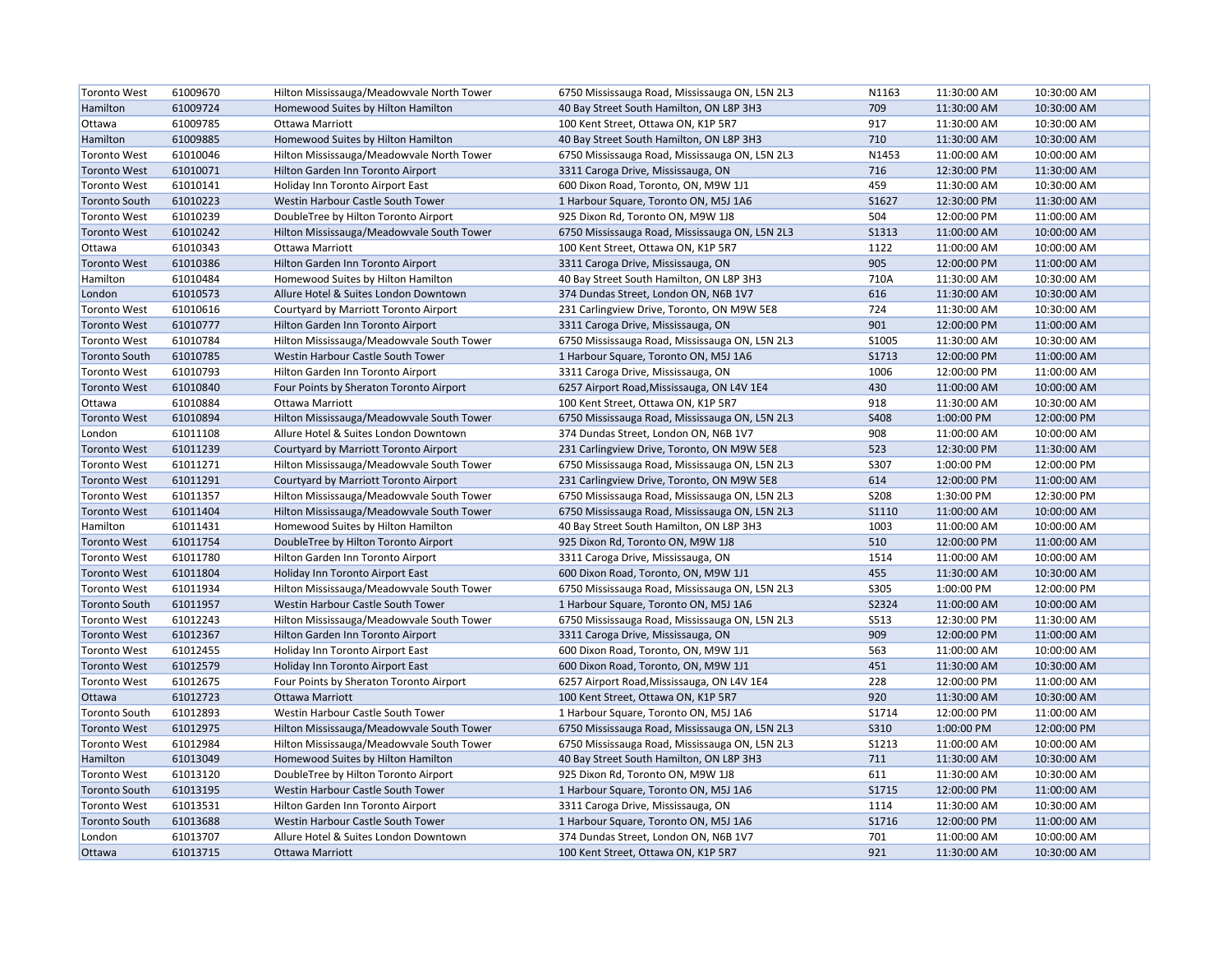| <b>Toronto West</b>  | 61009670 | Hilton Mississauga/Meadowvale North Tower | 6750 Mississauga Road, Mississauga ON, L5N 2L3 | N1163        | 11:30:00 AM | 10:30:00 AM |
|----------------------|----------|-------------------------------------------|------------------------------------------------|--------------|-------------|-------------|
| Hamilton             | 61009724 | Homewood Suites by Hilton Hamilton        | 40 Bay Street South Hamilton, ON L8P 3H3       | 709          | 11:30:00 AM | 10:30:00 AM |
| Ottawa               | 61009785 | Ottawa Marriott                           | 100 Kent Street, Ottawa ON, K1P 5R7            | 917          | 11:30:00 AM | 10:30:00 AM |
| Hamilton             | 61009885 | Homewood Suites by Hilton Hamilton        | 40 Bay Street South Hamilton, ON L8P 3H3       | 710          | 11:30:00 AM | 10:30:00 AM |
| <b>Toronto West</b>  | 61010046 | Hilton Mississauga/Meadowvale North Tower | 6750 Mississauga Road, Mississauga ON, L5N 2L3 | N1453        | 11:00:00 AM | 10:00:00 AM |
| <b>Toronto West</b>  | 61010071 | Hilton Garden Inn Toronto Airport         | 3311 Caroga Drive, Mississauga, ON             | 716          | 12:30:00 PM | 11:30:00 AM |
| <b>Toronto West</b>  | 61010141 | Holiday Inn Toronto Airport East          | 600 Dixon Road, Toronto, ON, M9W 1J1           | 459          | 11:30:00 AM | 10:30:00 AM |
| <b>Toronto South</b> | 61010223 | Westin Harbour Castle South Tower         | 1 Harbour Square, Toronto ON, M5J 1A6          | S1627        | 12:30:00 PM | 11:30:00 AM |
| <b>Toronto West</b>  | 61010239 | DoubleTree by Hilton Toronto Airport      | 925 Dixon Rd, Toronto ON, M9W 1J8              | 504          | 12:00:00 PM | 11:00:00 AM |
| <b>Toronto West</b>  | 61010242 | Hilton Mississauga/Meadowvale South Tower | 6750 Mississauga Road, Mississauga ON, L5N 2L3 | <b>S1313</b> | 11:00:00 AM | 10:00:00 AM |
| Ottawa               | 61010343 | Ottawa Marriott                           | 100 Kent Street, Ottawa ON, K1P 5R7            | 1122         | 11:00:00 AM | 10:00:00 AM |
| <b>Toronto West</b>  | 61010386 | Hilton Garden Inn Toronto Airport         | 3311 Caroga Drive, Mississauga, ON             | 905          | 12:00:00 PM | 11:00:00 AM |
| Hamilton             | 61010484 | Homewood Suites by Hilton Hamilton        | 40 Bay Street South Hamilton, ON L8P 3H3       | 710A         | 11:30:00 AM | 10:30:00 AM |
| London               | 61010573 | Allure Hotel & Suites London Downtown     | 374 Dundas Street, London ON, N6B 1V7          | 616          | 11:30:00 AM | 10:30:00 AM |
| <b>Toronto West</b>  | 61010616 | Courtyard by Marriott Toronto Airport     | 231 Carlingview Drive, Toronto, ON M9W 5E8     | 724          | 11:30:00 AM | 10:30:00 AM |
| <b>Toronto West</b>  | 61010777 | Hilton Garden Inn Toronto Airport         | 3311 Caroga Drive, Mississauga, ON             | 901          | 12:00:00 PM | 11:00:00 AM |
| <b>Toronto West</b>  | 61010784 | Hilton Mississauga/Meadowvale South Tower | 6750 Mississauga Road, Mississauga ON, L5N 2L3 | S1005        | 11:30:00 AM | 10:30:00 AM |
| <b>Toronto South</b> | 61010785 | Westin Harbour Castle South Tower         | 1 Harbour Square, Toronto ON, M5J 1A6          | S1713        | 12:00:00 PM | 11:00:00 AM |
| <b>Toronto West</b>  | 61010793 | Hilton Garden Inn Toronto Airport         | 3311 Caroga Drive, Mississauga, ON             | 1006         | 12:00:00 PM | 11:00:00 AM |
| <b>Toronto West</b>  | 61010840 | Four Points by Sheraton Toronto Airport   | 6257 Airport Road, Mississauga, ON L4V 1E4     | 430          | 11:00:00 AM | 10:00:00 AM |
| Ottawa               | 61010884 | Ottawa Marriott                           | 100 Kent Street, Ottawa ON, K1P 5R7            | 918          | 11:30:00 AM | 10:30:00 AM |
| <b>Toronto West</b>  | 61010894 | Hilton Mississauga/Meadowvale South Tower | 6750 Mississauga Road, Mississauga ON, L5N 2L3 | S408         | 1:00:00 PM  | 12:00:00 PM |
| London               | 61011108 | Allure Hotel & Suites London Downtown     | 374 Dundas Street, London ON, N6B 1V7          | 908          | 11:00:00 AM | 10:00:00 AM |
| <b>Toronto West</b>  | 61011239 | Courtyard by Marriott Toronto Airport     | 231 Carlingview Drive, Toronto, ON M9W 5E8     | 523          | 12:30:00 PM | 11:30:00 AM |
| <b>Toronto West</b>  | 61011271 | Hilton Mississauga/Meadowvale South Tower | 6750 Mississauga Road, Mississauga ON, L5N 2L3 | S307         | 1:00:00 PM  | 12:00:00 PM |
| <b>Toronto West</b>  | 61011291 | Courtyard by Marriott Toronto Airport     | 231 Carlingview Drive, Toronto, ON M9W 5E8     | 614          | 12:00:00 PM | 11:00:00 AM |
| <b>Toronto West</b>  | 61011357 | Hilton Mississauga/Meadowvale South Tower | 6750 Mississauga Road, Mississauga ON, L5N 2L3 | <b>S208</b>  | 1:30:00 PM  | 12:30:00 PM |
| <b>Toronto West</b>  | 61011404 | Hilton Mississauga/Meadowvale South Tower | 6750 Mississauga Road, Mississauga ON, L5N 2L3 | S1110        | 11:00:00 AM | 10:00:00 AM |
| Hamilton             | 61011431 | Homewood Suites by Hilton Hamilton        | 40 Bay Street South Hamilton, ON L8P 3H3       | 1003         | 11:00:00 AM | 10:00:00 AM |
| <b>Toronto West</b>  | 61011754 | DoubleTree by Hilton Toronto Airport      | 925 Dixon Rd, Toronto ON, M9W 1J8              | 510          | 12:00:00 PM | 11:00:00 AM |
| <b>Toronto West</b>  | 61011780 | Hilton Garden Inn Toronto Airport         | 3311 Caroga Drive, Mississauga, ON             | 1514         | 11:00:00 AM | 10:00:00 AM |
| <b>Toronto West</b>  | 61011804 | Holiday Inn Toronto Airport East          | 600 Dixon Road, Toronto, ON, M9W 1J1           | 455          | 11:30:00 AM | 10:30:00 AM |
| <b>Toronto West</b>  | 61011934 | Hilton Mississauga/Meadowvale South Tower | 6750 Mississauga Road, Mississauga ON, L5N 2L3 | S305         | 1:00:00 PM  | 12:00:00 PM |
| <b>Toronto South</b> | 61011957 | Westin Harbour Castle South Tower         | 1 Harbour Square, Toronto ON, M5J 1A6          | S2324        | 11:00:00 AM | 10:00:00 AM |
| <b>Toronto West</b>  | 61012243 | Hilton Mississauga/Meadowvale South Tower | 6750 Mississauga Road, Mississauga ON, L5N 2L3 | S513         | 12:30:00 PM | 11:30:00 AM |
| <b>Toronto West</b>  | 61012367 | Hilton Garden Inn Toronto Airport         | 3311 Caroga Drive, Mississauga, ON             | 909          | 12:00:00 PM | 11:00:00 AM |
| <b>Toronto West</b>  | 61012455 | Holiday Inn Toronto Airport East          | 600 Dixon Road, Toronto, ON, M9W 1J1           | 563          | 11:00:00 AM | 10:00:00 AM |
| <b>Toronto West</b>  | 61012579 | Holiday Inn Toronto Airport East          | 600 Dixon Road, Toronto, ON, M9W 1J1           | 451          | 11:30:00 AM | 10:30:00 AM |
| <b>Toronto West</b>  | 61012675 | Four Points by Sheraton Toronto Airport   | 6257 Airport Road, Mississauga, ON L4V 1E4     | 228          | 12:00:00 PM | 11:00:00 AM |
| Ottawa               | 61012723 | <b>Ottawa Marriott</b>                    | 100 Kent Street, Ottawa ON, K1P 5R7            | 920          | 11:30:00 AM | 10:30:00 AM |
| <b>Toronto South</b> | 61012893 | Westin Harbour Castle South Tower         | 1 Harbour Square, Toronto ON, M5J 1A6          | S1714        | 12:00:00 PM | 11:00:00 AM |
| <b>Toronto West</b>  | 61012975 | Hilton Mississauga/Meadowvale South Tower | 6750 Mississauga Road, Mississauga ON, L5N 2L3 | S310         | 1:00:00 PM  | 12:00:00 PM |
| <b>Toronto West</b>  | 61012984 | Hilton Mississauga/Meadowvale South Tower | 6750 Mississauga Road, Mississauga ON, L5N 2L3 | <b>S1213</b> | 11:00:00 AM | 10:00:00 AM |
| Hamilton             | 61013049 | Homewood Suites by Hilton Hamilton        | 40 Bay Street South Hamilton, ON L8P 3H3       | 711          | 11:30:00 AM | 10:30:00 AM |
| <b>Toronto West</b>  | 61013120 | DoubleTree by Hilton Toronto Airport      | 925 Dixon Rd, Toronto ON, M9W 1J8              | 611          | 11:30:00 AM | 10:30:00 AM |
| <b>Toronto South</b> | 61013195 | Westin Harbour Castle South Tower         | 1 Harbour Square, Toronto ON, M5J 1A6          | S1715        | 12:00:00 PM | 11:00:00 AM |
| <b>Toronto West</b>  | 61013531 | Hilton Garden Inn Toronto Airport         | 3311 Caroga Drive, Mississauga, ON             | 1114         | 11:30:00 AM | 10:30:00 AM |
| <b>Toronto South</b> | 61013688 | Westin Harbour Castle South Tower         | 1 Harbour Square, Toronto ON, M5J 1A6          | S1716        | 12:00:00 PM | 11:00:00 AM |
| London               | 61013707 | Allure Hotel & Suites London Downtown     | 374 Dundas Street, London ON, N6B 1V7          | 701          | 11:00:00 AM | 10:00:00 AM |
| Ottawa               | 61013715 | Ottawa Marriott                           | 100 Kent Street, Ottawa ON, K1P 5R7            | 921          | 11:30:00 AM | 10:30:00 AM |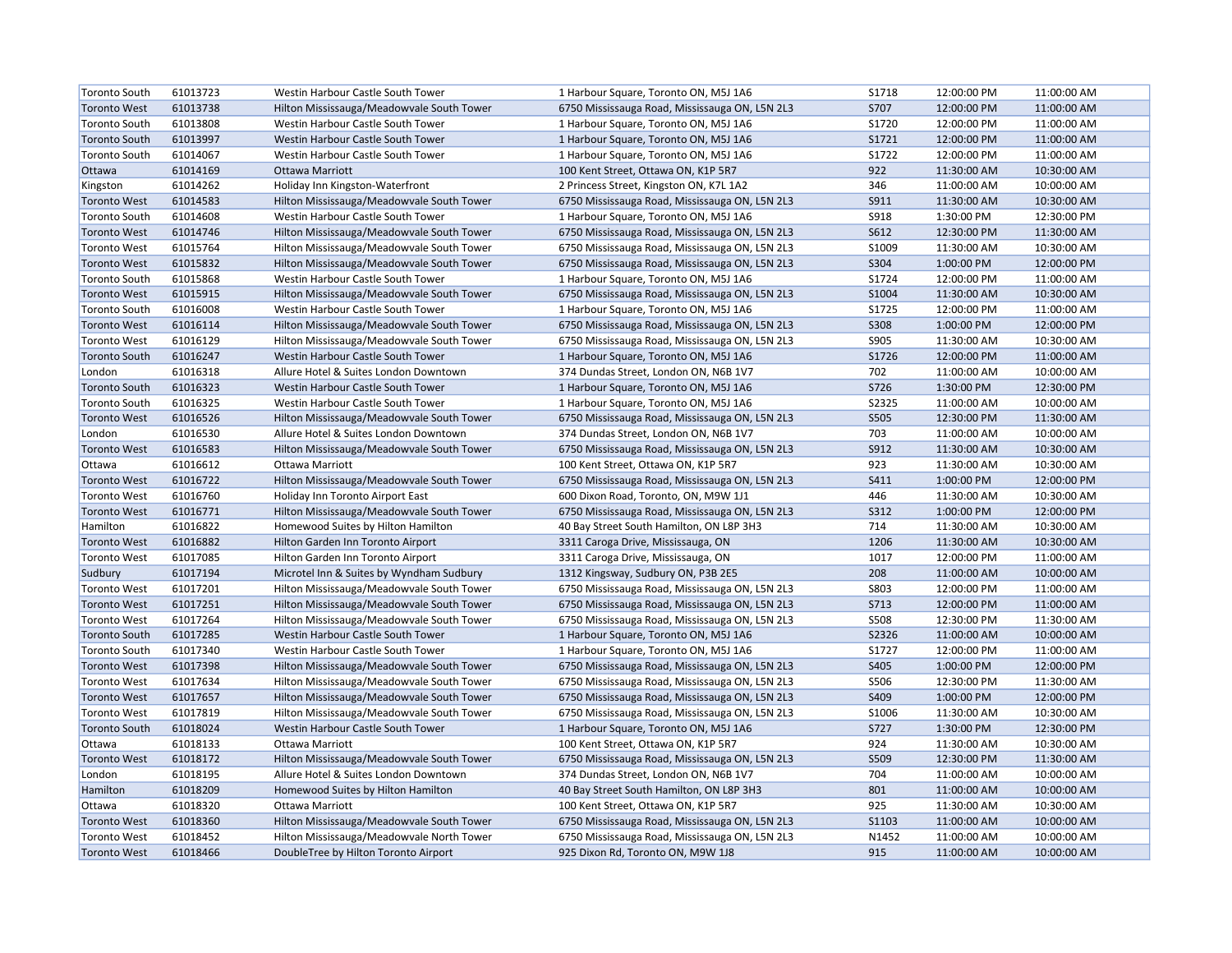| <b>Toronto South</b> | 61013723 | Westin Harbour Castle South Tower         | 1 Harbour Square, Toronto ON, M5J 1A6          | S1718       | 12:00:00 PM | 11:00:00 AM |
|----------------------|----------|-------------------------------------------|------------------------------------------------|-------------|-------------|-------------|
| <b>Toronto West</b>  | 61013738 | Hilton Mississauga/Meadowvale South Tower | 6750 Mississauga Road, Mississauga ON, L5N 2L3 | S707        | 12:00:00 PM | 11:00:00 AM |
| <b>Toronto South</b> | 61013808 | Westin Harbour Castle South Tower         | 1 Harbour Square, Toronto ON, M5J 1A6          | S1720       | 12:00:00 PM | 11:00:00 AM |
| <b>Toronto South</b> | 61013997 | Westin Harbour Castle South Tower         | 1 Harbour Square, Toronto ON, M5J 1A6          | S1721       | 12:00:00 PM | 11:00:00 AM |
| <b>Toronto South</b> | 61014067 | Westin Harbour Castle South Tower         | 1 Harbour Square, Toronto ON, M5J 1A6          | S1722       | 12:00:00 PM | 11:00:00 AM |
| Ottawa               | 61014169 | Ottawa Marriott                           | 100 Kent Street, Ottawa ON, K1P 5R7            | 922         | 11:30:00 AM | 10:30:00 AM |
| Kingston             | 61014262 | Holiday Inn Kingston-Waterfront           | 2 Princess Street, Kingston ON, K7L 1A2        | 346         | 11:00:00 AM | 10:00:00 AM |
| <b>Toronto West</b>  | 61014583 | Hilton Mississauga/Meadowvale South Tower | 6750 Mississauga Road, Mississauga ON, L5N 2L3 | S911        | 11:30:00 AM | 10:30:00 AM |
| <b>Toronto South</b> | 61014608 | Westin Harbour Castle South Tower         | 1 Harbour Square, Toronto ON, M5J 1A6          | <b>S918</b> | 1:30:00 PM  | 12:30:00 PM |
| <b>Toronto West</b>  | 61014746 | Hilton Mississauga/Meadowvale South Tower | 6750 Mississauga Road, Mississauga ON, L5N 2L3 | S612        | 12:30:00 PM | 11:30:00 AM |
| <b>Toronto West</b>  | 61015764 | Hilton Mississauga/Meadowvale South Tower | 6750 Mississauga Road, Mississauga ON, L5N 2L3 | S1009       | 11:30:00 AM | 10:30:00 AM |
| <b>Toronto West</b>  | 61015832 | Hilton Mississauga/Meadowvale South Tower | 6750 Mississauga Road, Mississauga ON, L5N 2L3 | S304        | 1:00:00 PM  | 12:00:00 PM |
| <b>Toronto South</b> | 61015868 | Westin Harbour Castle South Tower         | 1 Harbour Square, Toronto ON, M5J 1A6          | S1724       | 12:00:00 PM | 11:00:00 AM |
| <b>Toronto West</b>  | 61015915 | Hilton Mississauga/Meadowvale South Tower | 6750 Mississauga Road, Mississauga ON, L5N 2L3 | S1004       | 11:30:00 AM | 10:30:00 AM |
| <b>Toronto South</b> | 61016008 | Westin Harbour Castle South Tower         | 1 Harbour Square, Toronto ON, M5J 1A6          | S1725       | 12:00:00 PM | 11:00:00 AM |
| <b>Toronto West</b>  | 61016114 | Hilton Mississauga/Meadowvale South Tower | 6750 Mississauga Road, Mississauga ON, L5N 2L3 | <b>S308</b> | 1:00:00 PM  | 12:00:00 PM |
| <b>Toronto West</b>  | 61016129 | Hilton Mississauga/Meadowvale South Tower | 6750 Mississauga Road, Mississauga ON, L5N 2L3 | S905        | 11:30:00 AM | 10:30:00 AM |
| <b>Toronto South</b> | 61016247 | Westin Harbour Castle South Tower         | 1 Harbour Square, Toronto ON, M5J 1A6          | S1726       | 12:00:00 PM | 11:00:00 AM |
| London               | 61016318 | Allure Hotel & Suites London Downtown     | 374 Dundas Street, London ON, N6B 1V7          | 702         | 11:00:00 AM | 10:00:00 AM |
| <b>Toronto South</b> | 61016323 | Westin Harbour Castle South Tower         | 1 Harbour Square, Toronto ON, M5J 1A6          | S726        | 1:30:00 PM  | 12:30:00 PM |
| <b>Toronto South</b> | 61016325 | Westin Harbour Castle South Tower         | 1 Harbour Square, Toronto ON, M5J 1A6          | S2325       | 11:00:00 AM | 10:00:00 AM |
| <b>Toronto West</b>  | 61016526 | Hilton Mississauga/Meadowvale South Tower | 6750 Mississauga Road, Mississauga ON, L5N 2L3 | <b>S505</b> | 12:30:00 PM | 11:30:00 AM |
| London               | 61016530 | Allure Hotel & Suites London Downtown     | 374 Dundas Street, London ON, N6B 1V7          | 703         | 11:00:00 AM | 10:00:00 AM |
| <b>Toronto West</b>  | 61016583 | Hilton Mississauga/Meadowvale South Tower | 6750 Mississauga Road, Mississauga ON, L5N 2L3 | S912        | 11:30:00 AM | 10:30:00 AM |
| Ottawa               | 61016612 | Ottawa Marriott                           | 100 Kent Street, Ottawa ON, K1P 5R7            | 923         | 11:30:00 AM | 10:30:00 AM |
| <b>Toronto West</b>  | 61016722 | Hilton Mississauga/Meadowvale South Tower | 6750 Mississauga Road, Mississauga ON, L5N 2L3 | S411        | 1:00:00 PM  | 12:00:00 PM |
| <b>Toronto West</b>  | 61016760 | Holiday Inn Toronto Airport East          | 600 Dixon Road, Toronto, ON, M9W 1J1           | 446         | 11:30:00 AM | 10:30:00 AM |
| <b>Toronto West</b>  | 61016771 | Hilton Mississauga/Meadowvale South Tower | 6750 Mississauga Road, Mississauga ON, L5N 2L3 | S312        | 1:00:00 PM  | 12:00:00 PM |
| Hamilton             | 61016822 | Homewood Suites by Hilton Hamilton        | 40 Bay Street South Hamilton, ON L8P 3H3       | 714         | 11:30:00 AM | 10:30:00 AM |
| <b>Toronto West</b>  | 61016882 | Hilton Garden Inn Toronto Airport         | 3311 Caroga Drive, Mississauga, ON             | 1206        | 11:30:00 AM | 10:30:00 AM |
| <b>Toronto West</b>  | 61017085 | Hilton Garden Inn Toronto Airport         | 3311 Caroga Drive, Mississauga, ON             | 1017        | 12:00:00 PM | 11:00:00 AM |
| Sudbury              | 61017194 | Microtel Inn & Suites by Wyndham Sudbury  | 1312 Kingsway, Sudbury ON, P3B 2E5             | 208         | 11:00:00 AM | 10:00:00 AM |
| <b>Toronto West</b>  | 61017201 | Hilton Mississauga/Meadowvale South Tower | 6750 Mississauga Road, Mississauga ON, L5N 2L3 | <b>S803</b> | 12:00:00 PM | 11:00:00 AM |
| <b>Toronto West</b>  | 61017251 | Hilton Mississauga/Meadowvale South Tower | 6750 Mississauga Road, Mississauga ON, L5N 2L3 | S713        | 12:00:00 PM | 11:00:00 AM |
| <b>Toronto West</b>  | 61017264 | Hilton Mississauga/Meadowvale South Tower | 6750 Mississauga Road, Mississauga ON, L5N 2L3 | <b>S508</b> | 12:30:00 PM | 11:30:00 AM |
| <b>Toronto South</b> | 61017285 | Westin Harbour Castle South Tower         | 1 Harbour Square, Toronto ON, M5J 1A6          | S2326       | 11:00:00 AM | 10:00:00 AM |
| <b>Toronto South</b> | 61017340 | Westin Harbour Castle South Tower         | 1 Harbour Square, Toronto ON, M5J 1A6          | S1727       | 12:00:00 PM | 11:00:00 AM |
| <b>Toronto West</b>  | 61017398 | Hilton Mississauga/Meadowvale South Tower | 6750 Mississauga Road, Mississauga ON, L5N 2L3 | S405        | 1:00:00 PM  | 12:00:00 PM |
| <b>Toronto West</b>  | 61017634 | Hilton Mississauga/Meadowvale South Tower | 6750 Mississauga Road, Mississauga ON, L5N 2L3 | S506        | 12:30:00 PM | 11:30:00 AM |
| <b>Toronto West</b>  | 61017657 | Hilton Mississauga/Meadowvale South Tower | 6750 Mississauga Road, Mississauga ON, L5N 2L3 | S409        | 1:00:00 PM  | 12:00:00 PM |
| <b>Toronto West</b>  | 61017819 | Hilton Mississauga/Meadowvale South Tower | 6750 Mississauga Road, Mississauga ON, L5N 2L3 | S1006       | 11:30:00 AM | 10:30:00 AM |
| <b>Toronto South</b> | 61018024 | Westin Harbour Castle South Tower         | 1 Harbour Square, Toronto ON, M5J 1A6          | S727        | 1:30:00 PM  | 12:30:00 PM |
| Ottawa               | 61018133 | Ottawa Marriott                           | 100 Kent Street, Ottawa ON, K1P 5R7            | 924         | 11:30:00 AM | 10:30:00 AM |
| <b>Toronto West</b>  | 61018172 | Hilton Mississauga/Meadowvale South Tower | 6750 Mississauga Road, Mississauga ON, L5N 2L3 | S509        | 12:30:00 PM | 11:30:00 AM |
| London               | 61018195 | Allure Hotel & Suites London Downtown     | 374 Dundas Street, London ON, N6B 1V7          | 704         | 11:00:00 AM | 10:00:00 AM |
| Hamilton             | 61018209 | Homewood Suites by Hilton Hamilton        | 40 Bay Street South Hamilton, ON L8P 3H3       | 801         | 11:00:00 AM | 10:00:00 AM |
| Ottawa               | 61018320 | Ottawa Marriott                           | 100 Kent Street, Ottawa ON, K1P 5R7            | 925         | 11:30:00 AM | 10:30:00 AM |
| <b>Toronto West</b>  | 61018360 | Hilton Mississauga/Meadowvale South Tower | 6750 Mississauga Road, Mississauga ON, L5N 2L3 | S1103       | 11:00:00 AM | 10:00:00 AM |
| <b>Toronto West</b>  | 61018452 | Hilton Mississauga/Meadowvale North Tower | 6750 Mississauga Road, Mississauga ON, L5N 2L3 | N1452       | 11:00:00 AM | 10:00:00 AM |
| <b>Toronto West</b>  | 61018466 | DoubleTree by Hilton Toronto Airport      | 925 Dixon Rd, Toronto ON, M9W 1J8              | 915         | 11:00:00 AM | 10:00:00 AM |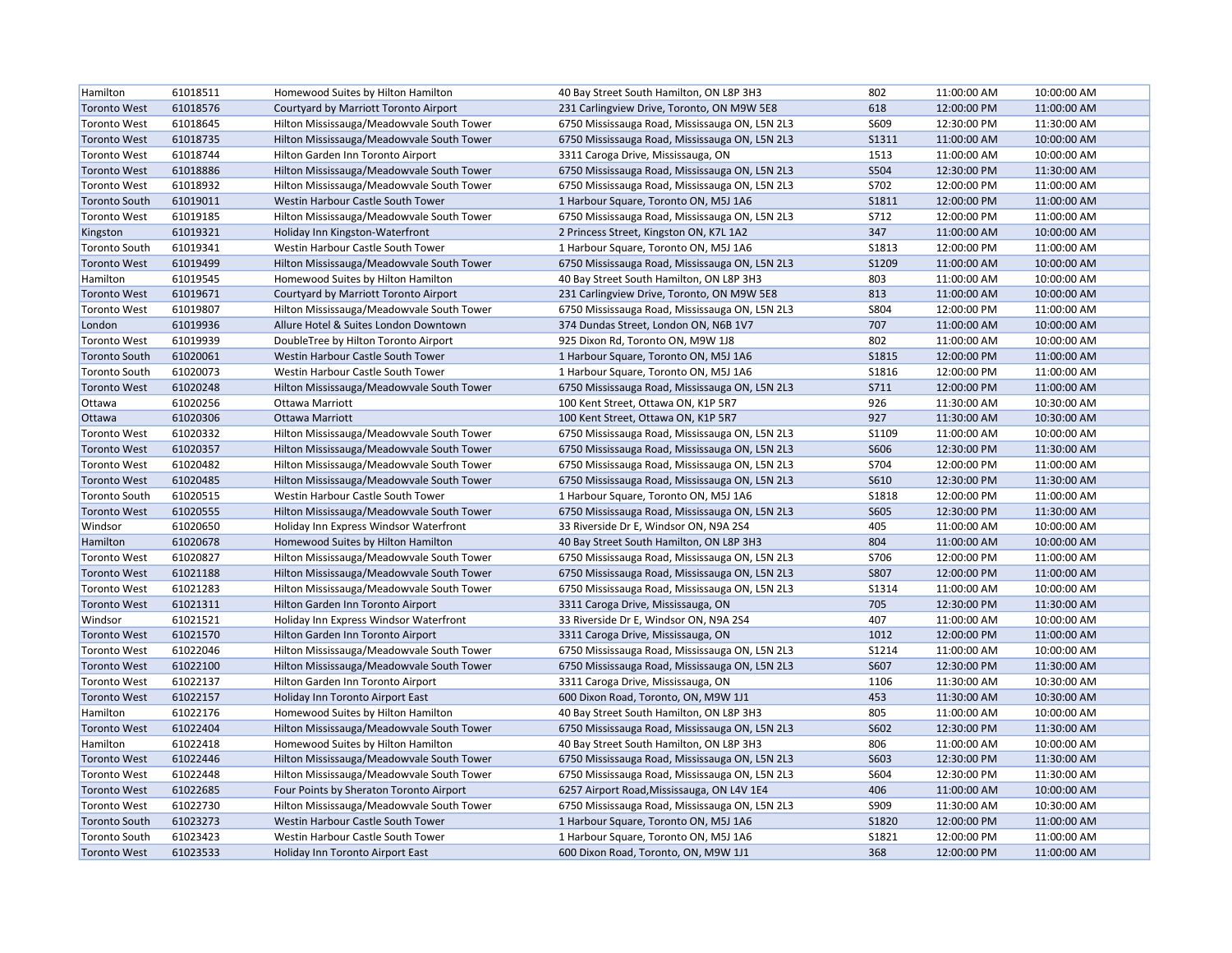| Hamilton             | 61018511 | Homewood Suites by Hilton Hamilton        | 40 Bay Street South Hamilton, ON L8P 3H3       | 802          | 11:00:00 AM | 10:00:00 AM |
|----------------------|----------|-------------------------------------------|------------------------------------------------|--------------|-------------|-------------|
| <b>Toronto West</b>  | 61018576 | Courtyard by Marriott Toronto Airport     | 231 Carlingview Drive, Toronto, ON M9W 5E8     | 618          | 12:00:00 PM | 11:00:00 AM |
| <b>Toronto West</b>  | 61018645 | Hilton Mississauga/Meadowvale South Tower | 6750 Mississauga Road, Mississauga ON, L5N 2L3 | S609         | 12:30:00 PM | 11:30:00 AM |
| <b>Toronto West</b>  | 61018735 | Hilton Mississauga/Meadowvale South Tower | 6750 Mississauga Road, Mississauga ON, L5N 2L3 | <b>S1311</b> | 11:00:00 AM | 10:00:00 AM |
| <b>Toronto West</b>  | 61018744 | Hilton Garden Inn Toronto Airport         | 3311 Caroga Drive, Mississauga, ON             | 1513         | 11:00:00 AM | 10:00:00 AM |
| <b>Toronto West</b>  | 61018886 | Hilton Mississauga/Meadowvale South Tower | 6750 Mississauga Road, Mississauga ON, L5N 2L3 | S504         | 12:30:00 PM | 11:30:00 AM |
| <b>Toronto West</b>  | 61018932 | Hilton Mississauga/Meadowvale South Tower | 6750 Mississauga Road, Mississauga ON, L5N 2L3 | S702         | 12:00:00 PM | 11:00:00 AM |
| <b>Toronto South</b> | 61019011 | Westin Harbour Castle South Tower         | 1 Harbour Square, Toronto ON, M5J 1A6          | <b>S1811</b> | 12:00:00 PM | 11:00:00 AM |
| <b>Toronto West</b>  | 61019185 | Hilton Mississauga/Meadowvale South Tower | 6750 Mississauga Road, Mississauga ON, L5N 2L3 | S712         | 12:00:00 PM | 11:00:00 AM |
| Kingston             | 61019321 | Holiday Inn Kingston-Waterfront           | 2 Princess Street, Kingston ON, K7L 1A2        | 347          | 11:00:00 AM | 10:00:00 AM |
| <b>Toronto South</b> | 61019341 | Westin Harbour Castle South Tower         | 1 Harbour Square, Toronto ON, M5J 1A6          | <b>S1813</b> | 12:00:00 PM | 11:00:00 AM |
| <b>Toronto West</b>  | 61019499 | Hilton Mississauga/Meadowvale South Tower | 6750 Mississauga Road, Mississauga ON, L5N 2L3 | S1209        | 11:00:00 AM | 10:00:00 AM |
| Hamilton             | 61019545 | Homewood Suites by Hilton Hamilton        | 40 Bay Street South Hamilton, ON L8P 3H3       | 803          | 11:00:00 AM | 10:00:00 AM |
| <b>Toronto West</b>  | 61019671 | Courtyard by Marriott Toronto Airport     | 231 Carlingview Drive, Toronto, ON M9W 5E8     | 813          | 11:00:00 AM | 10:00:00 AM |
| <b>Toronto West</b>  | 61019807 | Hilton Mississauga/Meadowvale South Tower | 6750 Mississauga Road, Mississauga ON, L5N 2L3 | S804         | 12:00:00 PM | 11:00:00 AM |
| London               | 61019936 | Allure Hotel & Suites London Downtown     | 374 Dundas Street, London ON, N6B 1V7          | 707          | 11:00:00 AM | 10:00:00 AM |
| <b>Toronto West</b>  | 61019939 | DoubleTree by Hilton Toronto Airport      | 925 Dixon Rd, Toronto ON, M9W 1J8              | 802          | 11:00:00 AM | 10:00:00 AM |
| <b>Toronto South</b> | 61020061 | Westin Harbour Castle South Tower         | 1 Harbour Square, Toronto ON, M5J 1A6          | S1815        | 12:00:00 PM | 11:00:00 AM |
| <b>Toronto South</b> | 61020073 | Westin Harbour Castle South Tower         | 1 Harbour Square, Toronto ON, M5J 1A6          | S1816        | 12:00:00 PM | 11:00:00 AM |
| <b>Toronto West</b>  | 61020248 | Hilton Mississauga/Meadowvale South Tower | 6750 Mississauga Road, Mississauga ON, L5N 2L3 | S711         | 12:00:00 PM | 11:00:00 AM |
| Ottawa               | 61020256 | Ottawa Marriott                           | 100 Kent Street, Ottawa ON, K1P 5R7            | 926          | 11:30:00 AM | 10:30:00 AM |
| Ottawa               | 61020306 | <b>Ottawa Marriott</b>                    | 100 Kent Street, Ottawa ON, K1P 5R7            | 927          | 11:30:00 AM | 10:30:00 AM |
| <b>Toronto West</b>  | 61020332 | Hilton Mississauga/Meadowvale South Tower | 6750 Mississauga Road, Mississauga ON, L5N 2L3 | S1109        | 11:00:00 AM | 10:00:00 AM |
| <b>Toronto West</b>  | 61020357 | Hilton Mississauga/Meadowvale South Tower | 6750 Mississauga Road, Mississauga ON, L5N 2L3 | S606         | 12:30:00 PM | 11:30:00 AM |
| <b>Toronto West</b>  | 61020482 | Hilton Mississauga/Meadowvale South Tower | 6750 Mississauga Road, Mississauga ON, L5N 2L3 | S704         | 12:00:00 PM | 11:00:00 AM |
| <b>Toronto West</b>  | 61020485 | Hilton Mississauga/Meadowvale South Tower | 6750 Mississauga Road, Mississauga ON, L5N 2L3 | S610         | 12:30:00 PM | 11:30:00 AM |
| <b>Toronto South</b> | 61020515 | Westin Harbour Castle South Tower         | 1 Harbour Square, Toronto ON, M5J 1A6          | <b>S1818</b> | 12:00:00 PM | 11:00:00 AM |
| <b>Toronto West</b>  | 61020555 | Hilton Mississauga/Meadowvale South Tower | 6750 Mississauga Road, Mississauga ON, L5N 2L3 | S605         | 12:30:00 PM | 11:30:00 AM |
| Windsor              | 61020650 | Holiday Inn Express Windsor Waterfront    | 33 Riverside Dr E, Windsor ON, N9A 2S4         | 405          | 11:00:00 AM | 10:00:00 AM |
| Hamilton             | 61020678 | Homewood Suites by Hilton Hamilton        | 40 Bay Street South Hamilton, ON L8P 3H3       | 804          | 11:00:00 AM | 10:00:00 AM |
| <b>Toronto West</b>  | 61020827 | Hilton Mississauga/Meadowvale South Tower | 6750 Mississauga Road, Mississauga ON, L5N 2L3 | S706         | 12:00:00 PM | 11:00:00 AM |
| <b>Toronto West</b>  | 61021188 | Hilton Mississauga/Meadowvale South Tower | 6750 Mississauga Road, Mississauga ON, L5N 2L3 | S807         | 12:00:00 PM | 11:00:00 AM |
| <b>Toronto West</b>  | 61021283 | Hilton Mississauga/Meadowvale South Tower | 6750 Mississauga Road, Mississauga ON, L5N 2L3 | S1314        | 11:00:00 AM | 10:00:00 AM |
| <b>Toronto West</b>  | 61021311 | Hilton Garden Inn Toronto Airport         | 3311 Caroga Drive, Mississauga, ON             | 705          | 12:30:00 PM | 11:30:00 AM |
| Windsor              | 61021521 | Holiday Inn Express Windsor Waterfront    | 33 Riverside Dr E, Windsor ON, N9A 2S4         | 407          | 11:00:00 AM | 10:00:00 AM |
| <b>Toronto West</b>  | 61021570 | Hilton Garden Inn Toronto Airport         | 3311 Caroga Drive, Mississauga, ON             | 1012         | 12:00:00 PM | 11:00:00 AM |
| <b>Toronto West</b>  | 61022046 | Hilton Mississauga/Meadowvale South Tower | 6750 Mississauga Road, Mississauga ON, L5N 2L3 | S1214        | 11:00:00 AM | 10:00:00 AM |
| <b>Toronto West</b>  | 61022100 | Hilton Mississauga/Meadowvale South Tower | 6750 Mississauga Road, Mississauga ON, L5N 2L3 | S607         | 12:30:00 PM | 11:30:00 AM |
| <b>Toronto West</b>  | 61022137 | Hilton Garden Inn Toronto Airport         | 3311 Caroga Drive, Mississauga, ON             | 1106         | 11:30:00 AM | 10:30:00 AM |
| <b>Toronto West</b>  | 61022157 | Holiday Inn Toronto Airport East          | 600 Dixon Road, Toronto, ON, M9W 1J1           | 453          | 11:30:00 AM | 10:30:00 AM |
| Hamilton             | 61022176 | Homewood Suites by Hilton Hamilton        | 40 Bay Street South Hamilton, ON L8P 3H3       | 805          | 11:00:00 AM | 10:00:00 AM |
| <b>Toronto West</b>  | 61022404 | Hilton Mississauga/Meadowvale South Tower | 6750 Mississauga Road, Mississauga ON, L5N 2L3 | S602         | 12:30:00 PM | 11:30:00 AM |
| Hamilton             | 61022418 | Homewood Suites by Hilton Hamilton        | 40 Bay Street South Hamilton, ON L8P 3H3       | 806          | 11:00:00 AM | 10:00:00 AM |
| <b>Toronto West</b>  | 61022446 | Hilton Mississauga/Meadowvale South Tower | 6750 Mississauga Road, Mississauga ON, L5N 2L3 | S603         | 12:30:00 PM | 11:30:00 AM |
| <b>Toronto West</b>  | 61022448 | Hilton Mississauga/Meadowvale South Tower | 6750 Mississauga Road, Mississauga ON, L5N 2L3 | S604         | 12:30:00 PM | 11:30:00 AM |
| <b>Toronto West</b>  | 61022685 | Four Points by Sheraton Toronto Airport   | 6257 Airport Road, Mississauga, ON L4V 1E4     | 406          | 11:00:00 AM | 10:00:00 AM |
| <b>Toronto West</b>  | 61022730 | Hilton Mississauga/Meadowvale South Tower | 6750 Mississauga Road, Mississauga ON, L5N 2L3 | S909         | 11:30:00 AM | 10:30:00 AM |
| <b>Toronto South</b> | 61023273 | Westin Harbour Castle South Tower         | 1 Harbour Square, Toronto ON, M5J 1A6          | <b>S1820</b> | 12:00:00 PM | 11:00:00 AM |
| <b>Toronto South</b> | 61023423 | Westin Harbour Castle South Tower         | 1 Harbour Square, Toronto ON, M5J 1A6          | S1821        | 12:00:00 PM | 11:00:00 AM |
| <b>Toronto West</b>  | 61023533 | Holiday Inn Toronto Airport East          | 600 Dixon Road, Toronto, ON, M9W 1J1           | 368          | 12:00:00 PM | 11:00:00 AM |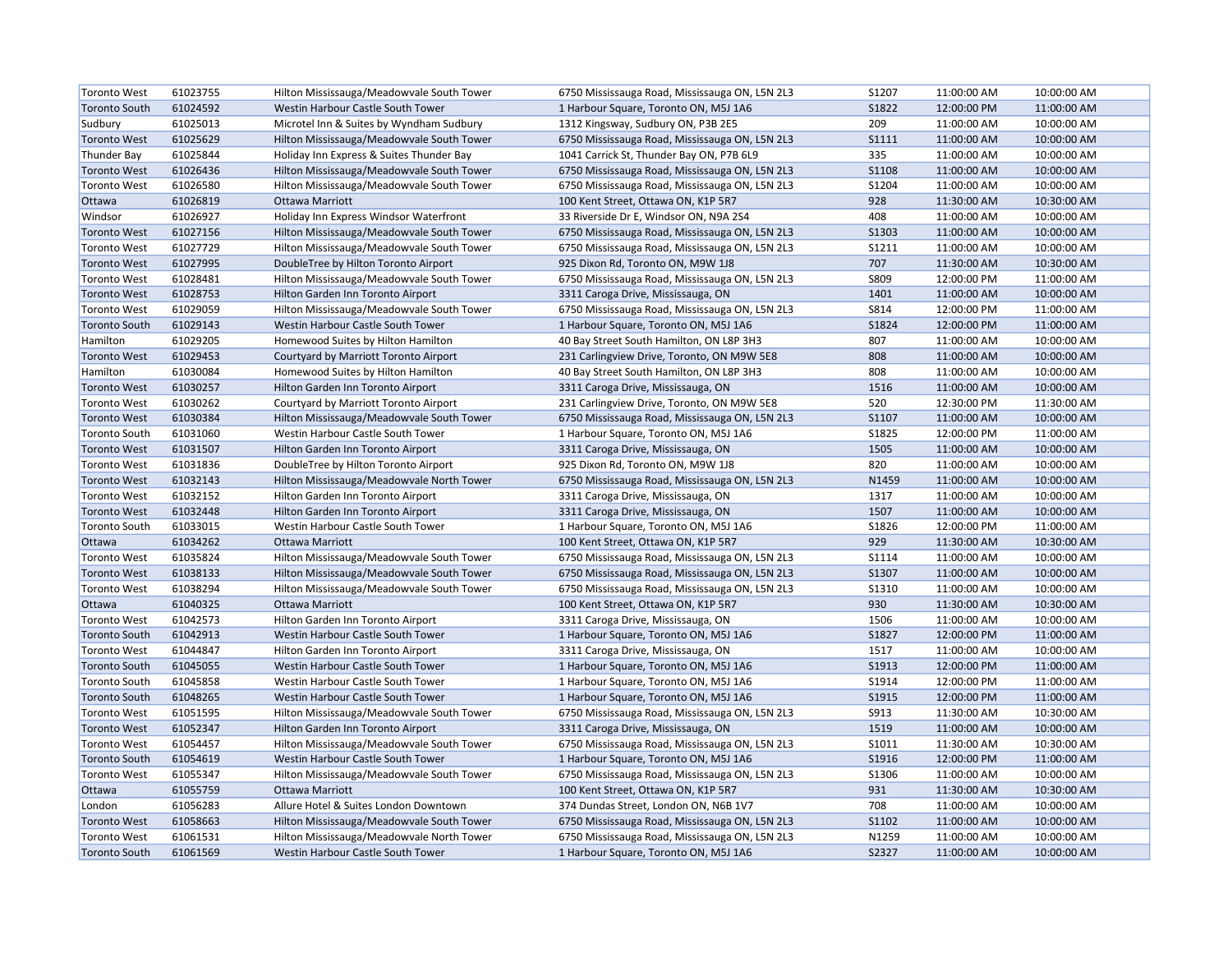| <b>Toronto West</b>  | 61023755 | Hilton Mississauga/Meadowvale South Tower | 6750 Mississauga Road, Mississauga ON, L5N 2L3 | S1207        | 11:00:00 AM | 10:00:00 AM |
|----------------------|----------|-------------------------------------------|------------------------------------------------|--------------|-------------|-------------|
| <b>Toronto South</b> | 61024592 | Westin Harbour Castle South Tower         | 1 Harbour Square, Toronto ON, M5J 1A6          | S1822        | 12:00:00 PM | 11:00:00 AM |
| Sudbury              | 61025013 | Microtel Inn & Suites by Wyndham Sudbury  | 1312 Kingsway, Sudbury ON, P3B 2E5             | 209          | 11:00:00 AM | 10:00:00 AM |
| <b>Toronto West</b>  | 61025629 | Hilton Mississauga/Meadowvale South Tower | 6750 Mississauga Road, Mississauga ON, L5N 2L3 | <b>S1111</b> | 11:00:00 AM | 10:00:00 AM |
| <b>Thunder Bay</b>   | 61025844 | Holiday Inn Express & Suites Thunder Bay  | 1041 Carrick St, Thunder Bay ON, P7B 6L9       | 335          | 11:00:00 AM | 10:00:00 AM |
| <b>Toronto West</b>  | 61026436 | Hilton Mississauga/Meadowvale South Tower | 6750 Mississauga Road, Mississauga ON, L5N 2L3 | <b>S1108</b> | 11:00:00 AM | 10:00:00 AM |
| <b>Toronto West</b>  | 61026580 | Hilton Mississauga/Meadowvale South Tower | 6750 Mississauga Road, Mississauga ON, L5N 2L3 | S1204        | 11:00:00 AM | 10:00:00 AM |
| Ottawa               | 61026819 | <b>Ottawa Marriott</b>                    | 100 Kent Street, Ottawa ON, K1P 5R7            | 928          | 11:30:00 AM | 10:30:00 AM |
| Windsor              | 61026927 | Holiday Inn Express Windsor Waterfront    | 33 Riverside Dr E, Windsor ON, N9A 2S4         | 408          | 11:00:00 AM | 10:00:00 AM |
| <b>Toronto West</b>  | 61027156 | Hilton Mississauga/Meadowvale South Tower | 6750 Mississauga Road, Mississauga ON, L5N 2L3 | S1303        | 11:00:00 AM | 10:00:00 AM |
| <b>Toronto West</b>  | 61027729 | Hilton Mississauga/Meadowvale South Tower | 6750 Mississauga Road, Mississauga ON, L5N 2L3 | S1211        | 11:00:00 AM | 10:00:00 AM |
| <b>Toronto West</b>  | 61027995 | DoubleTree by Hilton Toronto Airport      | 925 Dixon Rd, Toronto ON, M9W 1J8              | 707          | 11:30:00 AM | 10:30:00 AM |
| <b>Toronto West</b>  | 61028481 | Hilton Mississauga/Meadowvale South Tower | 6750 Mississauga Road, Mississauga ON, L5N 2L3 | S809         | 12:00:00 PM | 11:00:00 AM |
| <b>Toronto West</b>  | 61028753 | Hilton Garden Inn Toronto Airport         | 3311 Caroga Drive, Mississauga, ON             | 1401         | 11:00:00 AM | 10:00:00 AM |
| <b>Toronto West</b>  | 61029059 | Hilton Mississauga/Meadowvale South Tower | 6750 Mississauga Road, Mississauga ON, L5N 2L3 | S814         | 12:00:00 PM | 11:00:00 AM |
| <b>Toronto South</b> | 61029143 | Westin Harbour Castle South Tower         | 1 Harbour Square, Toronto ON, M5J 1A6          | S1824        | 12:00:00 PM | 11:00:00 AM |
| Hamilton             | 61029205 | Homewood Suites by Hilton Hamilton        | 40 Bay Street South Hamilton, ON L8P 3H3       | 807          | 11:00:00 AM | 10:00:00 AM |
| <b>Toronto West</b>  | 61029453 | Courtyard by Marriott Toronto Airport     | 231 Carlingview Drive, Toronto, ON M9W 5E8     | 808          | 11:00:00 AM | 10:00:00 AM |
| Hamilton             | 61030084 | Homewood Suites by Hilton Hamilton        | 40 Bay Street South Hamilton, ON L8P 3H3       | 808          | 11:00:00 AM | 10:00:00 AM |
| <b>Toronto West</b>  | 61030257 | Hilton Garden Inn Toronto Airport         | 3311 Caroga Drive, Mississauga, ON             | 1516         | 11:00:00 AM | 10:00:00 AM |
| <b>Toronto West</b>  | 61030262 | Courtyard by Marriott Toronto Airport     | 231 Carlingview Drive, Toronto, ON M9W 5E8     | 520          | 12:30:00 PM | 11:30:00 AM |
| <b>Toronto West</b>  | 61030384 | Hilton Mississauga/Meadowvale South Tower | 6750 Mississauga Road, Mississauga ON, L5N 2L3 | S1107        | 11:00:00 AM | 10:00:00 AM |
| <b>Toronto South</b> | 61031060 | Westin Harbour Castle South Tower         | 1 Harbour Square, Toronto ON, M5J 1A6          | S1825        | 12:00:00 PM | 11:00:00 AM |
| <b>Toronto West</b>  | 61031507 | Hilton Garden Inn Toronto Airport         | 3311 Caroga Drive, Mississauga, ON             | 1505         | 11:00:00 AM | 10:00:00 AM |
| <b>Toronto West</b>  | 61031836 | DoubleTree by Hilton Toronto Airport      | 925 Dixon Rd, Toronto ON, M9W 1J8              | 820          | 11:00:00 AM | 10:00:00 AM |
| <b>Toronto West</b>  | 61032143 | Hilton Mississauga/Meadowvale North Tower | 6750 Mississauga Road, Mississauga ON, L5N 2L3 | N1459        | 11:00:00 AM | 10:00:00 AM |
| <b>Toronto West</b>  | 61032152 | Hilton Garden Inn Toronto Airport         | 3311 Caroga Drive, Mississauga, ON             | 1317         | 11:00:00 AM | 10:00:00 AM |
| <b>Toronto West</b>  | 61032448 | Hilton Garden Inn Toronto Airport         | 3311 Caroga Drive, Mississauga, ON             | 1507         | 11:00:00 AM | 10:00:00 AM |
| <b>Toronto South</b> | 61033015 | Westin Harbour Castle South Tower         | 1 Harbour Square, Toronto ON, M5J 1A6          | S1826        | 12:00:00 PM | 11:00:00 AM |
| Ottawa               | 61034262 | Ottawa Marriott                           | 100 Kent Street, Ottawa ON, K1P 5R7            | 929          | 11:30:00 AM | 10:30:00 AM |
| <b>Toronto West</b>  | 61035824 | Hilton Mississauga/Meadowvale South Tower | 6750 Mississauga Road, Mississauga ON, L5N 2L3 | S1114        | 11:00:00 AM | 10:00:00 AM |
| <b>Toronto West</b>  | 61038133 | Hilton Mississauga/Meadowvale South Tower | 6750 Mississauga Road, Mississauga ON, L5N 2L3 | S1307        | 11:00:00 AM | 10:00:00 AM |
| <b>Toronto West</b>  | 61038294 | Hilton Mississauga/Meadowvale South Tower | 6750 Mississauga Road, Mississauga ON, L5N 2L3 | S1310        | 11:00:00 AM | 10:00:00 AM |
| Ottawa               | 61040325 | <b>Ottawa Marriott</b>                    | 100 Kent Street, Ottawa ON, K1P 5R7            | 930          | 11:30:00 AM | 10:30:00 AM |
| <b>Toronto West</b>  | 61042573 | Hilton Garden Inn Toronto Airport         | 3311 Caroga Drive, Mississauga, ON             | 1506         | 11:00:00 AM | 10:00:00 AM |
| <b>Toronto South</b> | 61042913 | Westin Harbour Castle South Tower         | 1 Harbour Square, Toronto ON, M5J 1A6          | S1827        | 12:00:00 PM | 11:00:00 AM |
| <b>Toronto West</b>  | 61044847 | Hilton Garden Inn Toronto Airport         | 3311 Caroga Drive, Mississauga, ON             | 1517         | 11:00:00 AM | 10:00:00 AM |
| <b>Toronto South</b> | 61045055 | Westin Harbour Castle South Tower         | 1 Harbour Square, Toronto ON, M5J 1A6          | S1913        | 12:00:00 PM | 11:00:00 AM |
| <b>Toronto South</b> | 61045858 | Westin Harbour Castle South Tower         | 1 Harbour Square, Toronto ON, M5J 1A6          | S1914        | 12:00:00 PM | 11:00:00 AM |
| <b>Toronto South</b> | 61048265 | Westin Harbour Castle South Tower         | 1 Harbour Square, Toronto ON, M5J 1A6          | S1915        | 12:00:00 PM | 11:00:00 AM |
| <b>Toronto West</b>  | 61051595 | Hilton Mississauga/Meadowvale South Tower | 6750 Mississauga Road, Mississauga ON, L5N 2L3 | S913         | 11:30:00 AM | 10:30:00 AM |
| <b>Toronto West</b>  | 61052347 | Hilton Garden Inn Toronto Airport         | 3311 Caroga Drive, Mississauga, ON             | 1519         | 11:00:00 AM | 10:00:00 AM |
| <b>Toronto West</b>  | 61054457 | Hilton Mississauga/Meadowvale South Tower | 6750 Mississauga Road, Mississauga ON, L5N 2L3 | S1011        | 11:30:00 AM | 10:30:00 AM |
| <b>Toronto South</b> | 61054619 | Westin Harbour Castle South Tower         | 1 Harbour Square, Toronto ON, M5J 1A6          | S1916        | 12:00:00 PM | 11:00:00 AM |
| <b>Toronto West</b>  | 61055347 | Hilton Mississauga/Meadowvale South Tower | 6750 Mississauga Road, Mississauga ON, L5N 2L3 | S1306        | 11:00:00 AM | 10:00:00 AM |
| Ottawa               | 61055759 | <b>Ottawa Marriott</b>                    | 100 Kent Street, Ottawa ON, K1P 5R7            | 931          | 11:30:00 AM | 10:30:00 AM |
| London               | 61056283 | Allure Hotel & Suites London Downtown     | 374 Dundas Street, London ON, N6B 1V7          | 708          | 11:00:00 AM | 10:00:00 AM |
| <b>Toronto West</b>  | 61058663 | Hilton Mississauga/Meadowvale South Tower | 6750 Mississauga Road, Mississauga ON, L5N 2L3 | S1102        | 11:00:00 AM | 10:00:00 AM |
| <b>Toronto West</b>  | 61061531 | Hilton Mississauga/Meadowvale North Tower | 6750 Mississauga Road, Mississauga ON, L5N 2L3 | N1259        | 11:00:00 AM | 10:00:00 AM |
| Toronto South        | 61061569 | Westin Harbour Castle South Tower         | 1 Harbour Square, Toronto ON, M5J 1A6          | S2327        | 11:00:00 AM | 10:00:00 AM |